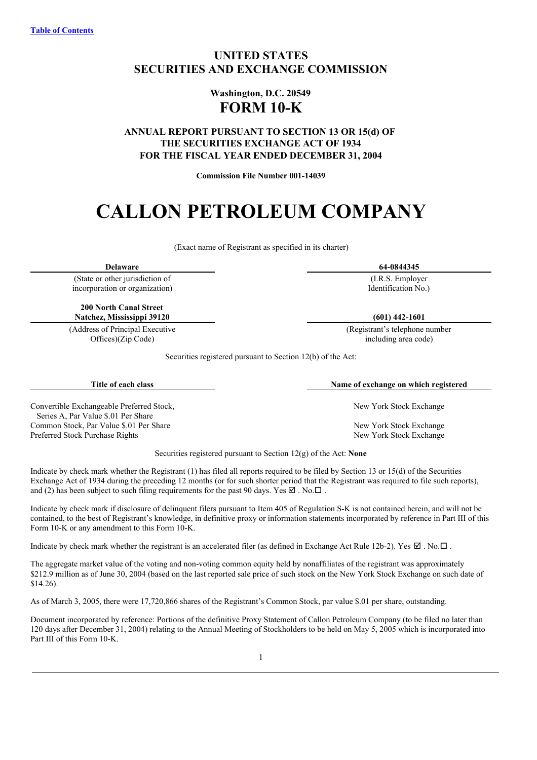# <span id="page-0-0"></span>**UNITED STATES SECURITIES AND EXCHANGE COMMISSION**

# **Washington, D.C. 20549 FORM 10-K**

# **ANNUAL REPORT PURSUANT TO SECTION 13 OR 15(d) OF THE SECURITIES EXCHANGE ACT OF 1934 FOR THE FISCAL YEAR ENDED DECEMBER 31, 2004**

**Commission File Number 001-14039**

# **CALLON PETROLEUM COMPANY**

(Exact name of Registrant as specified in its charter)

**Delaware 64-0844345**

(State or other jurisdiction of (I.R.S. Employer incorporation or organization) incorporation  $\infty$ .

**200 North Canal Street Natchez, Mississippi 39120 (601) 442-1601**

(Address of Principal Executive (Registrant's telephone number

Securities registered pursuant to Section 12(b) of the Act:

Convertible Exchangeable Preferred Stock, New York Stock Exchange Series A, Par Value \$.01 Per Share Common Stock, Par Value \$.01 Per Share New York Stock Exchange New York Stock Exchange Preferred Stock Purchase Rights New York Stock Exchange

Securities registered pursuant to Section 12(g) of the Act: **None**

Indicate by check mark whether the Registrant (1) has filed all reports required to be filed by Section 13 or 15(d) of the Securities Exchange Act of 1934 during the preceding 12 months (or for such shorter period that the Registrant was required to file such reports), and (2) has been subject to such filing requirements for the past 90 days. Yes  $\boxtimes$ . No. $\Box$ .

Indicate by check mark if disclosure of delinquent filers pursuant to Item 405 of Regulation S-K is not contained herein, and will not be contained, to the best of Registrant's knowledge, in definitive proxy or information statements incorporated by reference in Part III of this Form 10-K or any amendment to this Form 10-K.

Indicate by check mark whether the registrant is an accelerated filer (as defined in Exchange Act Rule 12b-2). Yes  $\boxtimes$ . No. $\Box$ .

The aggregate market value of the voting and non-voting common equity held by nonaffiliates of the registrant was approximately \$212.9 million as of June 30, 2004 (based on the last reported sale price of such stock on the New York Stock Exchange on such date of \$14.26).

As of March 3, 2005, there were 17,720,866 shares of the Registrant's Common Stock, par value \$.01 per share, outstanding.

Document incorporated by reference: Portions of the definitive Proxy Statement of Callon Petroleum Company (to be filed no later than 120 days after December 31, 2004) relating to the Annual Meeting of Stockholders to be held on May 5, 2005 which is incorporated into Part III of this Form 10-K.

1

**Title of each class Name of exchange on which registered**

Offices)(Zip Code) including area code)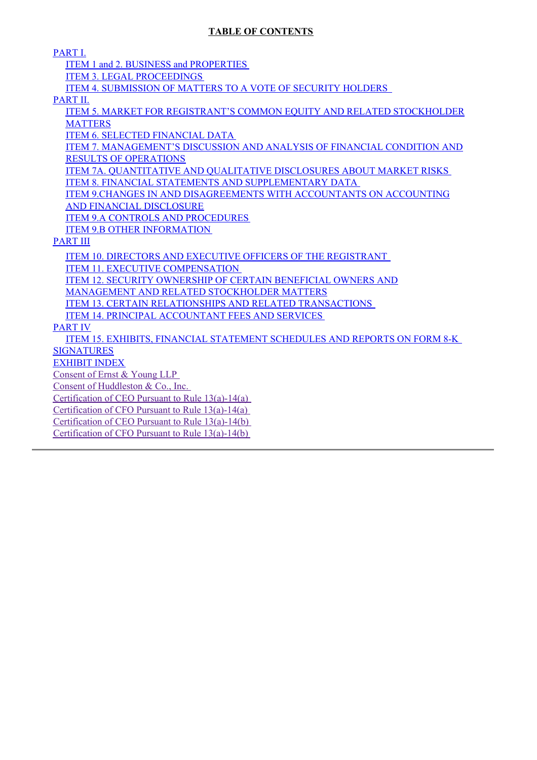# **TABLE OF CONTENTS**

[PART](#page-0-0) I.

ITEM 1 and 2. BUSINESS and [PROPERTIES](#page-0-0)

ITEM 3. LEGAL [PROCEEDINGS](#page-0-0)

ITEM 4. [SUBMISSION](#page-0-0) OF MATTERS TO A VOTE OF SECURITY HOLDERS

[PART](#page-0-0) II.

ITEM 5. MARKET FOR REGISTRANT'S COMMON EQUITY AND RELATED [STOCKHOLDER](#page-0-0) **MATTERS** 

ITEM 6. SELECTED [FINANCIAL](#page-0-0) DATA

ITEM 7. [MANAGEMENT'S](#page-0-0) DISCUSSION AND ANALYSIS OF FINANCIAL CONDITION AND RESULTS OF OPERATIONS

ITEM 7A. [QUANTITATIVE](#page-0-0) AND QUALITATIVE DISCLOSURES ABOUT MARKET RISKS

ITEM 8. FINANCIAL STATEMENTS AND [SUPPLEMENTARY](#page-0-0) DATA

ITEM 9.CHANGES IN AND [DISAGREEMENTS](#page-0-0) WITH ACCOUNTANTS ON ACCOUNTING

AND FINANCIAL DISCLOSURE

ITEM 9.A CONTROLS AND [PROCEDURES](#page-0-0)

ITEM 9.B OTHER [INFORMATION](#page-0-0)

[PART](#page-0-0) III

ITEM 10. DIRECTORS AND EXECUTIVE OFFICERS OF THE [REGISTRANT](#page-0-0) ITEM 11. EXECUTIVE [COMPENSATION](#page-0-0)

ITEM 12. SECURITY OWNERSHIP OF CERTAIN BENEFICIAL OWNERS AND

MANAGEMENT AND RELATED [STOCKHOLDER](#page-0-0) MATTERS

ITEM 13. CERTAIN [RELATIONSHIPS](#page-0-0) AND RELATED TRANSACTIONS

ITEM 14. PRINCIPAL [ACCOUNTANT](#page-0-0) FEES AND SERVICES

[PART](#page-0-0) IV

ITEM 15. EXHIBITS, FINANCIAL [STATEMENT](#page-0-0) SCHEDULES AND REPORTS ON FORM 8-K **[SIGNATURES](#page-0-0)** [EXHIBIT](#page-0-0) INDEX [Consent](#page-96-0) of Ernst & Young LLP Consent of [Huddleston](#page-97-0) & Co., Inc. [Certification](#page-98-0) of CEO Pursuant to Rule 13(a)-14(a) [Certification](#page-99-0) of CFO Pursuant to Rule 13(a)-14(a)

[Certification](#page-100-0) of CEO Pursuant to Rule 13(a)-14(b)

[Certification](#page-101-0) of CFO Pursuant to Rule 13(a)-14(b)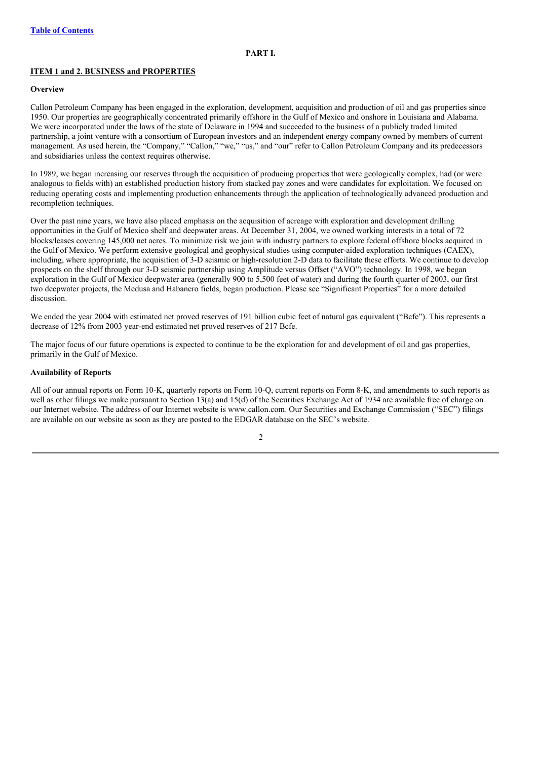# **PART I.**

#### **ITEM 1 and 2. BUSINESS and PROPERTIES**

#### **Overview**

Callon Petroleum Company has been engaged in the exploration, development, acquisition and production of oil and gas properties since 1950. Our properties are geographically concentrated primarily offshore in the Gulf of Mexico and onshore in Louisiana and Alabama. We were incorporated under the laws of the state of Delaware in 1994 and succeeded to the business of a publicly traded limited partnership, a joint venture with a consortium of European investors and an independent energy company owned by members of current management. As used herein, the "Company," "Callon," "we," "us," and "our" refer to Callon Petroleum Company and its predecessors and subsidiaries unless the context requires otherwise.

In 1989, we began increasing our reserves through the acquisition of producing properties that were geologically complex, had (or were analogous to fields with) an established production history from stacked pay zones and were candidates for exploitation. We focused on reducing operating costs and implementing production enhancements through the application of technologically advanced production and recompletion techniques.

Over the past nine years, we have also placed emphasis on the acquisition of acreage with exploration and development drilling opportunities in the Gulf of Mexico shelf and deepwater areas. At December 31, 2004, we owned working interests in a total of 72 blocks/leases covering 145,000 net acres. To minimize risk we join with industry partners to explore federal offshore blocks acquired in the Gulf of Mexico. We perform extensive geological and geophysical studies using computer-aided exploration techniques (CAEX), including, where appropriate, the acquisition of 3-D seismic or high-resolution 2-D data to facilitate these efforts. We continue to develop prospects on the shelf through our 3-D seismic partnership using Amplitude versus Offset ("AVO") technology. In 1998, we began exploration in the Gulf of Mexico deepwater area (generally 900 to 5,500 feet of water) and during the fourth quarter of 2003, our first two deepwater projects, the Medusa and Habanero fields, began production. Please see "Significant Properties" for a more detailed discussion.

We ended the year 2004 with estimated net proved reserves of 191 billion cubic feet of natural gas equivalent ("Bcfe"). This represents a decrease of 12% from 2003 year-end estimated net proved reserves of 217 Bcfe.

The major focus of our future operations is expected to continue to be the exploration for and development of oil and gas properties, primarily in the Gulf of Mexico.

#### **Availability of Reports**

All of our annual reports on Form 10-K, quarterly reports on Form 10-Q, current reports on Form 8-K, and amendments to such reports as well as other filings we make pursuant to Section 13(a) and 15(d) of the Securities Exchange Act of 1934 are available free of charge on our Internet website. The address of our Internet website is www.callon.com. Our Securities and Exchange Commission ("SEC") filings are available on our website as soon as they are posted to the EDGAR database on the SEC's website.

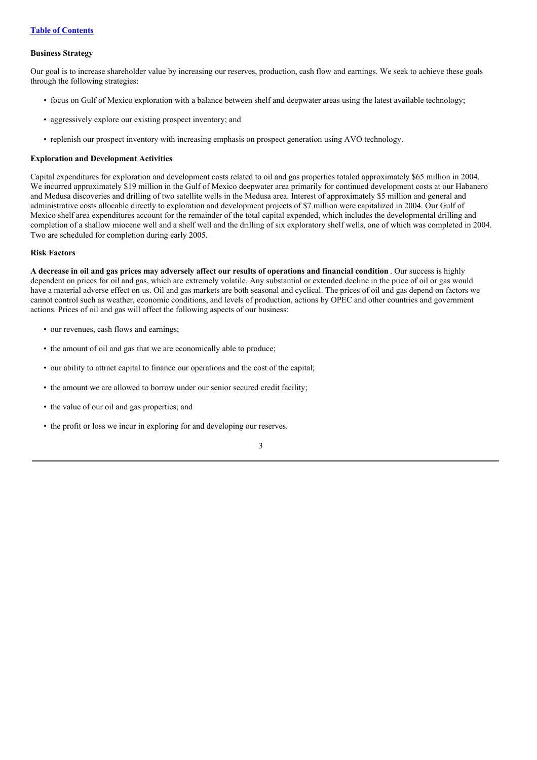## **Business Strategy**

Our goal is to increase shareholder value by increasing our reserves, production, cash flow and earnings. We seek to achieve these goals through the following strategies:

- focus on Gulf of Mexico exploration with a balance between shelf and deepwater areas using the latest available technology;
- aggressively explore our existing prospect inventory; and
- replenish our prospect inventory with increasing emphasis on prospect generation using AVO technology.

### **Exploration and Development Activities**

Capital expenditures for exploration and development costs related to oil and gas properties totaled approximately \$65 million in 2004. We incurred approximately \$19 million in the Gulf of Mexico deepwater area primarily for continued development costs at our Habanero and Medusa discoveries and drilling of two satellite wells in the Medusa area. Interest of approximately \$5 million and general and administrative costs allocable directly to exploration and development projects of \$7 million were capitalized in 2004. Our Gulf of Mexico shelf area expenditures account for the remainder of the total capital expended, which includes the developmental drilling and completion of a shallow miocene well and a shelf well and the drilling of six exploratory shelf wells, one of which was completed in 2004. Two are scheduled for completion during early 2005.

#### **Risk Factors**

A decrease in oil and gas prices may adversely affect our results of operations and financial condition. Our success is highly dependent on prices for oil and gas, which are extremely volatile. Any substantial or extended decline in the price of oil or gas would have a material adverse effect on us. Oil and gas markets are both seasonal and cyclical. The prices of oil and gas depend on factors we cannot control such as weather, economic conditions, and levels of production, actions by OPEC and other countries and government actions. Prices of oil and gas will affect the following aspects of our business:

- our revenues, cash flows and earnings;
- the amount of oil and gas that we are economically able to produce;
- our ability to attract capital to finance our operations and the cost of the capital;
- the amount we are allowed to borrow under our senior secured credit facility;
- the value of our oil and gas properties; and
- the profit or loss we incur in exploring for and developing our reserves.

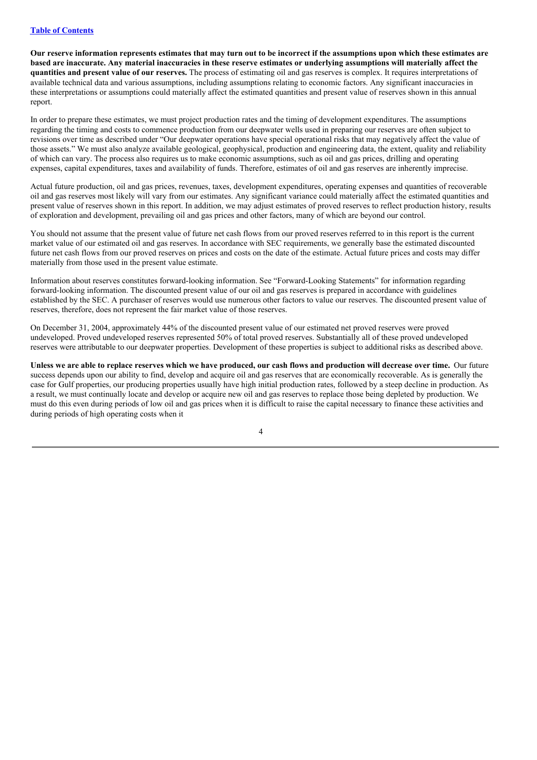Our reserve information represents estimates that may turn out to be incorrect if the assumptions upon which these estimates are based are inaccurate. Any material inaccuracies in these reserve estimates or underlying assumptions will materially affect the **quantities and present value of our reserves.** The process of estimating oil and gas reserves is complex. It requires interpretations of available technical data and various assumptions, including assumptions relating to economic factors. Any significant inaccuracies in these interpretations or assumptions could materially affect the estimated quantities and present value of reserves shown in this annual report.

In order to prepare these estimates, we must project production rates and the timing of development expenditures. The assumptions regarding the timing and costs to commence production from our deepwater wells used in preparing our reserves are often subject to revisions over time as described under "Our deepwater operations have special operational risks that may negatively affect the value of those assets." We must also analyze available geological, geophysical, production and engineering data, the extent, quality and reliability of which can vary. The process also requires us to make economic assumptions, such as oil and gas prices, drilling and operating expenses, capital expenditures, taxes and availability of funds. Therefore, estimates of oil and gas reserves are inherently imprecise.

Actual future production, oil and gas prices, revenues, taxes, development expenditures, operating expenses and quantities of recoverable oil and gas reserves most likely will vary from our estimates. Any significant variance could materially affect the estimated quantities and present value of reserves shown in this report. In addition, we may adjust estimates of proved reserves to reflect production history, results of exploration and development, prevailing oil and gas prices and other factors, many of which are beyond our control.

You should not assume that the present value of future net cash flows from our proved reserves referred to in this report is the current market value of our estimated oil and gas reserves. In accordance with SEC requirements, we generally base the estimated discounted future net cash flows from our proved reserves on prices and costs on the date of the estimate. Actual future prices and costs may differ materially from those used in the present value estimate.

Information about reserves constitutes forward-looking information. See "Forward-Looking Statements" for information regarding forward-looking information. The discounted present value of our oil and gas reserves is prepared in accordance with guidelines established by the SEC. A purchaser of reserves would use numerous other factors to value our reserves. The discounted present value of reserves, therefore, does not represent the fair market value of those reserves.

On December 31, 2004, approximately 44% of the discounted present value of our estimated net proved reserves were proved undeveloped. Proved undeveloped reserves represented 50% of total proved reserves. Substantially all of these proved undeveloped reserves were attributable to our deepwater properties. Development of these properties is subject to additional risks as described above.

Unless we are able to replace reserves which we have produced, our cash flows and production will decrease over time. Our future success depends upon our ability to find, develop and acquire oil and gas reserves that are economically recoverable. As is generally the case for Gulf properties, our producing properties usually have high initial production rates, followed by a steep decline in production. As a result, we must continually locate and develop or acquire new oil and gas reserves to replace those being depleted by production. We must do this even during periods of low oil and gas prices when it is difficult to raise the capital necessary to finance these activities and during periods of high operating costs when it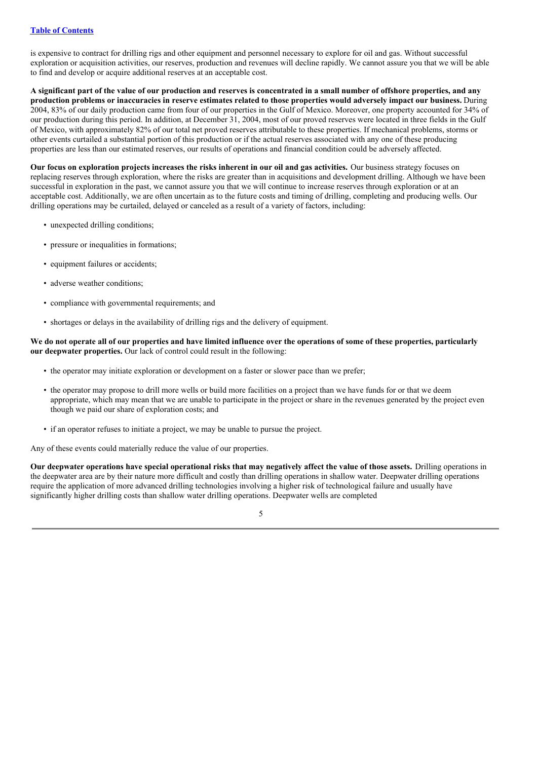is expensive to contract for drilling rigs and other equipment and personnel necessary to explore for oil and gas. Without successful exploration or acquisition activities, our reserves, production and revenues will decline rapidly. We cannot assure you that we will be able to find and develop or acquire additional reserves at an acceptable cost.

A significant part of the value of our production and reserves is concentrated in a small number of offshore properties, and any production problems or inaccuracies in reserve estimates related to those properties would adversely impact our business. During 2004, 83% of our daily production came from four of our properties in the Gulf of Mexico. Moreover, one property accounted for 34% of our production during this period. In addition, at December 31, 2004, most of our proved reserves were located in three fields in the Gulf of Mexico, with approximately 82% of our total net proved reserves attributable to these properties. If mechanical problems, storms or other events curtailed a substantial portion of this production or if the actual reserves associated with any one of these producing properties are less than our estimated reserves, our results of operations and financial condition could be adversely affected.

Our focus on exploration projects increases the risks inherent in our oil and gas activities. Our business strategy focuses on replacing reserves through exploration, where the risks are greater than in acquisitions and development drilling. Although we have been successful in exploration in the past, we cannot assure you that we will continue to increase reserves through exploration or at an acceptable cost. Additionally, we are often uncertain as to the future costs and timing of drilling, completing and producing wells. Our drilling operations may be curtailed, delayed or canceled as a result of a variety of factors, including:

- unexpected drilling conditions;
- pressure or inequalities in formations;
- equipment failures or accidents;
- adverse weather conditions;
- compliance with governmental requirements; and
- shortages or delays in the availability of drilling rigs and the delivery of equipment.

#### We do not operate all of our properties and have limited influence over the operations of some of these properties, particularly **our deepwater properties.** Our lack of control could result in the following:

- the operator may initiate exploration or development on a faster or slower pace than we prefer;
- the operator may propose to drill more wells or build more facilities on a project than we have funds for or that we deem appropriate, which may mean that we are unable to participate in the project or share in the revenues generated by the project even though we paid our share of exploration costs; and
- if an operator refuses to initiate a project, we may be unable to pursue the project.

Any of these events could materially reduce the value of our properties.

Our deepwater operations have special operational risks that may negatively affect the value of those assets. Drilling operations in the deepwater area are by their nature more difficult and costly than drilling operations in shallow water. Deepwater drilling operations require the application of more advanced drilling technologies involving a higher risk of technological failure and usually have significantly higher drilling costs than shallow water drilling operations. Deepwater wells are completed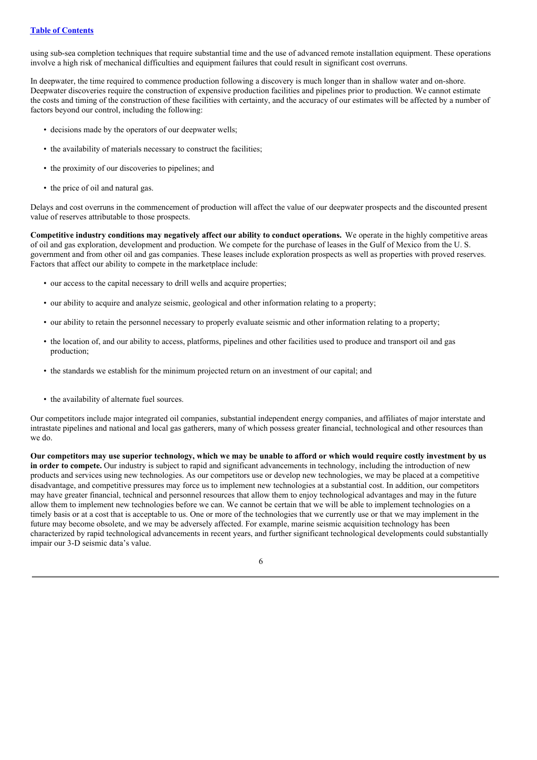using sub-sea completion techniques that require substantial time and the use of advanced remote installation equipment. These operations involve a high risk of mechanical difficulties and equipment failures that could result in significant cost overruns.

In deepwater, the time required to commence production following a discovery is much longer than in shallow water and on-shore. Deepwater discoveries require the construction of expensive production facilities and pipelines prior to production. We cannot estimate the costs and timing of the construction of these facilities with certainty, and the accuracy of our estimates will be affected by a number of factors beyond our control, including the following:

- decisions made by the operators of our deepwater wells;
- the availability of materials necessary to construct the facilities;
- the proximity of our discoveries to pipelines; and
- the price of oil and natural gas.

Delays and cost overruns in the commencement of production will affect the value of our deepwater prospects and the discounted present value of reserves attributable to those prospects.

**Competitive industry conditions may negatively affect our ability to conduct operations.** We operate in the highly competitive areas of oil and gas exploration, development and production. We compete for the purchase of leases in the Gulf of Mexico from the U. S. government and from other oil and gas companies. These leases include exploration prospects as well as properties with proved reserves. Factors that affect our ability to compete in the marketplace include:

- our access to the capital necessary to drill wells and acquire properties;
- our ability to acquire and analyze seismic, geological and other information relating to a property;
- our ability to retain the personnel necessary to properly evaluate seismic and other information relating to a property;
- the location of, and our ability to access, platforms, pipelines and other facilities used to produce and transport oil and gas production;
- the standards we establish for the minimum projected return on an investment of our capital; and
- the availability of alternate fuel sources.

Our competitors include major integrated oil companies, substantial independent energy companies, and affiliates of major interstate and intrastate pipelines and national and local gas gatherers, many of which possess greater financial, technological and other resources than we do.

Our competitors may use superior technology, which we may be unable to afford or which would require costly investment by us **in order to compete.** Our industry is subject to rapid and significant advancements in technology, including the introduction of new products and services using new technologies. As our competitors use or develop new technologies, we may be placed at a competitive disadvantage, and competitive pressures may force us to implement new technologies at a substantial cost. In addition, our competitors may have greater financial, technical and personnel resources that allow them to enjoy technological advantages and may in the future allow them to implement new technologies before we can. We cannot be certain that we will be able to implement technologies on a timely basis or at a cost that is acceptable to us. One or more of the technologies that we currently use or that we may implement in the future may become obsolete, and we may be adversely affected. For example, marine seismic acquisition technology has been characterized by rapid technological advancements in recent years, and further significant technological developments could substantially impair our 3-D seismic data's value.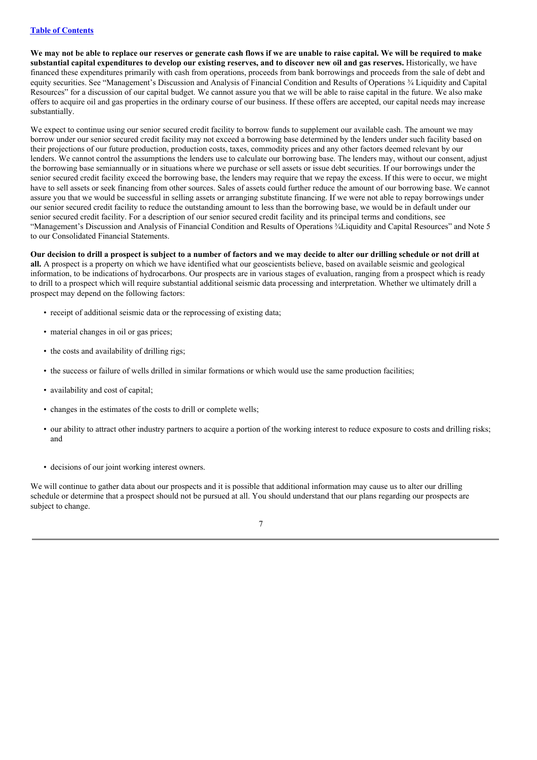We may not be able to replace our reserves or generate cash flows if we are unable to raise capital. We will be required to make substantial capital expenditures to develop our existing reserves, and to discover new oil and gas reserves. Historically, we have financed these expenditures primarily with cash from operations, proceeds from bank borrowings and proceeds from the sale of debt and equity securities. See "Management's Discussion and Analysis of Financial Condition and Results of Operations ¾ Liquidity and Capital Resources" for a discussion of our capital budget. We cannot assure you that we will be able to raise capital in the future. We also make offers to acquire oil and gas properties in the ordinary course of our business. If these offers are accepted, our capital needs may increase substantially.

We expect to continue using our senior secured credit facility to borrow funds to supplement our available cash. The amount we may borrow under our senior secured credit facility may not exceed a borrowing base determined by the lenders under such facility based on their projections of our future production, production costs, taxes, commodity prices and any other factors deemed relevant by our lenders. We cannot control the assumptions the lenders use to calculate our borrowing base. The lenders may, without our consent, adjust the borrowing base semiannually or in situations where we purchase or sell assets or issue debt securities. If our borrowings under the senior secured credit facility exceed the borrowing base, the lenders may require that we repay the excess. If this were to occur, we might have to sell assets or seek financing from other sources. Sales of assets could further reduce the amount of our borrowing base. We cannot assure you that we would be successful in selling assets or arranging substitute financing. If we were not able to repay borrowings under our senior secured credit facility to reduce the outstanding amount to less than the borrowing base, we would be in default under our senior secured credit facility. For a description of our senior secured credit facility and its principal terms and conditions, see "Management's Discussion and Analysis of Financial Condition and Results of Operations ¾Liquidity and Capital Resources" and Note 5 to our Consolidated Financial Statements.

Our decision to drill a prospect is subject to a number of factors and we may decide to alter our drilling schedule or not drill at **all.** A prospect is a property on which we have identified what our geoscientists believe, based on available seismic and geological information, to be indications of hydrocarbons. Our prospects are in various stages of evaluation, ranging from a prospect which is ready to drill to a prospect which will require substantial additional seismic data processing and interpretation. Whether we ultimately drill a prospect may depend on the following factors:

- receipt of additional seismic data or the reprocessing of existing data;
- material changes in oil or gas prices;
- the costs and availability of drilling rigs;
- the success or failure of wells drilled in similar formations or which would use the same production facilities;
- availability and cost of capital;
- changes in the estimates of the costs to drill or complete wells;
- our ability to attract other industry partners to acquire a portion of the working interest to reduce exposure to costs and drilling risks; and
- decisions of our joint working interest owners.

We will continue to gather data about our prospects and it is possible that additional information may cause us to alter our drilling schedule or determine that a prospect should not be pursued at all. You should understand that our plans regarding our prospects are subject to change.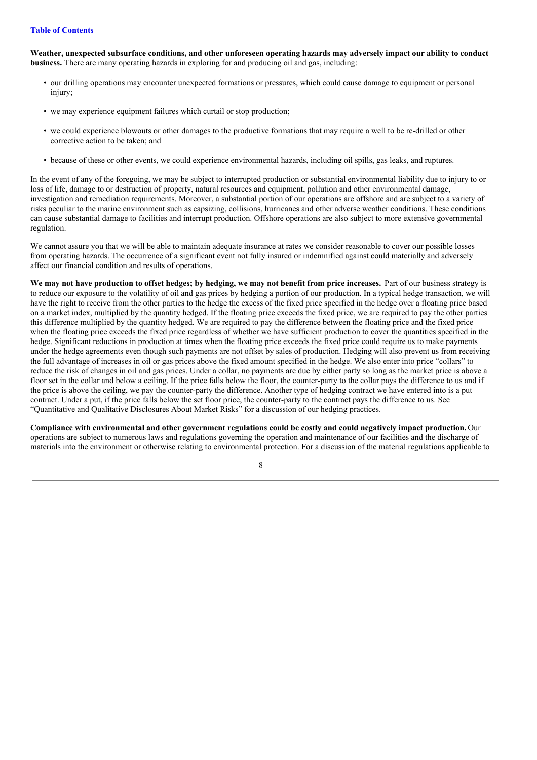Weather, unexpected subsurface conditions, and other unforeseen operating hazards may adversely impact our ability to conduct **business.** There are many operating hazards in exploring for and producing oil and gas, including:

- our drilling operations may encounter unexpected formations or pressures, which could cause damage to equipment or personal injury;
- we may experience equipment failures which curtail or stop production;
- we could experience blowouts or other damages to the productive formations that may require a well to be re-drilled or other corrective action to be taken; and
- because of these or other events, we could experience environmental hazards, including oil spills, gas leaks, and ruptures.

In the event of any of the foregoing, we may be subject to interrupted production or substantial environmental liability due to injury to or loss of life, damage to or destruction of property, natural resources and equipment, pollution and other environmental damage, investigation and remediation requirements. Moreover, a substantial portion of our operations are offshore and are subject to a variety of risks peculiar to the marine environment such as capsizing, collisions, hurricanes and other adverse weather conditions. These conditions can cause substantial damage to facilities and interrupt production. Offshore operations are also subject to more extensive governmental regulation.

We cannot assure you that we will be able to maintain adequate insurance at rates we consider reasonable to cover our possible losses from operating hazards. The occurrence of a significant event not fully insured or indemnified against could materially and adversely affect our financial condition and results of operations.

We may not have production to offset hedges; by hedging, we may not benefit from price increases. Part of our business strategy is to reduce our exposure to the volatility of oil and gas prices by hedging a portion of our production. In a typical hedge transaction, we will have the right to receive from the other parties to the hedge the excess of the fixed price specified in the hedge over a floating price based on a market index, multiplied by the quantity hedged. If the floating price exceeds the fixed price, we are required to pay the other parties this difference multiplied by the quantity hedged. We are required to pay the difference between the floating price and the fixed price when the floating price exceeds the fixed price regardless of whether we have sufficient production to cover the quantities specified in the hedge. Significant reductions in production at times when the floating price exceeds the fixed price could require us to make payments under the hedge agreements even though such payments are not offset by sales of production. Hedging will also prevent us from receiving the full advantage of increases in oil or gas prices above the fixed amount specified in the hedge. We also enter into price "collars" to reduce the risk of changes in oil and gas prices. Under a collar, no payments are due by either party so long as the market price is above a floor set in the collar and below a ceiling. If the price falls below the floor, the counter-party to the collar pays the difference to us and if the price is above the ceiling, we pay the counter-party the difference. Another type of hedging contract we have entered into is a put contract. Under a put, if the price falls below the set floor price, the counter-party to the contract pays the difference to us. See "Quantitative and Qualitative Disclosures About Market Risks" for a discussion of our hedging practices.

Compliance with environmental and other government regulations could be costly and could negatively impact production. Our operations are subject to numerous laws and regulations governing the operation and maintenance of our facilities and the discharge of materials into the environment or otherwise relating to environmental protection. For a discussion of the material regulations applicable to

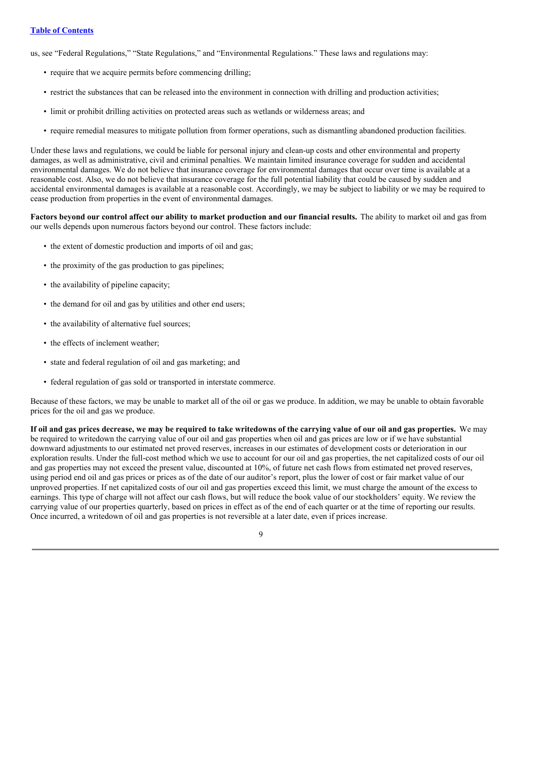us, see "Federal Regulations," "State Regulations," and "Environmental Regulations." These laws and regulations may:

- require that we acquire permits before commencing drilling;
- restrict the substances that can be released into the environment in connection with drilling and production activities;
- limit or prohibit drilling activities on protected areas such as wetlands or wilderness areas; and
- require remedial measures to mitigate pollution from former operations, such as dismantling abandoned production facilities.

Under these laws and regulations, we could be liable for personal injury and clean-up costs and other environmental and property damages, as well as administrative, civil and criminal penalties. We maintain limited insurance coverage for sudden and accidental environmental damages. We do not believe that insurance coverage for environmental damages that occur over time is available at a reasonable cost. Also, we do not believe that insurance coverage for the full potential liability that could be caused by sudden and accidental environmental damages is available at a reasonable cost. Accordingly, we may be subject to liability or we may be required to cease production from properties in the event of environmental damages.

Factors beyond our control affect our ability to market production and our financial results. The ability to market oil and gas from our wells depends upon numerous factors beyond our control. These factors include:

- the extent of domestic production and imports of oil and gas;
- the proximity of the gas production to gas pipelines;
- the availability of pipeline capacity;
- the demand for oil and gas by utilities and other end users;
- the availability of alternative fuel sources;
- the effects of inclement weather:
- state and federal regulation of oil and gas marketing; and
- federal regulation of gas sold or transported in interstate commerce.

Because of these factors, we may be unable to market all of the oil or gas we produce. In addition, we may be unable to obtain favorable prices for the oil and gas we produce.

If oil and gas prices decrease, we may be required to take writedowns of the carrying value of our oil and gas properties. We may be required to writedown the carrying value of our oil and gas properties when oil and gas prices are low or if we have substantial downward adjustments to our estimated net proved reserves, increases in our estimates of development costs or deterioration in our exploration results. Under the full-cost method which we use to account for our oil and gas properties, the net capitalized costs of our oil and gas properties may not exceed the present value, discounted at 10%, of future net cash flows from estimated net proved reserves, using period end oil and gas prices or prices as of the date of our auditor's report, plus the lower of cost or fair market value of our unproved properties. If net capitalized costs of our oil and gas properties exceed this limit, we must charge the amount of the excess to earnings. This type of charge will not affect our cash flows, but will reduce the book value of our stockholders' equity. We review the carrying value of our properties quarterly, based on prices in effect as of the end of each quarter or at the time of reporting our results. Once incurred, a writedown of oil and gas properties is not reversible at a later date, even if prices increase.

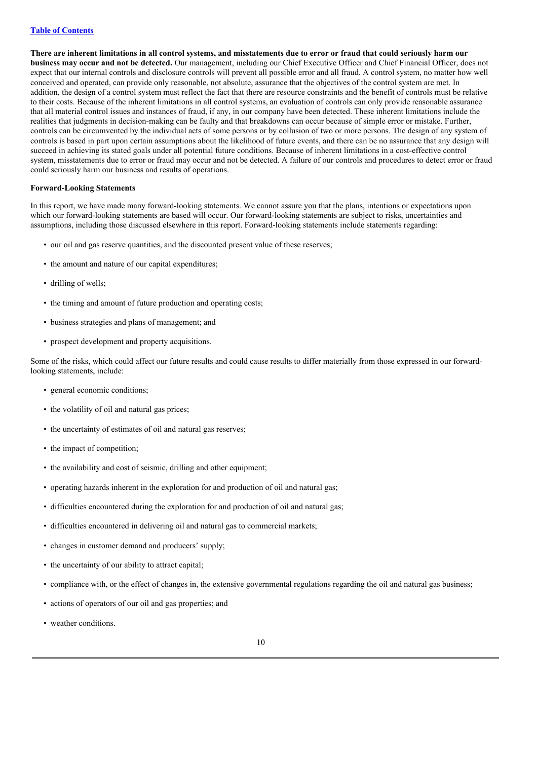There are inherent limitations in all control systems, and misstatements due to error or fraud that could seriously harm our **business may occur and not be detected.** Our management, including our Chief Executive Officer and Chief Financial Officer, does not expect that our internal controls and disclosure controls will prevent all possible error and all fraud. A control system, no matter how well conceived and operated, can provide only reasonable, not absolute, assurance that the objectives of the control system are met. In addition, the design of a control system must reflect the fact that there are resource constraints and the benefit of controls must be relative to their costs. Because of the inherent limitations in all control systems, an evaluation of controls can only provide reasonable assurance that all material control issues and instances of fraud, if any, in our company have been detected. These inherent limitations include the realities that judgments in decision-making can be faulty and that breakdowns can occur because of simple error or mistake. Further, controls can be circumvented by the individual acts of some persons or by collusion of two or more persons. The design of any system of controls is based in part upon certain assumptions about the likelihood of future events, and there can be no assurance that any design will succeed in achieving its stated goals under all potential future conditions. Because of inherent limitations in a cost-effective control system, misstatements due to error or fraud may occur and not be detected. A failure of our controls and procedures to detect error or fraud could seriously harm our business and results of operations.

#### **Forward-Looking Statements**

In this report, we have made many forward-looking statements. We cannot assure you that the plans, intentions or expectations upon which our forward-looking statements are based will occur. Our forward-looking statements are subject to risks, uncertainties and assumptions, including those discussed elsewhere in this report. Forward-looking statements include statements regarding:

- our oil and gas reserve quantities, and the discounted present value of these reserves;
- the amount and nature of our capital expenditures;
- drilling of wells;
- the timing and amount of future production and operating costs;
- business strategies and plans of management; and
- prospect development and property acquisitions.

Some of the risks, which could affect our future results and could cause results to differ materially from those expressed in our forwardlooking statements, include:

- general economic conditions;
- the volatility of oil and natural gas prices;
- the uncertainty of estimates of oil and natural gas reserves;
- the impact of competition;
- the availability and cost of seismic, drilling and other equipment;
- operating hazards inherent in the exploration for and production of oil and natural gas;
- difficulties encountered during the exploration for and production of oil and natural gas;
- difficulties encountered in delivering oil and natural gas to commercial markets;
- changes in customer demand and producers' supply;
- the uncertainty of our ability to attract capital;
- compliance with, or the effect of changes in, the extensive governmental regulations regarding the oil and natural gas business;
- actions of operators of our oil and gas properties; and
- weather conditions.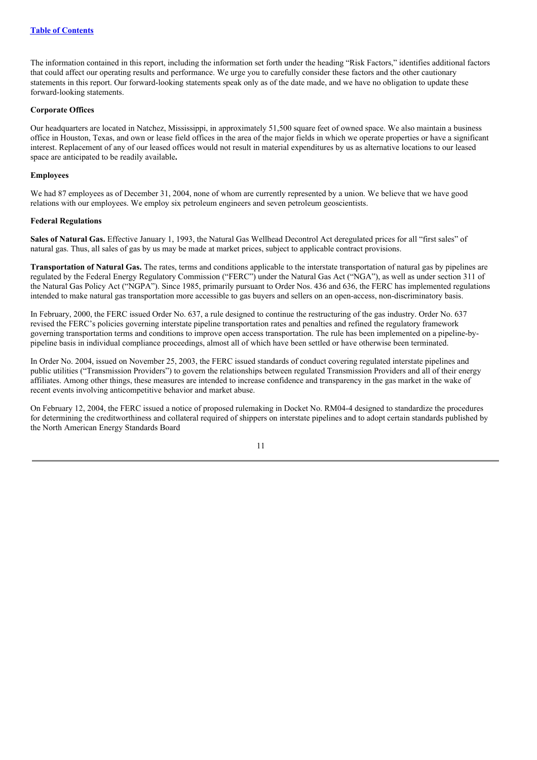The information contained in this report, including the information set forth under the heading "Risk Factors," identifies additional factors that could affect our operating results and performance. We urge you to carefully consider these factors and the other cautionary statements in this report. Our forward-looking statements speak only as of the date made, and we have no obligation to update these forward-looking statements.

#### **Corporate Offices**

Our headquarters are located in Natchez, Mississippi, in approximately 51,500 square feet of owned space. We also maintain a business office in Houston, Texas, and own or lease field offices in the area of the major fields in which we operate properties or have a significant interest. Replacement of any of our leased offices would not result in material expenditures by us as alternative locations to our leased space are anticipated to be readily available**.**

#### **Employees**

We had 87 employees as of December 31, 2004, none of whom are currently represented by a union. We believe that we have good relations with our employees. We employ six petroleum engineers and seven petroleum geoscientists.

#### **Federal Regulations**

**Sales of Natural Gas.** Effective January 1, 1993, the Natural Gas Wellhead Decontrol Act deregulated prices for all "first sales" of natural gas. Thus, all sales of gas by us may be made at market prices, subject to applicable contract provisions.

**Transportation of Natural Gas.** The rates, terms and conditions applicable to the interstate transportation of natural gas by pipelines are regulated by the Federal Energy Regulatory Commission ("FERC") under the Natural Gas Act ("NGA"), as well as under section 311 of the Natural Gas Policy Act ("NGPA"). Since 1985, primarily pursuant to Order Nos. 436 and 636, the FERC has implemented regulations intended to make natural gas transportation more accessible to gas buyers and sellers on an open-access, non-discriminatory basis.

In February, 2000, the FERC issued Order No. 637, a rule designed to continue the restructuring of the gas industry. Order No. 637 revised the FERC's policies governing interstate pipeline transportation rates and penalties and refined the regulatory framework governing transportation terms and conditions to improve open access transportation. The rule has been implemented on a pipeline-bypipeline basis in individual compliance proceedings, almost all of which have been settled or have otherwise been terminated.

In Order No. 2004, issued on November 25, 2003, the FERC issued standards of conduct covering regulated interstate pipelines and public utilities ("Transmission Providers") to govern the relationships between regulated Transmission Providers and all of their energy affiliates. Among other things, these measures are intended to increase confidence and transparency in the gas market in the wake of recent events involving anticompetitive behavior and market abuse.

On February 12, 2004, the FERC issued a notice of proposed rulemaking in Docket No. RM04-4 designed to standardize the procedures for determining the creditworthiness and collateral required of shippers on interstate pipelines and to adopt certain standards published by the North American Energy Standards Board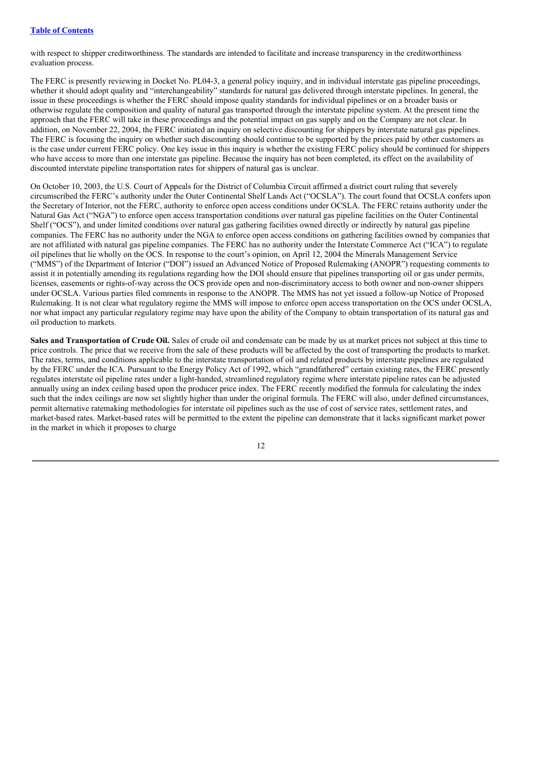with respect to shipper creditworthiness. The standards are intended to facilitate and increase transparency in the creditworthiness evaluation process.

The FERC is presently reviewing in Docket No. PL04-3, a general policy inquiry, and in individual interstate gas pipeline proceedings, whether it should adopt quality and "interchangeability" standards for natural gas delivered through interstate pipelines. In general, the issue in these proceedings is whether the FERC should impose quality standards for individual pipelines or on a broader basis or otherwise regulate the composition and quality of natural gas transported through the interstate pipeline system. At the present time the approach that the FERC will take in these proceedings and the potential impact on gas supply and on the Company are not clear. In addition, on November 22, 2004, the FERC initiated an inquiry on selective discounting for shippers by interstate natural gas pipelines. The FERC is focusing the inquiry on whether such discounting should continue to be supported by the prices paid by other customers as is the case under current FERC policy. One key issue in this inquiry is whether the existing FERC policy should be continued for shippers who have access to more than one interstate gas pipeline. Because the inquiry has not been completed, its effect on the availability of discounted interstate pipeline transportation rates for shippers of natural gas is unclear.

On October 10, 2003, the U.S. Court of Appeals for the District of Columbia Circuit affirmed a district court ruling that severely circumscribed the FERC's authority under the Outer Continental Shelf Lands Act ("OCSLA"). The court found that OCSLA confers upon the Secretary of Interior, not the FERC, authority to enforce open access conditions under OCSLA. The FERC retains authority under the Natural Gas Act ("NGA") to enforce open access transportation conditions over natural gas pipeline facilities on the Outer Continental Shelf ("OCS"), and under limited conditions over natural gas gathering facilities owned directly or indirectly by natural gas pipeline companies. The FERC has no authority under the NGA to enforce open access conditions on gathering facilities owned by companies that are not affiliated with natural gas pipeline companies. The FERC has no authority under the Interstate Commerce Act ("ICA") to regulate oil pipelines that lie wholly on the OCS. In response to the court's opinion, on April 12, 2004 the Minerals Management Service ("MMS") of the Department of Interior ("DOI") issued an Advanced Notice of Proposed Rulemaking (ANOPR") requesting comments to assist it in potentially amending its regulations regarding how the DOI should ensure that pipelines transporting oil or gas under permits, licenses, easements or rights-of-way across the OCS provide open and non-discriminatory access to both owner and non-owner shippers under OCSLA. Various parties filed comments in response to the ANOPR. The MMS has not yet issued a follow-up Notice of Proposed Rulemaking. It is not clear what regulatory regime the MMS will impose to enforce open access transportation on the OCS under OCSLA, nor what impact any particular regulatory regime may have upon the ability of the Company to obtain transportation of its natural gas and oil production to markets.

**Sales and Transportation of Crude Oil.** Sales of crude oil and condensate can be made by us at market prices not subject at this time to price controls. The price that we receive from the sale of these products will be affected by the cost of transporting the products to market. The rates, terms, and conditions applicable to the interstate transportation of oil and related products by interstate pipelines are regulated by the FERC under the ICA. Pursuant to the Energy Policy Act of 1992, which "grandfathered" certain existing rates, the FERC presently regulates interstate oil pipeline rates under a light-handed, streamlined regulatory regime where interstate pipeline rates can be adjusted annually using an index ceiling based upon the producer price index. The FERC recently modified the formula for calculating the index such that the index ceilings are now set slightly higher than under the original formula. The FERC will also, under defined circumstances, permit alternative ratemaking methodologies for interstate oil pipelines such as the use of cost of service rates, settlement rates, and market-based rates. Market-based rates will be permitted to the extent the pipeline can demonstrate that it lacks significant market power in the market in which it proposes to charge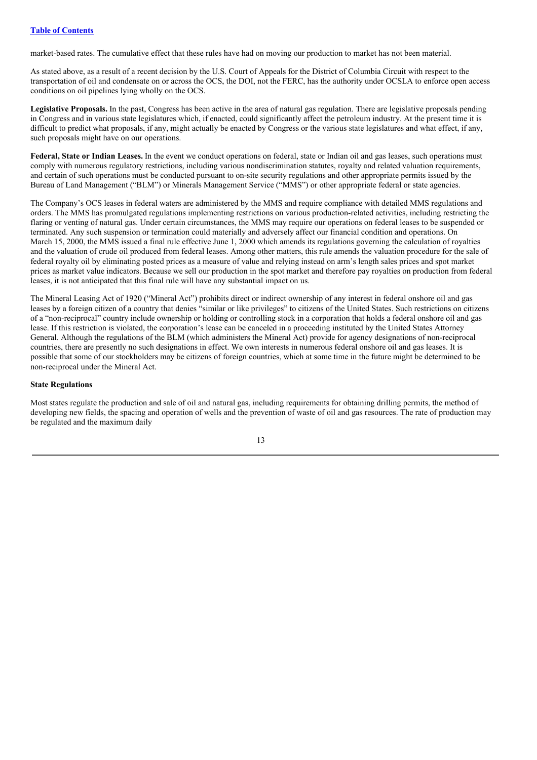market-based rates. The cumulative effect that these rules have had on moving our production to market has not been material.

As stated above, as a result of a recent decision by the U.S. Court of Appeals for the District of Columbia Circuit with respect to the transportation of oil and condensate on or across the OCS, the DOI, not the FERC, has the authority under OCSLA to enforce open access conditions on oil pipelines lying wholly on the OCS.

**Legislative Proposals.** In the past, Congress has been active in the area of natural gas regulation. There are legislative proposals pending in Congress and in various state legislatures which, if enacted, could significantly affect the petroleum industry. At the present time it is difficult to predict what proposals, if any, might actually be enacted by Congress or the various state legislatures and what effect, if any, such proposals might have on our operations.

**Federal, State or Indian Leases.** In the event we conduct operations on federal, state or Indian oil and gas leases, such operations must comply with numerous regulatory restrictions, including various nondiscrimination statutes, royalty and related valuation requirements, and certain of such operations must be conducted pursuant to on-site security regulations and other appropriate permits issued by the Bureau of Land Management ("BLM") or Minerals Management Service ("MMS") or other appropriate federal or state agencies.

The Company's OCS leases in federal waters are administered by the MMS and require compliance with detailed MMS regulations and orders. The MMS has promulgated regulations implementing restrictions on various production-related activities, including restricting the flaring or venting of natural gas. Under certain circumstances, the MMS may require our operations on federal leases to be suspended or terminated. Any such suspension or termination could materially and adversely affect our financial condition and operations. On March 15, 2000, the MMS issued a final rule effective June 1, 2000 which amends its regulations governing the calculation of royalties and the valuation of crude oil produced from federal leases. Among other matters, this rule amends the valuation procedure for the sale of federal royalty oil by eliminating posted prices as a measure of value and relying instead on arm's length sales prices and spot market prices as market value indicators. Because we sell our production in the spot market and therefore pay royalties on production from federal leases, it is not anticipated that this final rule will have any substantial impact on us.

The Mineral Leasing Act of 1920 ("Mineral Act") prohibits direct or indirect ownership of any interest in federal onshore oil and gas leases by a foreign citizen of a country that denies "similar or like privileges" to citizens of the United States. Such restrictions on citizens of a "non-reciprocal" country include ownership or holding or controlling stock in a corporation that holds a federal onshore oil and gas lease. If this restriction is violated, the corporation's lease can be canceled in a proceeding instituted by the United States Attorney General. Although the regulations of the BLM (which administers the Mineral Act) provide for agency designations of non-reciprocal countries, there are presently no such designations in effect. We own interests in numerous federal onshore oil and gas leases. It is possible that some of our stockholders may be citizens of foreign countries, which at some time in the future might be determined to be non-reciprocal under the Mineral Act.

#### **State Regulations**

Most states regulate the production and sale of oil and natural gas, including requirements for obtaining drilling permits, the method of developing new fields, the spacing and operation of wells and the prevention of waste of oil and gas resources. The rate of production may be regulated and the maximum daily

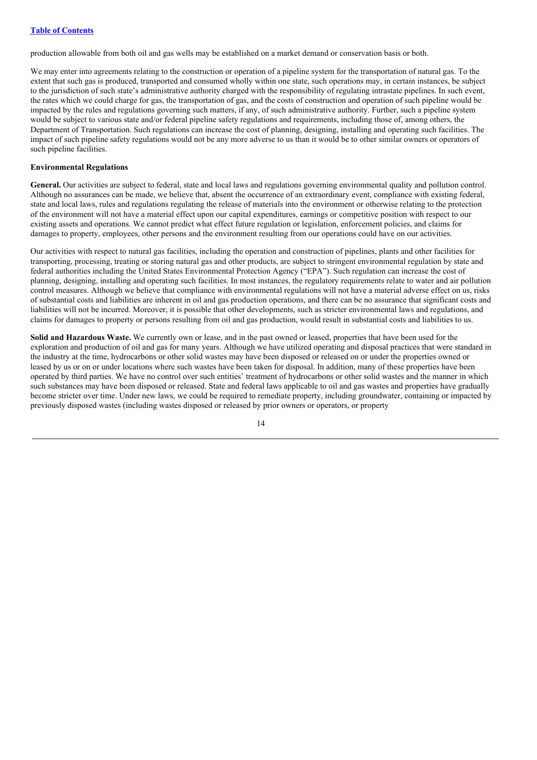production allowable from both oil and gas wells may be established on a market demand or conservation basis or both.

We may enter into agreements relating to the construction or operation of a pipeline system for the transportation of natural gas. To the extent that such gas is produced, transported and consumed wholly within one state, such operations may, in certain instances, be subject to the jurisdiction of such state's administrative authority charged with the responsibility of regulating intrastate pipelines. In such event, the rates which we could charge for gas, the transportation of gas, and the costs of construction and operation of such pipeline would be impacted by the rules and regulations governing such matters, if any, of such administrative authority. Further, such a pipeline system would be subject to various state and/or federal pipeline safety regulations and requirements, including those of, among others, the Department of Transportation. Such regulations can increase the cost of planning, designing, installing and operating such facilities. The impact of such pipeline safety regulations would not be any more adverse to us than it would be to other similar owners or operators of such pipeline facilities.

#### **Environmental Regulations**

**General.** Our activities are subject to federal, state and local laws and regulations governing environmental quality and pollution control. Although no assurances can be made, we believe that, absent the occurrence of an extraordinary event, compliance with existing federal, state and local laws, rules and regulations regulating the release of materials into the environment or otherwise relating to the protection of the environment will not have a material effect upon our capital expenditures, earnings or competitive position with respect to our existing assets and operations. We cannot predict what effect future regulation or legislation, enforcement policies, and claims for damages to property, employees, other persons and the environment resulting from our operations could have on our activities.

Our activities with respect to natural gas facilities, including the operation and construction of pipelines, plants and other facilities for transporting, processing, treating or storing natural gas and other products, are subject to stringent environmental regulation by state and federal authorities including the United States Environmental Protection Agency ("EPA"). Such regulation can increase the cost of planning, designing, installing and operating such facilities. In most instances, the regulatory requirements relate to water and air pollution control measures. Although we believe that compliance with environmental regulations will not have a material adverse effect on us, risks of substantial costs and liabilities are inherent in oil and gas production operations, and there can be no assurance that significant costs and liabilities will not be incurred. Moreover, it is possible that other developments, such as stricter environmental laws and regulations, and claims for damages to property or persons resulting from oil and gas production, would result in substantial costs and liabilities to us.

**Solid and Hazardous Waste.** We currently own or lease, and in the past owned or leased, properties that have been used for the exploration and production of oil and gas for many years. Although we have utilized operating and disposal practices that were standard in the industry at the time, hydrocarbons or other solid wastes may have been disposed or released on or under the properties owned or leased by us or on or under locations where such wastes have been taken for disposal. In addition, many of these properties have been operated by third parties. We have no control over such entities' treatment of hydrocarbons or other solid wastes and the manner in which such substances may have been disposed or released. State and federal laws applicable to oil and gas wastes and properties have gradually become stricter over time. Under new laws, we could be required to remediate property, including groundwater, containing or impacted by previously disposed wastes (including wastes disposed or released by prior owners or operators, or property

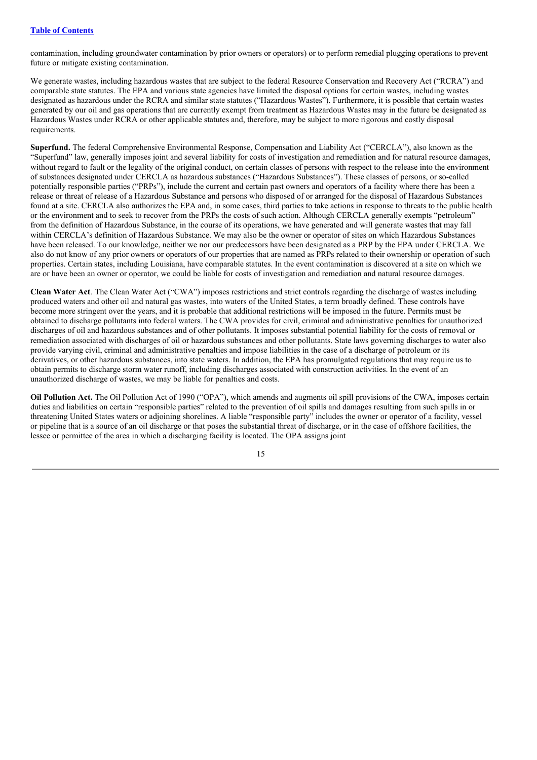contamination, including groundwater contamination by prior owners or operators) or to perform remedial plugging operations to prevent future or mitigate existing contamination.

We generate wastes, including hazardous wastes that are subject to the federal Resource Conservation and Recovery Act ("RCRA") and comparable state statutes. The EPA and various state agencies have limited the disposal options for certain wastes, including wastes designated as hazardous under the RCRA and similar state statutes ("Hazardous Wastes"). Furthermore, it is possible that certain wastes generated by our oil and gas operations that are currently exempt from treatment as Hazardous Wastes may in the future be designated as Hazardous Wastes under RCRA or other applicable statutes and, therefore, may be subject to more rigorous and costly disposal requirements.

**Superfund.** The federal Comprehensive Environmental Response, Compensation and Liability Act ("CERCLA"), also known as the "Superfund" law, generally imposes joint and several liability for costs of investigation and remediation and for natural resource damages, without regard to fault or the legality of the original conduct, on certain classes of persons with respect to the release into the environment of substances designated under CERCLA as hazardous substances ("Hazardous Substances"). These classes of persons, or so-called potentially responsible parties ("PRPs"), include the current and certain past owners and operators of a facility where there has been a release or threat of release of a Hazardous Substance and persons who disposed of or arranged for the disposal of Hazardous Substances found at a site. CERCLA also authorizes the EPA and, in some cases, third parties to take actions in response to threats to the public health or the environment and to seek to recover from the PRPs the costs of such action. Although CERCLA generally exempts "petroleum" from the definition of Hazardous Substance, in the course of its operations, we have generated and will generate wastes that may fall within CERCLA's definition of Hazardous Substance. We may also be the owner or operator of sites on which Hazardous Substances have been released. To our knowledge, neither we nor our predecessors have been designated as a PRP by the EPA under CERCLA. We also do not know of any prior owners or operators of our properties that are named as PRPs related to their ownership or operation of such properties. Certain states, including Louisiana, have comparable statutes. In the event contamination is discovered at a site on which we are or have been an owner or operator, we could be liable for costs of investigation and remediation and natural resource damages.

**Clean Water Act**. The Clean Water Act ("CWA") imposes restrictions and strict controls regarding the discharge of wastes including produced waters and other oil and natural gas wastes, into waters of the United States, a term broadly defined. These controls have become more stringent over the years, and it is probable that additional restrictions will be imposed in the future. Permits must be obtained to discharge pollutants into federal waters. The CWA provides for civil, criminal and administrative penalties for unauthorized discharges of oil and hazardous substances and of other pollutants. It imposes substantial potential liability for the costs of removal or remediation associated with discharges of oil or hazardous substances and other pollutants. State laws governing discharges to water also provide varying civil, criminal and administrative penalties and impose liabilities in the case of a discharge of petroleum or its derivatives, or other hazardous substances, into state waters. In addition, the EPA has promulgated regulations that may require us to obtain permits to discharge storm water runoff, including discharges associated with construction activities. In the event of an unauthorized discharge of wastes, we may be liable for penalties and costs.

**Oil Pollution Act.** The Oil Pollution Act of 1990 ("OPA"), which amends and augments oil spill provisions of the CWA, imposes certain duties and liabilities on certain "responsible parties" related to the prevention of oil spills and damages resulting from such spills in or threatening United States waters or adjoining shorelines. A liable "responsible party" includes the owner or operator of a facility, vessel or pipeline that is a source of an oil discharge or that poses the substantial threat of discharge, or in the case of offshore facilities, the lessee or permittee of the area in which a discharging facility is located. The OPA assigns joint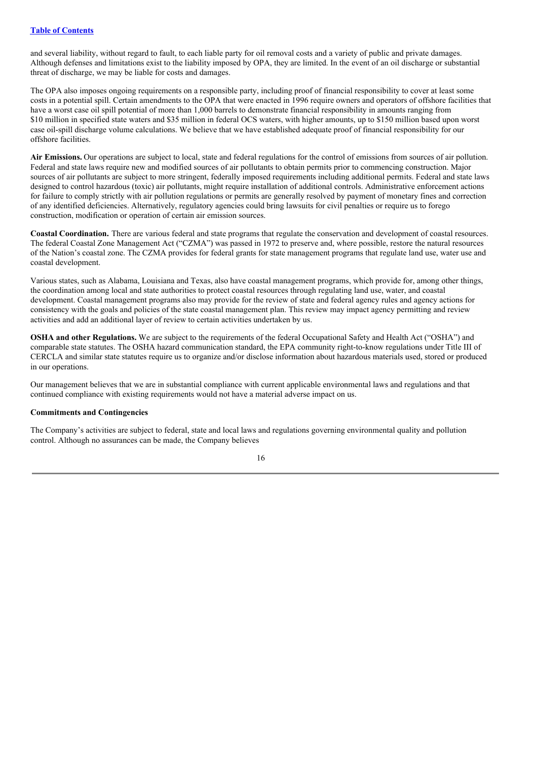and several liability, without regard to fault, to each liable party for oil removal costs and a variety of public and private damages. Although defenses and limitations exist to the liability imposed by OPA, they are limited. In the event of an oil discharge or substantial threat of discharge, we may be liable for costs and damages.

The OPA also imposes ongoing requirements on a responsible party, including proof of financial responsibility to cover at least some costs in a potential spill. Certain amendments to the OPA that were enacted in 1996 require owners and operators of offshore facilities that have a worst case oil spill potential of more than 1,000 barrels to demonstrate financial responsibility in amounts ranging from \$10 million in specified state waters and \$35 million in federal OCS waters, with higher amounts, up to \$150 million based upon worst case oil-spill discharge volume calculations. We believe that we have established adequate proof of financial responsibility for our offshore facilities.

**Air Emissions.** Our operations are subject to local, state and federal regulations for the control of emissions from sources of air pollution. Federal and state laws require new and modified sources of air pollutants to obtain permits prior to commencing construction. Major sources of air pollutants are subject to more stringent, federally imposed requirements including additional permits. Federal and state laws designed to control hazardous (toxic) air pollutants, might require installation of additional controls. Administrative enforcement actions for failure to comply strictly with air pollution regulations or permits are generally resolved by payment of monetary fines and correction of any identified deficiencies. Alternatively, regulatory agencies could bring lawsuits for civil penalties or require us to forego construction, modification or operation of certain air emission sources.

**Coastal Coordination.** There are various federal and state programs that regulate the conservation and development of coastal resources. The federal Coastal Zone Management Act ("CZMA") was passed in 1972 to preserve and, where possible, restore the natural resources of the Nation's coastal zone. The CZMA provides for federal grants for state management programs that regulate land use, water use and coastal development.

Various states, such as Alabama, Louisiana and Texas, also have coastal management programs, which provide for, among other things, the coordination among local and state authorities to protect coastal resources through regulating land use, water, and coastal development. Coastal management programs also may provide for the review of state and federal agency rules and agency actions for consistency with the goals and policies of the state coastal management plan. This review may impact agency permitting and review activities and add an additional layer of review to certain activities undertaken by us.

**OSHA and other Regulations.** We are subject to the requirements of the federal Occupational Safety and Health Act ("OSHA") and comparable state statutes. The OSHA hazard communication standard, the EPA community right-to-know regulations under Title III of CERCLA and similar state statutes require us to organize and/or disclose information about hazardous materials used, stored or produced in our operations.

Our management believes that we are in substantial compliance with current applicable environmental laws and regulations and that continued compliance with existing requirements would not have a material adverse impact on us.

#### **Commitments and Contingencies**

The Company's activities are subject to federal, state and local laws and regulations governing environmental quality and pollution control. Although no assurances can be made, the Company believes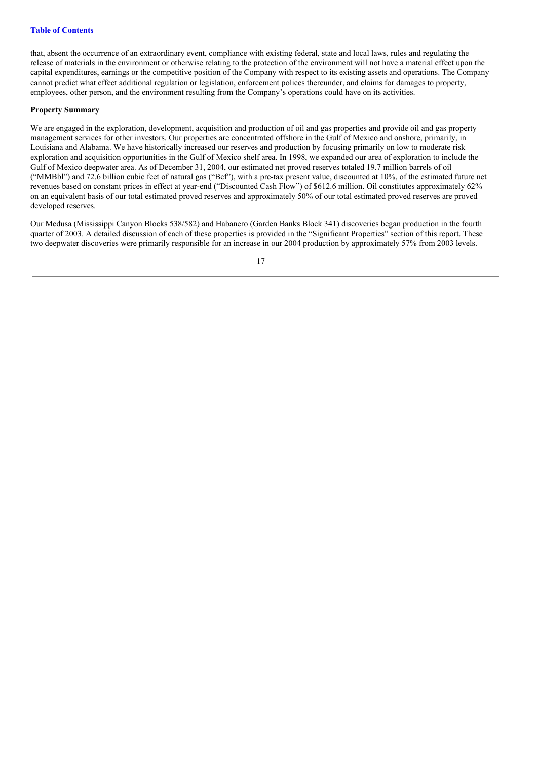that, absent the occurrence of an extraordinary event, compliance with existing federal, state and local laws, rules and regulating the release of materials in the environment or otherwise relating to the protection of the environment will not have a material effect upon the capital expenditures, earnings or the competitive position of the Company with respect to its existing assets and operations. The Company cannot predict what effect additional regulation or legislation, enforcement polices thereunder, and claims for damages to property, employees, other person, and the environment resulting from the Company's operations could have on its activities.

#### **Property Summary**

We are engaged in the exploration, development, acquisition and production of oil and gas properties and provide oil and gas property management services for other investors. Our properties are concentrated offshore in the Gulf of Mexico and onshore, primarily, in Louisiana and Alabama. We have historically increased our reserves and production by focusing primarily on low to moderate risk exploration and acquisition opportunities in the Gulf of Mexico shelf area. In 1998, we expanded our area of exploration to include the Gulf of Mexico deepwater area. As of December 31, 2004, our estimated net proved reserves totaled 19.7 million barrels of oil ("MMBbl") and 72.6 billion cubic feet of natural gas ("Bcf"), with a pre-tax present value, discounted at 10%, of the estimated future net revenues based on constant prices in effect at year-end ("Discounted Cash Flow") of \$612.6 million. Oil constitutes approximately 62% on an equivalent basis of our total estimated proved reserves and approximately 50% of our total estimated proved reserves are proved developed reserves.

Our Medusa (Mississippi Canyon Blocks 538/582) and Habanero (Garden Banks Block 341) discoveries began production in the fourth quarter of 2003. A detailed discussion of each of these properties is provided in the "Significant Properties" section of this report. These two deepwater discoveries were primarily responsible for an increase in our 2004 production by approximately 57% from 2003 levels.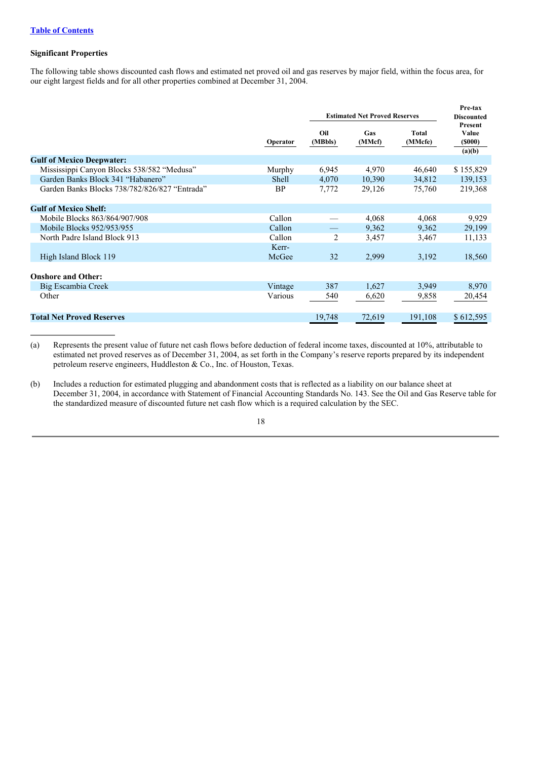# **Significant Properties**

The following table shows discounted cash flows and estimated net proved oil and gas reserves by major field, within the focus area, for our eight largest fields and for all other properties combined at December 31, 2004.

|                                               |              | <b>Estimated Net Proved Reserves</b> |               |                         | Pre-tax<br><b>Discounted</b>         |
|-----------------------------------------------|--------------|--------------------------------------|---------------|-------------------------|--------------------------------------|
|                                               | Operator     | Oil<br>(MBbls)                       | Gas<br>(MMcf) | <b>Total</b><br>(MMcfe) | Present<br>Value<br>(5000)<br>(a)(b) |
| <b>Gulf of Mexico Deepwater:</b>              |              |                                      |               |                         |                                      |
| Mississippi Canyon Blocks 538/582 "Medusa"    | Murphy       | 6,945                                | 4,970         | 46,640                  | \$155,829                            |
| Garden Banks Block 341 "Habanero"             | <b>Shell</b> | 4,070                                | 10,390        | 34,812                  | 139,153                              |
| Garden Banks Blocks 738/782/826/827 "Entrada" | <b>BP</b>    | 7,772                                | 29,126        | 75,760                  | 219,368                              |
| <b>Gulf of Mexico Shelf:</b>                  |              |                                      |               |                         |                                      |
| Mobile Blocks 863/864/907/908                 | Callon       |                                      | 4,068         | 4,068                   | 9,929                                |
| Mobile Blocks 952/953/955                     | Callon       |                                      | 9,362         | 9,362                   | 29,199                               |
| North Padre Island Block 913                  | Callon       | 2                                    | 3,457         | 3,467                   | 11,133                               |
|                                               | Kerr-        |                                      |               |                         |                                      |
| High Island Block 119                         | McGee        | 32                                   | 2,999         | 3,192                   | 18,560                               |
| <b>Onshore and Other:</b>                     |              |                                      |               |                         |                                      |
| Big Escambia Creek                            | Vintage      | 387                                  | 1,627         | 3,949                   | 8,970                                |
| Other                                         | Various      | 540                                  | 6,620         | 9,858                   | 20,454                               |
| <b>Total Net Proved Reserves</b>              |              | 19,748                               | 72,619        | 191,108                 | \$612,595                            |

(a) Represents the present value of future net cash flows before deduction of federal income taxes, discounted at 10%, attributable to estimated net proved reserves as of December 31, 2004, as set forth in the Company's reserve reports prepared by its independent petroleum reserve engineers, Huddleston & Co., Inc. of Houston, Texas.

(b) Includes a reduction for estimated plugging and abandonment costs that is reflected as a liability on our balance sheet at December 31, 2004, in accordance with Statement of Financial Accounting Standards No. 143. See the Oil and Gas Reserve table for the standardized measure of discounted future net cash flow which is a required calculation by the SEC.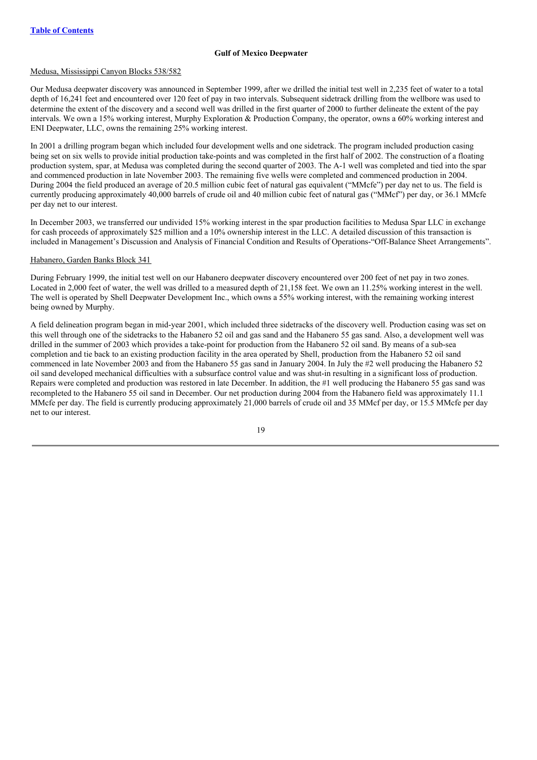#### **Gulf of Mexico Deepwater**

#### Medusa, Mississippi Canyon Blocks 538/582

Our Medusa deepwater discovery was announced in September 1999, after we drilled the initial test well in 2,235 feet of water to a total depth of 16,241 feet and encountered over 120 feet of pay in two intervals. Subsequent sidetrack drilling from the wellbore was used to determine the extent of the discovery and a second well was drilled in the first quarter of 2000 to further delineate the extent of the pay intervals. We own a 15% working interest, Murphy Exploration & Production Company, the operator, owns a 60% working interest and ENI Deepwater, LLC, owns the remaining 25% working interest.

In 2001 a drilling program began which included four development wells and one sidetrack. The program included production casing being set on six wells to provide initial production take-points and was completed in the first half of 2002. The construction of a floating production system, spar, at Medusa was completed during the second quarter of 2003. The A-1 well was completed and tied into the spar and commenced production in late November 2003. The remaining five wells were completed and commenced production in 2004. During 2004 the field produced an average of 20.5 million cubic feet of natural gas equivalent ("MMcfe") per day net to us. The field is currently producing approximately 40,000 barrels of crude oil and 40 million cubic feet of natural gas ("MMcf") per day, or 36.1 MMcfe per day net to our interest.

In December 2003, we transferred our undivided 15% working interest in the spar production facilities to Medusa Spar LLC in exchange for cash proceeds of approximately \$25 million and a 10% ownership interest in the LLC. A detailed discussion of this transaction is included in Management's Discussion and Analysis of Financial Condition and Results of Operations-"Off-Balance Sheet Arrangements".

#### Habanero, Garden Banks Block 341

During February 1999, the initial test well on our Habanero deepwater discovery encountered over 200 feet of net pay in two zones. Located in 2,000 feet of water, the well was drilled to a measured depth of 21,158 feet. We own an 11.25% working interest in the well. The well is operated by Shell Deepwater Development Inc., which owns a 55% working interest, with the remaining working interest being owned by Murphy.

A field delineation program began in mid-year 2001, which included three sidetracks of the discovery well. Production casing was set on this well through one of the sidetracks to the Habanero 52 oil and gas sand and the Habanero 55 gas sand. Also, a development well was drilled in the summer of 2003 which provides a take-point for production from the Habanero 52 oil sand. By means of a sub-sea completion and tie back to an existing production facility in the area operated by Shell, production from the Habanero 52 oil sand commenced in late November 2003 and from the Habanero 55 gas sand in January 2004. In July the #2 well producing the Habanero 52 oil sand developed mechanical difficulties with a subsurface control value and was shut-in resulting in a significant loss of production. Repairs were completed and production was restored in late December. In addition, the #1 well producing the Habanero 55 gas sand was recompleted to the Habanero 55 oil sand in December. Our net production during 2004 from the Habanero field was approximately 11.1 MMcfe per day. The field is currently producing approximately 21,000 barrels of crude oil and 35 MMcf per day, or 15.5 MMcfe per day net to our interest.

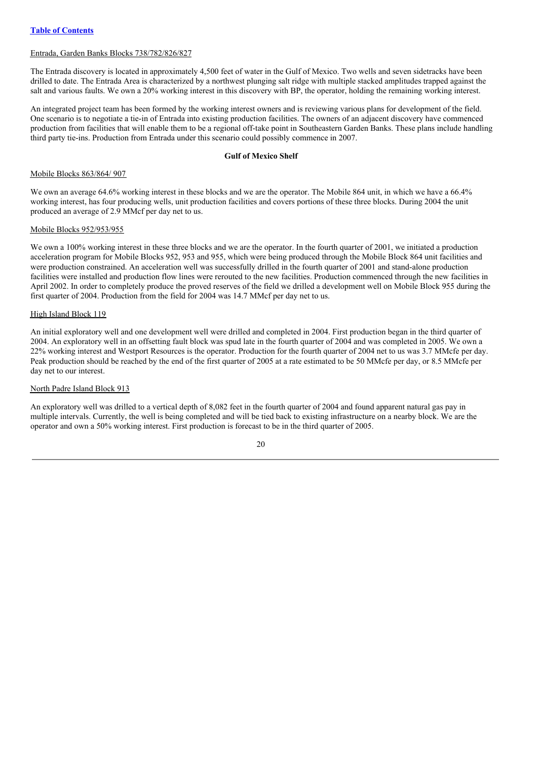# Entrada, Garden Banks Blocks 738/782/826/827

The Entrada discovery is located in approximately 4,500 feet of water in the Gulf of Mexico. Two wells and seven sidetracks have been drilled to date. The Entrada Area is characterized by a northwest plunging salt ridge with multiple stacked amplitudes trapped against the salt and various faults. We own a 20% working interest in this discovery with BP, the operator, holding the remaining working interest.

An integrated project team has been formed by the working interest owners and is reviewing various plans for development of the field. One scenario is to negotiate a tie-in of Entrada into existing production facilities. The owners of an adjacent discovery have commenced production from facilities that will enable them to be a regional off-take point in Southeastern Garden Banks. These plans include handling third party tie-ins. Production from Entrada under this scenario could possibly commence in 2007.

#### **Gulf of Mexico Shelf**

#### Mobile Blocks 863/864/ 907

We own an average 64.6% working interest in these blocks and we are the operator. The Mobile 864 unit, in which we have a 66.4% working interest, has four producing wells, unit production facilities and covers portions of these three blocks. During 2004 the unit produced an average of 2.9 MMcf per day net to us.

#### Mobile Blocks 952/953/955

We own a 100% working interest in these three blocks and we are the operator. In the fourth quarter of 2001, we initiated a production acceleration program for Mobile Blocks 952, 953 and 955, which were being produced through the Mobile Block 864 unit facilities and were production constrained. An acceleration well was successfully drilled in the fourth quarter of 2001 and stand-alone production facilities were installed and production flow lines were rerouted to the new facilities. Production commenced through the new facilities in April 2002. In order to completely produce the proved reserves of the field we drilled a development well on Mobile Block 955 during the first quarter of 2004. Production from the field for 2004 was 14.7 MMcf per day net to us.

#### High Island Block 119

An initial exploratory well and one development well were drilled and completed in 2004. First production began in the third quarter of 2004. An exploratory well in an offsetting fault block was spud late in the fourth quarter of 2004 and was completed in 2005. We own a 22% working interest and Westport Resources is the operator. Production for the fourth quarter of 2004 net to us was 3.7 MMcfe per day. Peak production should be reached by the end of the first quarter of 2005 at a rate estimated to be 50 MMcfe per day, or 8.5 MMcfe per day net to our interest.

#### North Padre Island Block 913

An exploratory well was drilled to a vertical depth of 8,082 feet in the fourth quarter of 2004 and found apparent natural gas pay in multiple intervals. Currently, the well is being completed and will be tied back to existing infrastructure on a nearby block. We are the operator and own a 50% working interest. First production is forecast to be in the third quarter of 2005.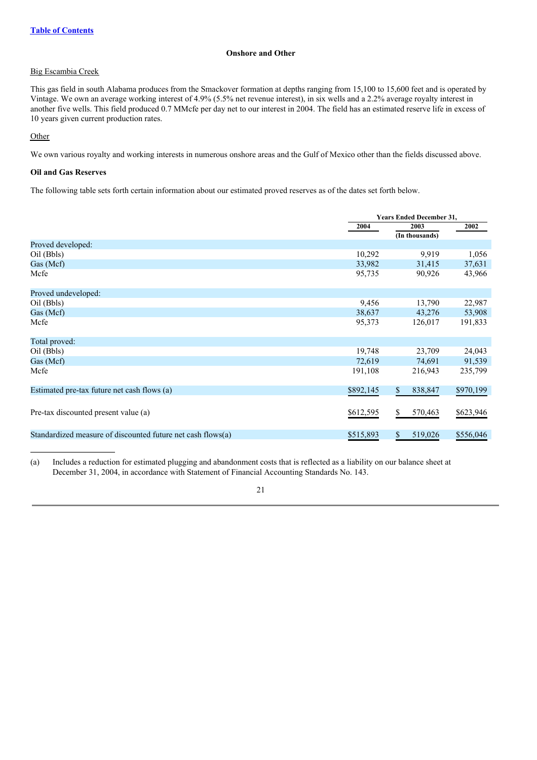# **Onshore and Other**

# Big Escambia Creek

This gas field in south Alabama produces from the Smackover formation at depths ranging from 15,100 to 15,600 feet and is operated by Vintage. We own an average working interest of 4.9% (5.5% net revenue interest), in six wells and a 2.2% average royalty interest in another five wells. This field produced 0.7 MMcfe per day net to our interest in 2004. The field has an estimated reserve life in excess of 10 years given current production rates.

# **Other**

We own various royalty and working interests in numerous onshore areas and the Gulf of Mexico other than the fields discussed above.

# **Oil and Gas Reserves**

The following table sets forth certain information about our estimated proved reserves as of the dates set forth below.

|                                                             | <b>Years Ended December 31,</b> |      |                |           |  |
|-------------------------------------------------------------|---------------------------------|------|----------------|-----------|--|
|                                                             | 2004                            | 2003 |                | 2002      |  |
|                                                             |                                 |      | (In thousands) |           |  |
| Proved developed:                                           |                                 |      |                |           |  |
| Oil (Bbls)                                                  | 10,292                          |      | 9,919          | 1,056     |  |
| Gas (Mcf)                                                   | 33,982                          |      | 31,415         | 37,631    |  |
| Mcfe                                                        | 95,735                          |      | 90,926         | 43,966    |  |
| Proved undeveloped:                                         |                                 |      |                |           |  |
| Oil (Bbls)                                                  | 9,456                           |      | 13,790         | 22,987    |  |
| Gas (Mcf)                                                   | 38,637                          |      | 43,276         | 53,908    |  |
| Mcfe                                                        | 95,373                          |      | 126,017        | 191,833   |  |
| Total proved:                                               |                                 |      |                |           |  |
| Oil (Bbls)                                                  | 19,748                          |      | 23,709         | 24,043    |  |
| Gas (Mcf)                                                   | 72,619                          |      | 74,691         | 91,539    |  |
| Mcfe                                                        | 191,108                         |      | 216,943        | 235,799   |  |
| Estimated pre-tax future net cash flows (a)                 | \$892,145                       | S    | 838,847        | \$970,199 |  |
| Pre-tax discounted present value (a)                        | \$612,595                       | S.   | 570,463        | \$623,946 |  |
| Standardized measure of discounted future net cash flows(a) | \$515,893                       | \$   | 519,026        | \$556,046 |  |

(a) Includes a reduction for estimated plugging and abandonment costs that is reflected as a liability on our balance sheet at December 31, 2004, in accordance with Statement of Financial Accounting Standards No. 143.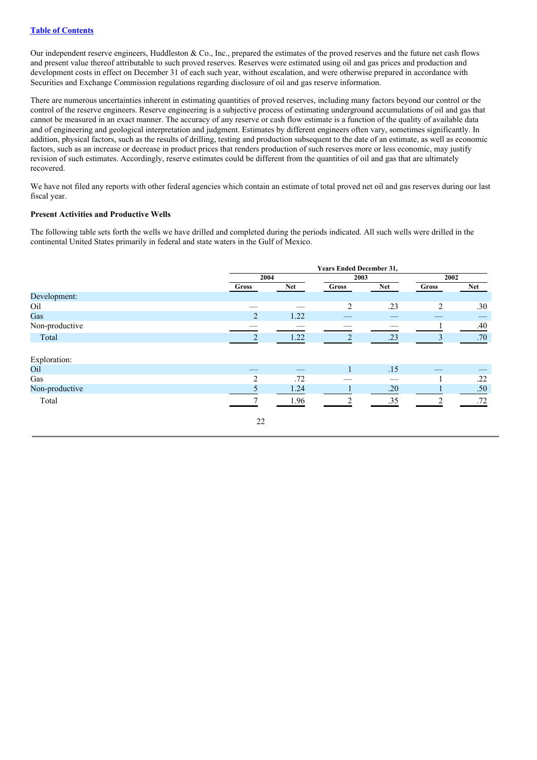Our independent reserve engineers, Huddleston & Co., Inc., prepared the estimates of the proved reserves and the future net cash flows and present value thereof attributable to such proved reserves. Reserves were estimated using oil and gas prices and production and development costs in effect on December 31 of each such year, without escalation, and were otherwise prepared in accordance with Securities and Exchange Commission regulations regarding disclosure of oil and gas reserve information.

There are numerous uncertainties inherent in estimating quantities of proved reserves, including many factors beyond our control or the control of the reserve engineers. Reserve engineering is a subjective process of estimating underground accumulations of oil and gas that cannot be measured in an exact manner. The accuracy of any reserve or cash flow estimate is a function of the quality of available data and of engineering and geological interpretation and judgment. Estimates by different engineers often vary, sometimes significantly. In addition, physical factors, such as the results of drilling, testing and production subsequent to the date of an estimate, as well as economic factors, such as an increase or decrease in product prices that renders production of such reserves more or less economic, may justify revision of such estimates. Accordingly, reserve estimates could be different from the quantities of oil and gas that are ultimately recovered.

We have not filed any reports with other federal agencies which contain an estimate of total proved net oil and gas reserves during our last fiscal year.

# **Present Activities and Productive Wells**

The following table sets forth the wells we have drilled and completed during the periods indicated. All such wells were drilled in the continental United States primarily in federal and state waters in the Gulf of Mexico.

|                |                |            | <b>Years Ended December 31,</b> |            |                |      |  |
|----------------|----------------|------------|---------------------------------|------------|----------------|------|--|
|                |                | 2004       |                                 | 2003       |                | 2002 |  |
|                | Gross          | <b>Net</b> | Gross                           | <b>Net</b> | Gross          | Net  |  |
| Development:   |                |            |                                 |            |                |      |  |
| Oil            |                |            | $\overline{2}$                  | .23        | $\overline{c}$ | .30  |  |
| Gas            | $\overline{2}$ | 1.22       |                                 |            |                |      |  |
| Non-productive |                |            |                                 |            |                | .40  |  |
| Total          |                | 1.22       |                                 | .23        |                | .70  |  |
| Exploration:   |                |            |                                 |            |                |      |  |
| Oil            |                |            | 1                               | .15        |                |      |  |
| Gas            | $\mathcal{L}$  | .72        |                                 |            |                | .22  |  |
| Non-productive |                | 1.24       |                                 | .20        |                | .50  |  |
| Total          |                | 1.96       | $\mathcal{D}$                   | .35        | ↑              | .72  |  |
|                | 22             |            |                                 |            |                |      |  |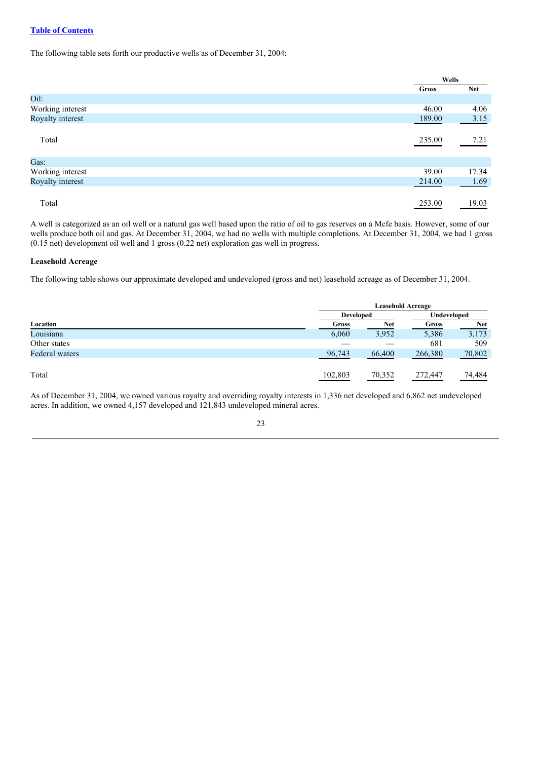The following table sets forth our productive wells as of December 31, 2004:

|                  |        | Wells  |
|------------------|--------|--------|
|                  | Gross  | Net    |
| Oil:             |        |        |
| Working interest | 46.00  | 4.06   |
| Royalty interest | 189.00 | $3.15$ |
| Total            | 235.00 | 7.21   |
| Gas:             |        |        |
| Working interest | 39.00  | 17.34  |
| Royalty interest | 214.00 | 1.69   |
| Total            | 253.00 | 19.03  |

A well is categorized as an oil well or a natural gas well based upon the ratio of oil to gas reserves on a Mcfe basis. However, some of our wells produce both oil and gas. At December 31, 2004, we had no wells with multiple completions. At December 31, 2004, we had 1 gross (0.15 net) development oil well and 1 gross (0.22 net) exploration gas well in progress.

# **Leasehold Acreage**

The following table shows our approximate developed and undeveloped (gross and net) leasehold acreage as of December 31, 2004.

| Location              |         | <b>Leasehold Acreage</b> |         |            |  |  |
|-----------------------|---------|--------------------------|---------|------------|--|--|
|                       |         | <b>Developed</b>         |         |            |  |  |
|                       | Gross   | <b>Net</b>               | Gross   | <b>Net</b> |  |  |
| Louisiana             | 6,060   | 3,952                    | 5,386   | 3,173      |  |  |
| Other states          |         |                          | 681     | 509        |  |  |
| <b>Federal</b> waters | 96,743  | 66,400                   | 266,380 | 70,802     |  |  |
| Total                 | 102,803 | 70,352                   | 272,447 | 74,484     |  |  |

As of December 31, 2004, we owned various royalty and overriding royalty interests in 1,336 net developed and 6,862 net undeveloped acres. In addition, we owned 4,157 developed and 121,843 undeveloped mineral acres.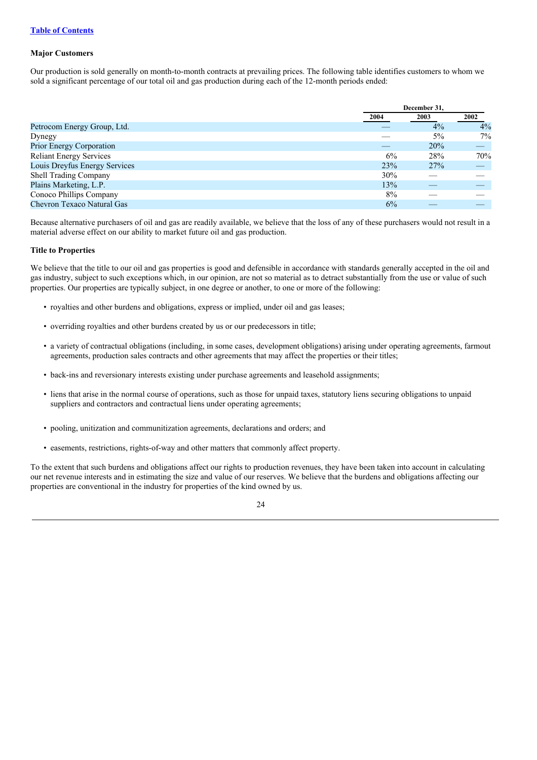# **Major Customers**

Our production is sold generally on month-to-month contracts at prevailing prices. The following table identifies customers to whom we sold a significant percentage of our total oil and gas production during each of the 12-month periods ended:

|                                |      | December 31, |       |  |
|--------------------------------|------|--------------|-------|--|
|                                | 2004 | 2003         | 2002  |  |
| Petrocom Energy Group, Ltd.    |      | $4\%$        | $4\%$ |  |
| Dynegy                         |      | $5\%$        | $7\%$ |  |
| Prior Energy Corporation       |      | 20%          |       |  |
| <b>Reliant Energy Services</b> | 6%   | 28%          | 70%   |  |
| Louis Dreyfus Energy Services  | 23%  | 27%          |       |  |
| <b>Shell Trading Company</b>   | 30%  |              |       |  |
| Plains Marketing, L.P.         | 13%  |              |       |  |
| Conoco Phillips Company        | 8%   |              |       |  |
| Chevron Texaco Natural Gas     | 6%   |              |       |  |

Because alternative purchasers of oil and gas are readily available, we believe that the loss of any of these purchasers would not result in a material adverse effect on our ability to market future oil and gas production.

### **Title to Properties**

We believe that the title to our oil and gas properties is good and defensible in accordance with standards generally accepted in the oil and gas industry, subject to such exceptions which, in our opinion, are not so material as to detract substantially from the use or value of such properties. Our properties are typically subject, in one degree or another, to one or more of the following:

- royalties and other burdens and obligations, express or implied, under oil and gas leases;
- overriding royalties and other burdens created by us or our predecessors in title;
- a variety of contractual obligations (including, in some cases, development obligations) arising under operating agreements, farmout agreements, production sales contracts and other agreements that may affect the properties or their titles;
- back-ins and reversionary interests existing under purchase agreements and leasehold assignments;
- liens that arise in the normal course of operations, such as those for unpaid taxes, statutory liens securing obligations to unpaid suppliers and contractors and contractual liens under operating agreements;
- pooling, unitization and communitization agreements, declarations and orders; and
- easements, restrictions, rights-of-way and other matters that commonly affect property.

To the extent that such burdens and obligations affect our rights to production revenues, they have been taken into account in calculating our net revenue interests and in estimating the size and value of our reserves. We believe that the burdens and obligations affecting our properties are conventional in the industry for properties of the kind owned by us.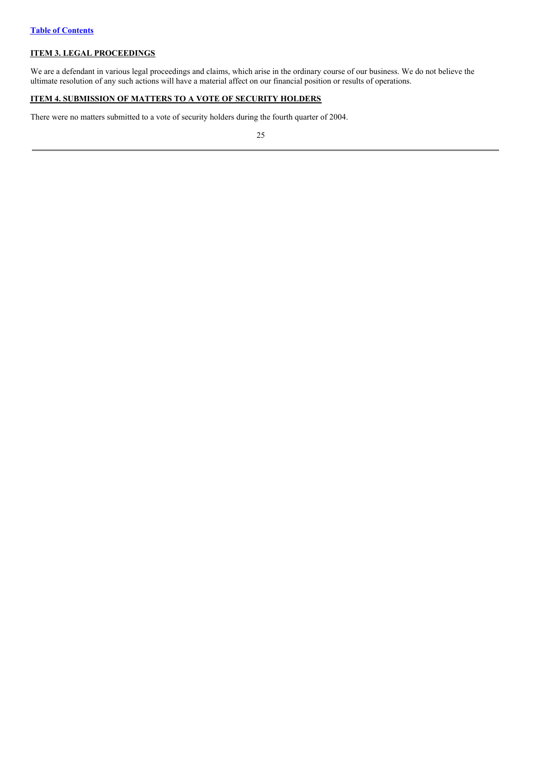# **ITEM 3. LEGAL PROCEEDINGS**

We are a defendant in various legal proceedings and claims, which arise in the ordinary course of our business. We do not believe the ultimate resolution of any such actions will have a material affect on our financial position or results of operations.

# **ITEM 4. SUBMISSION OF MATTERS TO A VOTE OF SECURITY HOLDERS**

There were no matters submitted to a vote of security holders during the fourth quarter of 2004.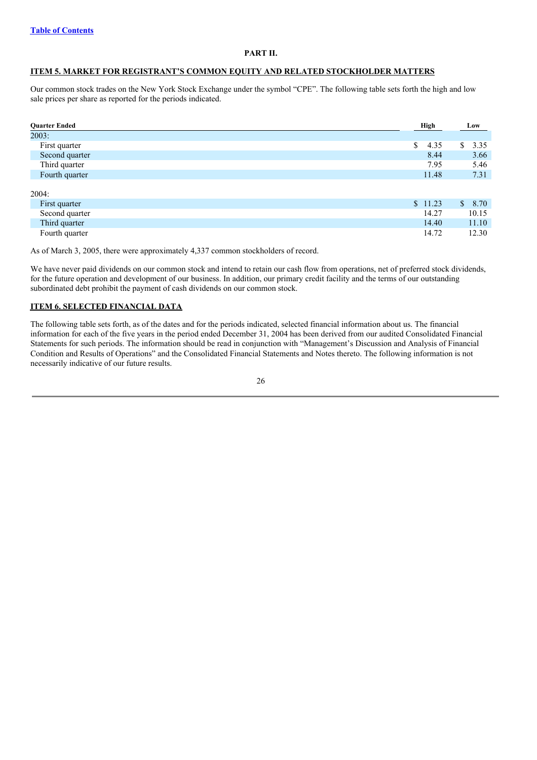# **PART II.**

#### **ITEM 5. MARKET FOR REGISTRANT'S COMMON EQUITY AND RELATED STOCKHOLDER MATTERS**

Our common stock trades on the New York Stock Exchange under the symbol "CPE". The following table sets forth the high and low sale prices per share as reported for the periods indicated.

| <b>Quarter Ended</b> | <b>High</b> | Low        |
|----------------------|-------------|------------|
| 2003:                |             |            |
| First quarter        | \$<br>4.35  | 3.35<br>S. |
| Second quarter       | 8.44        | 3.66       |
| Third quarter        | 7.95        | 5.46       |
| Fourth quarter       | 11.48       | 7.31       |
| 2004:                |             |            |
| First quarter        | \$11.23     | \$8.70     |
| Second quarter       | 14.27       | 10.15      |
| Third quarter        | 14.40       | 11.10      |
| Fourth quarter       | 14.72       | 12.30      |

As of March 3, 2005, there were approximately 4,337 common stockholders of record.

We have never paid dividends on our common stock and intend to retain our cash flow from operations, net of preferred stock dividends, for the future operation and development of our business. In addition, our primary credit facility and the terms of our outstanding subordinated debt prohibit the payment of cash dividends on our common stock.

# **ITEM 6. SELECTED FINANCIAL DATA**

The following table sets forth, as of the dates and for the periods indicated, selected financial information about us. The financial information for each of the five years in the period ended December 31, 2004 has been derived from our audited Consolidated Financial Statements for such periods. The information should be read in conjunction with "Management's Discussion and Analysis of Financial Condition and Results of Operations" and the Consolidated Financial Statements and Notes thereto. The following information is not necessarily indicative of our future results.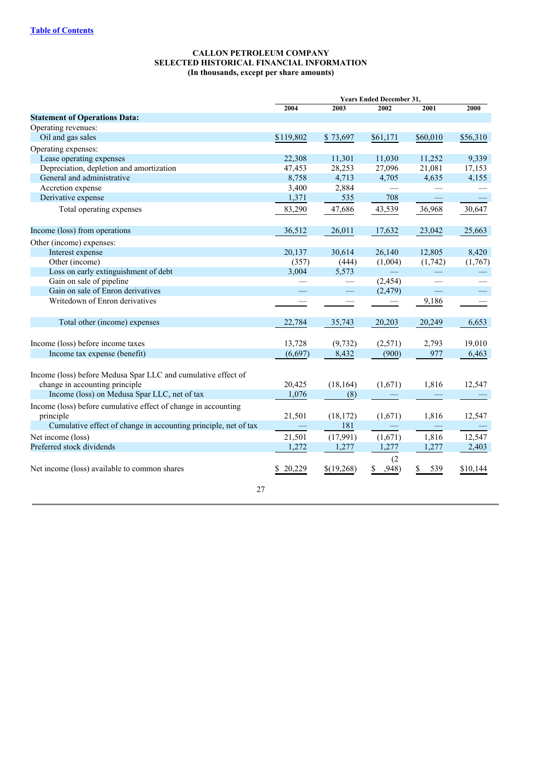# **CALLON PETROLEUM COMPANY SELECTED HISTORICAL FINANCIAL INFORMATION (In thousands, except per share amounts)**

|                                                                 | <b>Years Ended December 31,</b> |            |                         |                          |          |
|-----------------------------------------------------------------|---------------------------------|------------|-------------------------|--------------------------|----------|
|                                                                 | 2004                            | 2003       | 2002                    | 2001                     | 2000     |
| <b>Statement of Operations Data:</b>                            |                                 |            |                         |                          |          |
| Operating revenues:                                             |                                 |            |                         |                          |          |
| Oil and gas sales                                               | \$119,802                       | \$73,697   | \$61,171                | \$60,010                 | \$56,310 |
| Operating expenses:                                             |                                 |            |                         |                          |          |
| Lease operating expenses                                        | 22,308                          | 11,301     | 11,030                  | 11,252                   | 9,339    |
| Depreciation, depletion and amortization                        | 47,453                          | 28,253     | 27,096                  | 21,081                   | 17,153   |
| General and administrative                                      | 8,758                           | 4,713      | 4,705                   | 4,635                    | 4,155    |
| Accretion expense                                               | 3,400                           | 2,884      |                         |                          |          |
| Derivative expense                                              | 1,371                           | 535        | 708                     | $\qquad \qquad -$        |          |
| Total operating expenses                                        | 83,290                          | 47,686     | 43,539                  | 36,968                   | 30,647   |
| Income (loss) from operations                                   | 36,512                          | 26,011     | 17,632                  | 23,042                   | 25,663   |
| Other (income) expenses:                                        |                                 |            |                         |                          |          |
| Interest expense                                                | 20,137                          | 30,614     | 26,140                  | 12,805                   | 8,420    |
| Other (income)                                                  | (357)                           | (444)      | (1,004)                 | (1,742)                  | (1,767)  |
| Loss on early extinguishment of debt                            | 3,004                           | 5,573      |                         |                          |          |
| Gain on sale of pipeline                                        |                                 |            | (2, 454)                | $\overline{\phantom{0}}$ |          |
| Gain on sale of Enron derivatives                               |                                 |            | (2, 479)                | <u>e i</u>               |          |
| Writedown of Enron derivatives                                  |                                 |            |                         | 9,186                    |          |
| Total other (income) expenses                                   | 22,784                          | 35,743     | 20,203                  | 20,249                   | 6,653    |
| Income (loss) before income taxes                               | 13,728                          | (9, 732)   | (2,571)                 | 2,793                    | 19,010   |
| Income tax expense (benefit)                                    | (6,697)                         | 8,432      | (900)                   | 977                      | 6,463    |
| Income (loss) before Medusa Spar LLC and cumulative effect of   |                                 |            |                         |                          |          |
| change in accounting principle                                  | 20,425                          | (18, 164)  | (1,671)                 | 1,816                    | 12,547   |
| Income (loss) on Medusa Spar LLC, net of tax                    | 1,076                           | (8)        |                         |                          |          |
| Income (loss) before cumulative effect of change in accounting  |                                 |            |                         |                          |          |
| principle                                                       | 21,501                          | (18, 172)  | (1,671)                 | 1,816                    | 12,547   |
| Cumulative effect of change in accounting principle, net of tax | $\overline{\phantom{0}}$        | 181        |                         |                          |          |
| Net income (loss)                                               | 21,501                          | (17,991)   | (1,671)                 | 1,816                    | 12,547   |
| Preferred stock dividends                                       | 1,272                           | 1,277      | 1,277                   | 1,277                    | 2,403    |
|                                                                 |                                 |            | (2)                     |                          |          |
| Net income (loss) available to common shares                    | \$20,229                        | \$(19,268) | ,948)<br>$\mathbb{S}^-$ | \$<br>539                | \$10,144 |
| 27                                                              |                                 |            |                         |                          |          |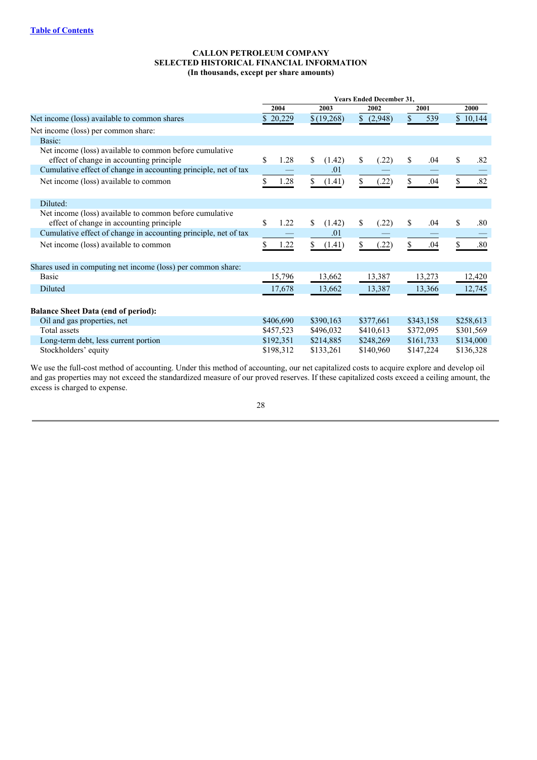## **CALLON PETROLEUM COMPANY SELECTED HISTORICAL FINANCIAL INFORMATION (In thousands, except per share amounts)**

|                                                                 | <b>Years Ended December 31,</b> |              |                         |           |              |
|-----------------------------------------------------------------|---------------------------------|--------------|-------------------------|-----------|--------------|
|                                                                 | 2004                            | 2003         | 2002                    | 2001      | 2000         |
| Net income (loss) available to common shares                    | 20,229                          | \$(19, 268)  | $\mathbb{S}$<br>(2,948) | \$<br>539 | \$<br>10,144 |
| Net income (loss) per common share:                             |                                 |              |                         |           |              |
| Basic:                                                          |                                 |              |                         |           |              |
| Net income (loss) available to common before cumulative         |                                 |              |                         |           |              |
| effect of change in accounting principle                        | \$<br>1.28                      | (1.42)<br>\$ | \$<br>(.22)             | \$<br>.04 | \$<br>.82    |
| Cumulative effect of change in accounting principle, net of tax |                                 | .01          |                         |           |              |
| Net income (loss) available to common                           | 1.28<br>S.                      | \$<br>(1.41) | $\mathbb{S}$<br>(.22)   | \$<br>.04 | .82          |
|                                                                 |                                 |              |                         |           |              |
| Diluted:                                                        |                                 |              |                         |           |              |
| Net income (loss) available to common before cumulative         |                                 |              |                         |           |              |
| effect of change in accounting principle                        | \$<br>1.22                      | \$<br>(1.42) | \$<br>(.22)             | \$<br>.04 | \$<br>.80    |
| Cumulative effect of change in accounting principle, net of tax |                                 | .01          |                         |           |              |
| Net income (loss) available to common                           | 1.22<br>\$                      | (1.41)       | \$.<br>(.22)            | \$<br>.04 | $.80\,$      |
|                                                                 |                                 |              |                         |           |              |
| Shares used in computing net income (loss) per common share:    |                                 |              |                         |           |              |
| Basic                                                           | 15,796                          | 13,662       | 13,387                  | 13,273    | 12,420       |
| Diluted                                                         | 17,678                          | 13,662       | 13,387                  | 13,366    | 12,745       |
|                                                                 |                                 |              |                         |           |              |
| <b>Balance Sheet Data (end of period):</b>                      |                                 |              |                         |           |              |
| Oil and gas properties, net                                     | \$406,690                       | \$390,163    | \$377,661               | \$343,158 | \$258,613    |
| <b>Total assets</b>                                             | \$457,523                       | \$496,032    | \$410,613               | \$372,095 | \$301,569    |
| Long-term debt, less current portion                            | \$192,351                       | \$214,885    | \$248,269               | \$161,733 | \$134,000    |
| Stockholders' equity                                            | \$198,312                       | \$133,261    | \$140,960               | \$147,224 | \$136,328    |

We use the full-cost method of accounting. Under this method of accounting, our net capitalized costs to acquire explore and develop oil and gas properties may not exceed the standardized measure of our proved reserves. If these capitalized costs exceed a ceiling amount, the excess is charged to expense.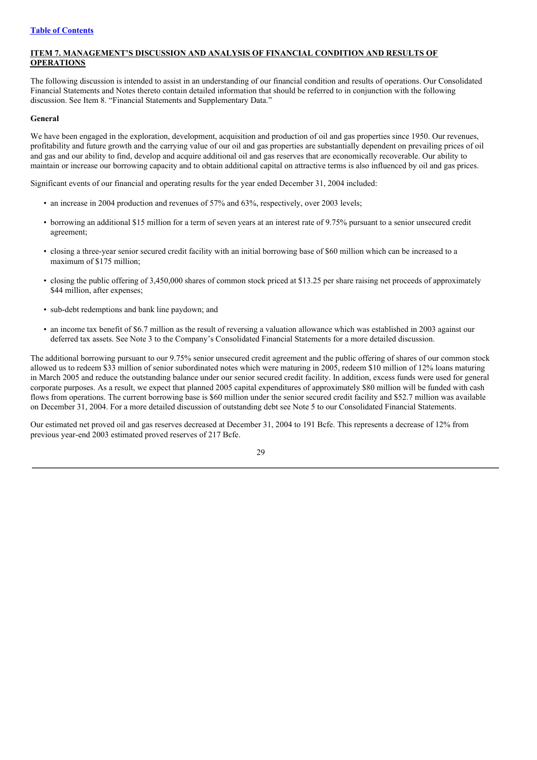# **ITEM 7. MANAGEMENT'S DISCUSSION AND ANALYSIS OF FINANCIAL CONDITION AND RESULTS OF OPERATIONS**

The following discussion is intended to assist in an understanding of our financial condition and results of operations. Our Consolidated Financial Statements and Notes thereto contain detailed information that should be referred to in conjunction with the following discussion. See Item 8. "Financial Statements and Supplementary Data."

#### **General**

We have been engaged in the exploration, development, acquisition and production of oil and gas properties since 1950. Our revenues, profitability and future growth and the carrying value of our oil and gas properties are substantially dependent on prevailing prices of oil and gas and our ability to find, develop and acquire additional oil and gas reserves that are economically recoverable. Our ability to maintain or increase our borrowing capacity and to obtain additional capital on attractive terms is also influenced by oil and gas prices.

Significant events of our financial and operating results for the year ended December 31, 2004 included:

- an increase in 2004 production and revenues of 57% and 63%, respectively, over 2003 levels;
- borrowing an additional \$15 million for a term of seven years at an interest rate of 9.75% pursuant to a senior unsecured credit agreement;
- closing a three-year senior secured credit facility with an initial borrowing base of \$60 million which can be increased to a maximum of \$175 million;
- closing the public offering of 3,450,000 shares of common stock priced at \$13.25 per share raising net proceeds of approximately \$44 million, after expenses;
- sub-debt redemptions and bank line paydown; and
- an income tax benefit of \$6.7 million as the result of reversing a valuation allowance which was established in 2003 against our deferred tax assets. See Note 3 to the Company's Consolidated Financial Statements for a more detailed discussion.

The additional borrowing pursuant to our 9.75% senior unsecured credit agreement and the public offering of shares of our common stock allowed us to redeem \$33 million of senior subordinated notes which were maturing in 2005, redeem \$10 million of 12% loans maturing in March 2005 and reduce the outstanding balance under our senior secured credit facility. In addition, excess funds were used for general corporate purposes. As a result, we expect that planned 2005 capital expenditures of approximately \$80 million will be funded with cash flows from operations. The current borrowing base is \$60 million under the senior secured credit facility and \$52.7 million was available on December 31, 2004. For a more detailed discussion of outstanding debt see Note 5 to our Consolidated Financial Statements.

Our estimated net proved oil and gas reserves decreased at December 31, 2004 to 191 Bcfe. This represents a decrease of 12% from previous year-end 2003 estimated proved reserves of 217 Bcfe.

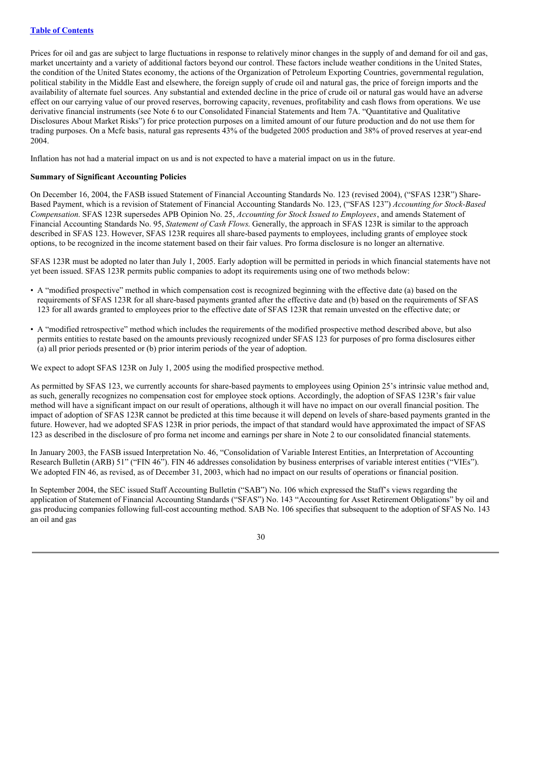Prices for oil and gas are subject to large fluctuations in response to relatively minor changes in the supply of and demand for oil and gas, market uncertainty and a variety of additional factors beyond our control. These factors include weather conditions in the United States, the condition of the United States economy, the actions of the Organization of Petroleum Exporting Countries, governmental regulation, political stability in the Middle East and elsewhere, the foreign supply of crude oil and natural gas, the price of foreign imports and the availability of alternate fuel sources. Any substantial and extended decline in the price of crude oil or natural gas would have an adverse effect on our carrying value of our proved reserves, borrowing capacity, revenues, profitability and cash flows from operations. We use derivative financial instruments (see Note 6 to our Consolidated Financial Statements and Item 7A. "Quantitative and Qualitative Disclosures About Market Risks") for price protection purposes on a limited amount of our future production and do not use them for trading purposes. On a Mcfe basis, natural gas represents 43% of the budgeted 2005 production and 38% of proved reserves at year-end 2004.

Inflation has not had a material impact on us and is not expected to have a material impact on us in the future.

#### **Summary of Significant Accounting Policies**

On December 16, 2004, the FASB issued Statement of Financial Accounting Standards No. 123 (revised 2004), ("SFAS 123R") Share-Based Payment, which is a revision of Statement of Financial Accounting Standards No. 123, ("SFAS 123") *Accounting for Stock-Based Compensation*. SFAS 123R supersedes APB Opinion No. 25, *Accounting for Stock Issued to Employees*, and amends Statement of Financial Accounting Standards No. 95, *Statement of Cash Flows*. Generally, the approach in SFAS 123R is similar to the approach described in SFAS 123. However, SFAS 123R requires all share-based payments to employees, including grants of employee stock options, to be recognized in the income statement based on their fair values. Pro forma disclosure is no longer an alternative.

SFAS 123R must be adopted no later than July 1, 2005. Early adoption will be permitted in periods in which financial statements have not yet been issued. SFAS 123R permits public companies to adopt its requirements using one of two methods below:

- A "modified prospective" method in which compensation cost is recognized beginning with the effective date (a) based on the requirements of SFAS 123R for all share-based payments granted after the effective date and (b) based on the requirements of SFAS 123 for all awards granted to employees prior to the effective date of SFAS 123R that remain unvested on the effective date; or
- A "modified retrospective" method which includes the requirements of the modified prospective method described above, but also permits entities to restate based on the amounts previously recognized under SFAS 123 for purposes of pro forma disclosures either (a) all prior periods presented or (b) prior interim periods of the year of adoption.

We expect to adopt SFAS 123R on July 1, 2005 using the modified prospective method.

As permitted by SFAS 123, we currently accounts for share-based payments to employees using Opinion 25's intrinsic value method and, as such, generally recognizes no compensation cost for employee stock options. Accordingly, the adoption of SFAS 123R's fair value method will have a significant impact on our result of operations, although it will have no impact on our overall financial position. The impact of adoption of SFAS 123R cannot be predicted at this time because it will depend on levels of share-based payments granted in the future. However, had we adopted SFAS 123R in prior periods, the impact of that standard would have approximated the impact of SFAS 123 as described in the disclosure of pro forma net income and earnings per share in Note 2 to our consolidated financial statements.

In January 2003, the FASB issued Interpretation No. 46, "Consolidation of Variable Interest Entities, an Interpretation of Accounting Research Bulletin (ARB) 51" ("FIN 46"). FIN 46 addresses consolidation by business enterprises of variable interest entities ("VIEs"). We adopted FIN 46, as revised, as of December 31, 2003, which had no impact on our results of operations or financial position.

In September 2004, the SEC issued Staff Accounting Bulletin ("SAB") No. 106 which expressed the Staff's views regarding the application of Statement of Financial Accounting Standards ("SFAS") No. 143 "Accounting for Asset Retirement Obligations" by oil and gas producing companies following full-cost accounting method. SAB No. 106 specifies that subsequent to the adoption of SFAS No. 143 an oil and gas

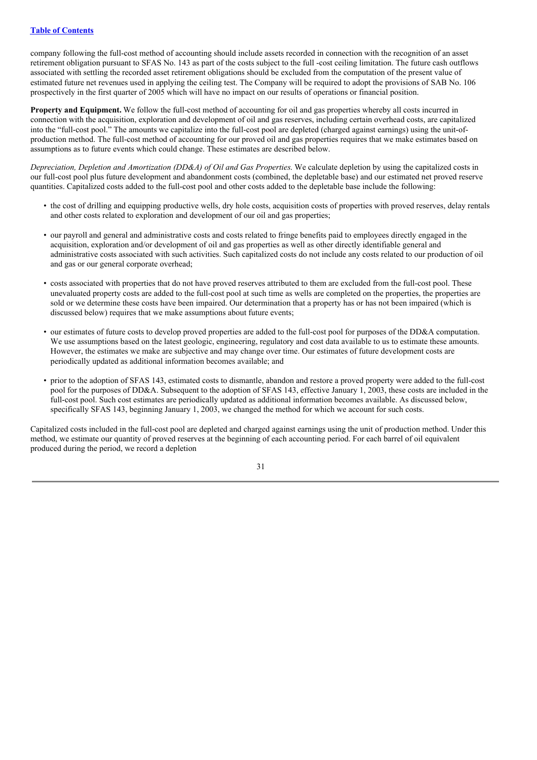company following the full-cost method of accounting should include assets recorded in connection with the recognition of an asset retirement obligation pursuant to SFAS No. 143 as part of the costs subject to the full -cost ceiling limitation. The future cash outflows associated with settling the recorded asset retirement obligations should be excluded from the computation of the present value of estimated future net revenues used in applying the ceiling test. The Company will be required to adopt the provisions of SAB No. 106 prospectively in the first quarter of 2005 which will have no impact on our results of operations or financial position.

**Property and Equipment.** We follow the full-cost method of accounting for oil and gas properties whereby all costs incurred in connection with the acquisition, exploration and development of oil and gas reserves, including certain overhead costs, are capitalized into the "full-cost pool." The amounts we capitalize into the full-cost pool are depleted (charged against earnings) using the unit-ofproduction method. The full-cost method of accounting for our proved oil and gas properties requires that we make estimates based on assumptions as to future events which could change. These estimates are described below.

*Depreciation, Depletion and Amortization (DD&A) of Oil and Gas Properties*. We calculate depletion by using the capitalized costs in our full-cost pool plus future development and abandonment costs (combined, the depletable base) and our estimated net proved reserve quantities. Capitalized costs added to the full-cost pool and other costs added to the depletable base include the following:

- the cost of drilling and equipping productive wells, dry hole costs, acquisition costs of properties with proved reserves, delay rentals and other costs related to exploration and development of our oil and gas properties;
- our payroll and general and administrative costs and costs related to fringe benefits paid to employees directly engaged in the acquisition, exploration and/or development of oil and gas properties as well as other directly identifiable general and administrative costs associated with such activities. Such capitalized costs do not include any costs related to our production of oil and gas or our general corporate overhead;
- costs associated with properties that do not have proved reserves attributed to them are excluded from the full-cost pool. These unevaluated property costs are added to the full-cost pool at such time as wells are completed on the properties, the properties are sold or we determine these costs have been impaired. Our determination that a property has or has not been impaired (which is discussed below) requires that we make assumptions about future events;
- our estimates of future costs to develop proved properties are added to the full-cost pool for purposes of the DD&A computation. We use assumptions based on the latest geologic, engineering, regulatory and cost data available to us to estimate these amounts. However, the estimates we make are subjective and may change over time. Our estimates of future development costs are periodically updated as additional information becomes available; and
- prior to the adoption of SFAS 143, estimated costs to dismantle, abandon and restore a proved property were added to the full-cost pool for the purposes of DD&A. Subsequent to the adoption of SFAS 143, effective January 1, 2003, these costs are included in the full-cost pool. Such cost estimates are periodically updated as additional information becomes available. As discussed below, specifically SFAS 143, beginning January 1, 2003, we changed the method for which we account for such costs.

Capitalized costs included in the full-cost pool are depleted and charged against earnings using the unit of production method. Under this method, we estimate our quantity of proved reserves at the beginning of each accounting period. For each barrel of oil equivalent produced during the period, we record a depletion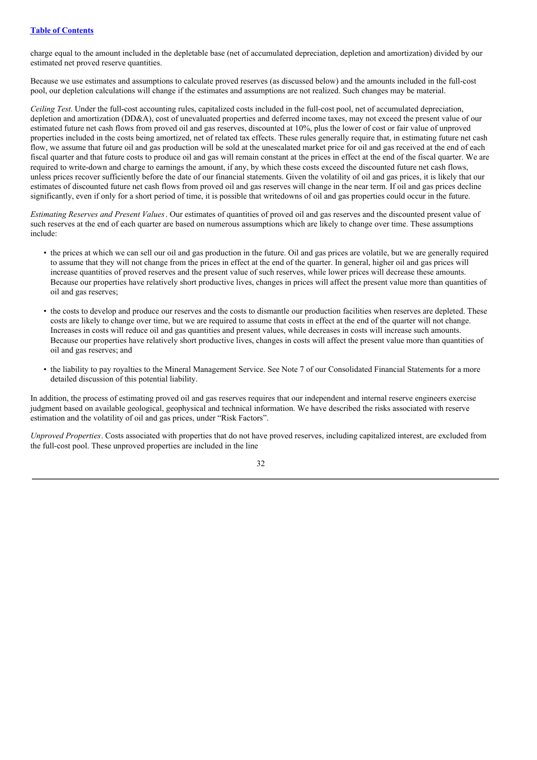charge equal to the amount included in the depletable base (net of accumulated depreciation, depletion and amortization) divided by our estimated net proved reserve quantities.

Because we use estimates and assumptions to calculate proved reserves (as discussed below) and the amounts included in the full-cost pool, our depletion calculations will change if the estimates and assumptions are not realized. Such changes may be material.

*Ceiling Test*. Under the full-cost accounting rules, capitalized costs included in the full-cost pool, net of accumulated depreciation, depletion and amortization (DD&A), cost of unevaluated properties and deferred income taxes, may not exceed the present value of our estimated future net cash flows from proved oil and gas reserves, discounted at 10%, plus the lower of cost or fair value of unproved properties included in the costs being amortized, net of related tax effects. These rules generally require that, in estimating future net cash flow, we assume that future oil and gas production will be sold at the unescalated market price for oil and gas received at the end of each fiscal quarter and that future costs to produce oil and gas will remain constant at the prices in effect at the end of the fiscal quarter. We are required to write-down and charge to earnings the amount, if any, by which these costs exceed the discounted future net cash flows, unless prices recover sufficiently before the date of our financial statements. Given the volatility of oil and gas prices, it is likely that our estimates of discounted future net cash flows from proved oil and gas reserves will change in the near term. If oil and gas prices decline significantly, even if only for a short period of time, it is possible that writedowns of oil and gas properties could occur in the future.

*Estimating Reserves and Present Values*. Our estimates of quantities of proved oil and gas reserves and the discounted present value of such reserves at the end of each quarter are based on numerous assumptions which are likely to change over time. These assumptions include:

- the prices at which we can sell our oil and gas production in the future. Oil and gas prices are volatile, but we are generally required to assume that they will not change from the prices in effect at the end of the quarter. In general, higher oil and gas prices will increase quantities of proved reserves and the present value of such reserves, while lower prices will decrease these amounts. Because our properties have relatively short productive lives, changes in prices will affect the present value more than quantities of oil and gas reserves;
- the costs to develop and produce our reserves and the costs to dismantle our production facilities when reserves are depleted. These costs are likely to change over time, but we are required to assume that costs in effect at the end of the quarter will not change. Increases in costs will reduce oil and gas quantities and present values, while decreases in costs will increase such amounts. Because our properties have relatively short productive lives, changes in costs will affect the present value more than quantities of oil and gas reserves; and
- the liability to pay royalties to the Mineral Management Service. See Note 7 of our Consolidated Financial Statements for a more detailed discussion of this potential liability.

In addition, the process of estimating proved oil and gas reserves requires that our independent and internal reserve engineers exercise judgment based on available geological, geophysical and technical information. We have described the risks associated with reserve estimation and the volatility of oil and gas prices, under "Risk Factors".

*Unproved Properties*. Costs associated with properties that do not have proved reserves, including capitalized interest, are excluded from the full-cost pool. These unproved properties are included in the line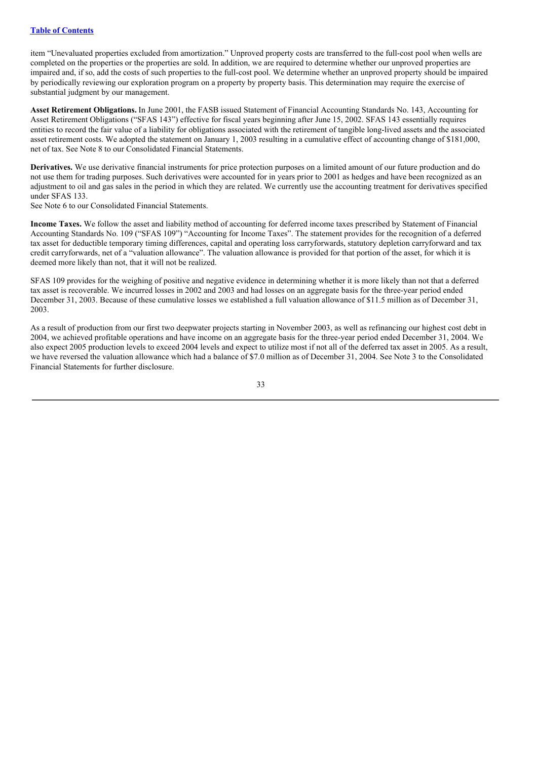item "Unevaluated properties excluded from amortization." Unproved property costs are transferred to the full-cost pool when wells are completed on the properties or the properties are sold. In addition, we are required to determine whether our unproved properties are impaired and, if so, add the costs of such properties to the full-cost pool. We determine whether an unproved property should be impaired by periodically reviewing our exploration program on a property by property basis. This determination may require the exercise of substantial judgment by our management.

**Asset Retirement Obligations.** In June 2001, the FASB issued Statement of Financial Accounting Standards No. 143, Accounting for Asset Retirement Obligations ("SFAS 143") effective for fiscal years beginning after June 15, 2002. SFAS 143 essentially requires entities to record the fair value of a liability for obligations associated with the retirement of tangible long-lived assets and the associated asset retirement costs. We adopted the statement on January 1, 2003 resulting in a cumulative effect of accounting change of \$181,000, net of tax. See Note 8 to our Consolidated Financial Statements.

**Derivatives.** We use derivative financial instruments for price protection purposes on a limited amount of our future production and do not use them for trading purposes. Such derivatives were accounted for in years prior to 2001 as hedges and have been recognized as an adjustment to oil and gas sales in the period in which they are related. We currently use the accounting treatment for derivatives specified under SFAS 133.

See Note 6 to our Consolidated Financial Statements.

**Income Taxes.** We follow the asset and liability method of accounting for deferred income taxes prescribed by Statement of Financial Accounting Standards No. 109 ("SFAS 109") "Accounting for Income Taxes". The statement provides for the recognition of a deferred tax asset for deductible temporary timing differences, capital and operating loss carryforwards, statutory depletion carryforward and tax credit carryforwards, net of a "valuation allowance". The valuation allowance is provided for that portion of the asset, for which it is deemed more likely than not, that it will not be realized.

SFAS 109 provides for the weighing of positive and negative evidence in determining whether it is more likely than not that a deferred tax asset is recoverable. We incurred losses in 2002 and 2003 and had losses on an aggregate basis for the three-year period ended December 31, 2003. Because of these cumulative losses we established a full valuation allowance of \$11.5 million as of December 31, 2003.

As a result of production from our first two deepwater projects starting in November 2003, as well as refinancing our highest cost debt in 2004, we achieved profitable operations and have income on an aggregate basis for the three-year period ended December 31, 2004. We also expect 2005 production levels to exceed 2004 levels and expect to utilize most if not all of the deferred tax asset in 2005. As a result, we have reversed the valuation allowance which had a balance of \$7.0 million as of December 31, 2004. See Note 3 to the Consolidated Financial Statements for further disclosure.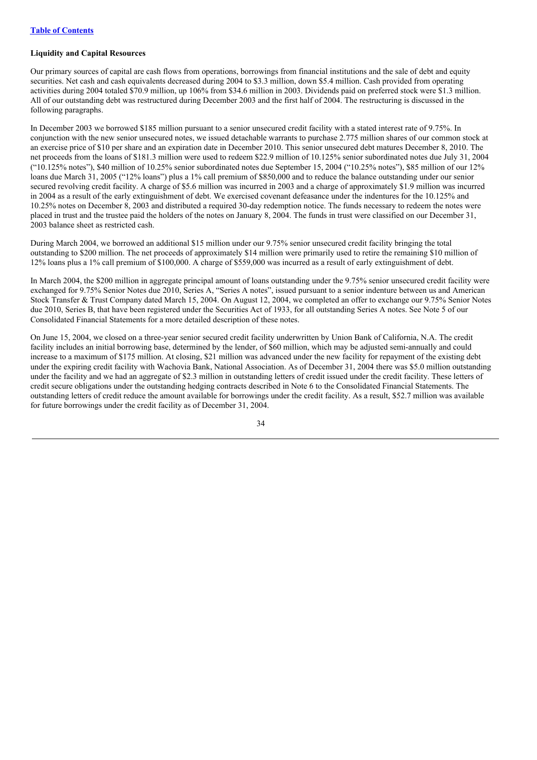# **Liquidity and Capital Resources**

Our primary sources of capital are cash flows from operations, borrowings from financial institutions and the sale of debt and equity securities. Net cash and cash equivalents decreased during 2004 to \$3.3 million, down \$5.4 million. Cash provided from operating activities during 2004 totaled \$70.9 million, up 106% from \$34.6 million in 2003. Dividends paid on preferred stock were \$1.3 million. All of our outstanding debt was restructured during December 2003 and the first half of 2004. The restructuring is discussed in the following paragraphs.

In December 2003 we borrowed \$185 million pursuant to a senior unsecured credit facility with a stated interest rate of 9.75%. In conjunction with the new senior unsecured notes, we issued detachable warrants to purchase 2.775 million shares of our common stock at an exercise price of \$10 per share and an expiration date in December 2010. This senior unsecured debt matures December 8, 2010. The net proceeds from the loans of \$181.3 million were used to redeem \$22.9 million of 10.125% senior subordinated notes due July 31, 2004  $(10.125\% \text{ notes}^{\prime\prime})$ , \$40 million of 10.25% senior subordinated notes due September 15, 2004 ( $10.25\%$  notes"), \$85 million of our 12% loans due March 31, 2005 ("12% loans") plus a 1% call premium of \$850,000 and to reduce the balance outstanding under our senior secured revolving credit facility. A charge of \$5.6 million was incurred in 2003 and a charge of approximately \$1.9 million was incurred in 2004 as a result of the early extinguishment of debt. We exercised covenant defeasance under the indentures for the 10.125% and 10.25% notes on December 8, 2003 and distributed a required 30-day redemption notice. The funds necessary to redeem the notes were placed in trust and the trustee paid the holders of the notes on January 8, 2004. The funds in trust were classified on our December 31, 2003 balance sheet as restricted cash.

During March 2004, we borrowed an additional \$15 million under our 9.75% senior unsecured credit facility bringing the total outstanding to \$200 million. The net proceeds of approximately \$14 million were primarily used to retire the remaining \$10 million of 12% loans plus a 1% call premium of \$100,000. A charge of \$559,000 was incurred as a result of early extinguishment of debt.

In March 2004, the \$200 million in aggregate principal amount of loans outstanding under the 9.75% senior unsecured credit facility were exchanged for 9.75% Senior Notes due 2010, Series A, "Series A notes", issued pursuant to a senior indenture between us and American Stock Transfer & Trust Company dated March 15, 2004. On August 12, 2004, we completed an offer to exchange our 9.75% Senior Notes due 2010, Series B, that have been registered under the Securities Act of 1933, for all outstanding Series A notes. See Note 5 of our Consolidated Financial Statements for a more detailed description of these notes.

On June 15, 2004, we closed on a three-year senior secured credit facility underwritten by Union Bank of California, N.A. The credit facility includes an initial borrowing base, determined by the lender, of \$60 million, which may be adjusted semi-annually and could increase to a maximum of \$175 million. At closing, \$21 million was advanced under the new facility for repayment of the existing debt under the expiring credit facility with Wachovia Bank, National Association. As of December 31, 2004 there was \$5.0 million outstanding under the facility and we had an aggregate of \$2.3 million in outstanding letters of credit issued under the credit facility. These letters of credit secure obligations under the outstanding hedging contracts described in Note 6 to the Consolidated Financial Statements. The outstanding letters of credit reduce the amount available for borrowings under the credit facility. As a result, \$52.7 million was available for future borrowings under the credit facility as of December 31, 2004.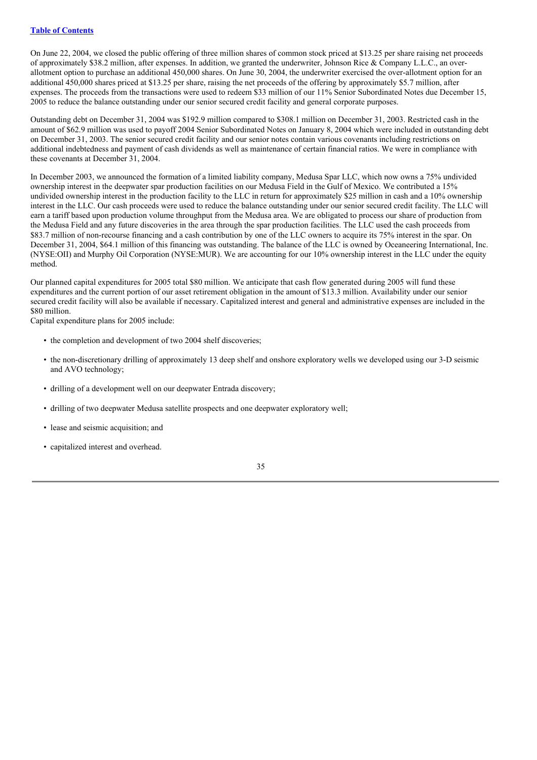On June 22, 2004, we closed the public offering of three million shares of common stock priced at \$13.25 per share raising net proceeds of approximately \$38.2 million, after expenses. In addition, we granted the underwriter, Johnson Rice & Company L.L.C., an overallotment option to purchase an additional 450,000 shares. On June 30, 2004, the underwriter exercised the over-allotment option for an additional 450,000 shares priced at \$13.25 per share, raising the net proceeds of the offering by approximately \$5.7 million, after expenses. The proceeds from the transactions were used to redeem \$33 million of our 11% Senior Subordinated Notes due December 15, 2005 to reduce the balance outstanding under our senior secured credit facility and general corporate purposes.

Outstanding debt on December 31, 2004 was \$192.9 million compared to \$308.1 million on December 31, 2003. Restricted cash in the amount of \$62.9 million was used to payoff 2004 Senior Subordinated Notes on January 8, 2004 which were included in outstanding debt on December 31, 2003. The senior secured credit facility and our senior notes contain various covenants including restrictions on additional indebtedness and payment of cash dividends as well as maintenance of certain financial ratios. We were in compliance with these covenants at December 31, 2004.

In December 2003, we announced the formation of a limited liability company, Medusa Spar LLC, which now owns a 75% undivided ownership interest in the deepwater spar production facilities on our Medusa Field in the Gulf of Mexico. We contributed a 15% undivided ownership interest in the production facility to the LLC in return for approximately \$25 million in cash and a 10% ownership interest in the LLC. Our cash proceeds were used to reduce the balance outstanding under our senior secured credit facility. The LLC will earn a tariff based upon production volume throughput from the Medusa area. We are obligated to process our share of production from the Medusa Field and any future discoveries in the area through the spar production facilities. The LLC used the cash proceeds from \$83.7 million of non-recourse financing and a cash contribution by one of the LLC owners to acquire its 75% interest in the spar. On December 31, 2004, \$64.1 million of this financing was outstanding. The balance of the LLC is owned by Oceaneering International, Inc. (NYSE:OII) and Murphy Oil Corporation (NYSE:MUR). We are accounting for our 10% ownership interest in the LLC under the equity method.

Our planned capital expenditures for 2005 total \$80 million. We anticipate that cash flow generated during 2005 will fund these expenditures and the current portion of our asset retirement obligation in the amount of \$13.3 million. Availability under our senior secured credit facility will also be available if necessary. Capitalized interest and general and administrative expenses are included in the \$80 million.

Capital expenditure plans for 2005 include:

- the completion and development of two 2004 shelf discoveries;
- the non-discretionary drilling of approximately 13 deep shelf and onshore exploratory wells we developed using our 3-D seismic and AVO technology;
- drilling of a development well on our deepwater Entrada discovery;
- drilling of two deepwater Medusa satellite prospects and one deepwater exploratory well;
- lease and seismic acquisition; and
- capitalized interest and overhead.

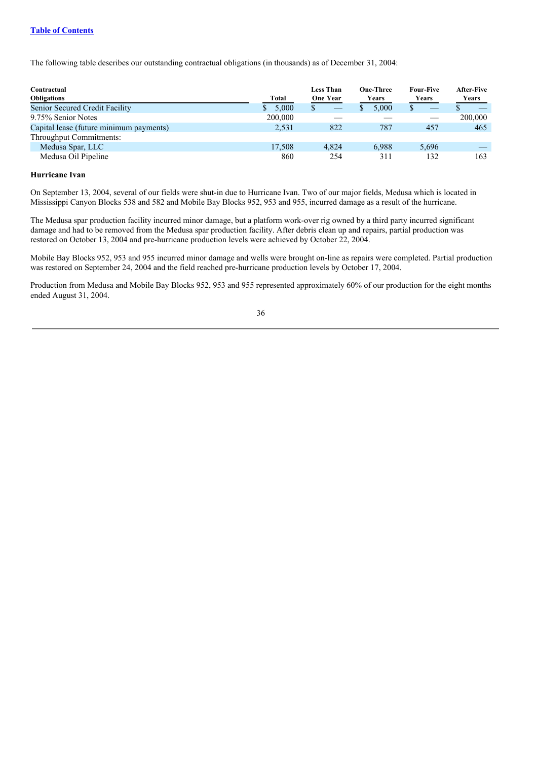The following table describes our outstanding contractual obligations (in thousands) as of December 31, 2004:

| Contractual<br><b>Obligations</b>       | <b>Total</b> | <b>Less Than</b><br><b>One Year</b> | <b>One-Three</b><br>Years | <b>Four-Five</b><br>Years | After-Five<br>Years |
|-----------------------------------------|--------------|-------------------------------------|---------------------------|---------------------------|---------------------|
| Senior Secured Credit Facility          | 5.000        | \$                                  | 5.000                     |                           |                     |
| 9.75% Senior Notes                      | 200,000      |                                     |                           |                           | 200,000             |
| Capital lease (future minimum payments) | 2.531        | 822                                 | 787                       | 457                       | 465                 |
| Throughput Commitments:                 |              |                                     |                           |                           |                     |
| Medusa Spar, LLC                        | 17.508       | 4.824                               | 6.988                     | 5,696                     |                     |
| Medusa Oil Pipeline                     | 860          | 254                                 | 311                       | 132                       | 163                 |

#### **Hurricane Ivan**

On September 13, 2004, several of our fields were shut-in due to Hurricane Ivan. Two of our major fields, Medusa which is located in Mississippi Canyon Blocks 538 and 582 and Mobile Bay Blocks 952, 953 and 955, incurred damage as a result of the hurricane.

The Medusa spar production facility incurred minor damage, but a platform work-over rig owned by a third party incurred significant damage and had to be removed from the Medusa spar production facility. After debris clean up and repairs, partial production was restored on October 13, 2004 and pre-hurricane production levels were achieved by October 22, 2004.

Mobile Bay Blocks 952, 953 and 955 incurred minor damage and wells were brought on-line as repairs were completed. Partial production was restored on September 24, 2004 and the field reached pre-hurricane production levels by October 17, 2004.

Production from Medusa and Mobile Bay Blocks 952, 953 and 955 represented approximately 60% of our production for the eight months ended August 31, 2004.

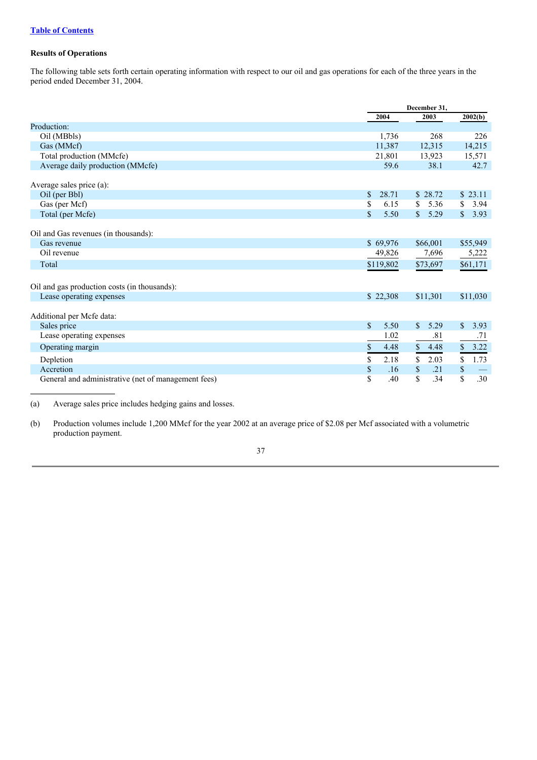## **Results of Operations**

The following table sets forth certain operating information with respect to our oil and gas operations for each of the three years in the period ended December 31, 2004.

|                                                     |                       | December 31,          |                        |  |
|-----------------------------------------------------|-----------------------|-----------------------|------------------------|--|
|                                                     | 2004                  | 2003                  | 2002(b)                |  |
| Production:                                         |                       |                       |                        |  |
| Oil (MBbls)                                         | 1,736                 | 268                   | 226                    |  |
| Gas (MMcf)                                          | 11,387                | 12,315                | 14,215                 |  |
| Total production (MMcfe)                            | 21,801                | 13,923                | 15,571                 |  |
| Average daily production (MMcfe)                    | 59.6                  | 38.1                  | 42.7                   |  |
| Average sales price (a):                            |                       |                       |                        |  |
| Oil (per Bbl)                                       | 28.71<br>\$           | \$28.72               | \$23.11                |  |
| Gas (per Mcf)                                       | \$<br>6.15            | \$<br>5.36            | 3.94<br>\$             |  |
| Total (per Mcfe)                                    | \$<br>5.50            | $\mathbb{S}$<br>5.29  | $\mathbb{S}$<br>3.93   |  |
| Oil and Gas revenues (in thousands):                |                       |                       |                        |  |
| Gas revenue                                         | \$69,976              | \$66,001              | \$55,949               |  |
| Oil revenue                                         | 49,826                | 7,696                 | 5,222                  |  |
| Total                                               | \$119,802             | \$73,697              | \$61,171               |  |
| Oil and gas production costs (in thousands):        |                       |                       |                        |  |
| Lease operating expenses                            | \$22,308              | \$11,301              | \$11,030               |  |
| Additional per Mcfe data:                           |                       |                       |                        |  |
| Sales price                                         | $\mathcal{S}$<br>5.50 | $\mathcal{S}$<br>5.29 | 3.93<br>$\mathbb{S}^-$ |  |
| Lease operating expenses                            | 1.02                  | .81                   | .71                    |  |
| Operating margin                                    | \$<br>4.48            | $\mathbb{S}$<br>4.48  | 3.22<br>S.             |  |
| Depletion                                           | \$<br>2.18            | \$<br>2.03            | \$<br>1.73             |  |
| Accretion                                           | \$<br>.16             | \$<br>.21             | \$                     |  |
| General and administrative (net of management fees) | \$<br>.40             | \$<br>.34             | \$<br>.30              |  |

(a) Average sales price includes hedging gains and losses.

(b) Production volumes include 1,200 MMcf for the year 2002 at an average price of \$2.08 per Mcf associated with a volumetric production payment.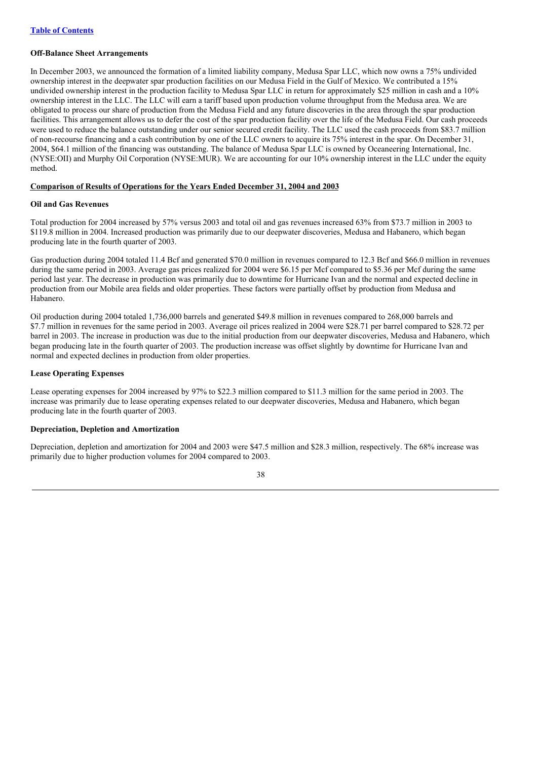## **Off-Balance Sheet Arrangements**

In December 2003, we announced the formation of a limited liability company, Medusa Spar LLC, which now owns a 75% undivided ownership interest in the deepwater spar production facilities on our Medusa Field in the Gulf of Mexico. We contributed a 15% undivided ownership interest in the production facility to Medusa Spar LLC in return for approximately \$25 million in cash and a 10% ownership interest in the LLC. The LLC will earn a tariff based upon production volume throughput from the Medusa area. We are obligated to process our share of production from the Medusa Field and any future discoveries in the area through the spar production facilities. This arrangement allows us to defer the cost of the spar production facility over the life of the Medusa Field. Our cash proceeds were used to reduce the balance outstanding under our senior secured credit facility. The LLC used the cash proceeds from \$83.7 million of non-recourse financing and a cash contribution by one of the LLC owners to acquire its 75% interest in the spar. On December 31, 2004, \$64.1 million of the financing was outstanding. The balance of Medusa Spar LLC is owned by Oceaneering International, Inc. (NYSE:OII) and Murphy Oil Corporation (NYSE:MUR). We are accounting for our 10% ownership interest in the LLC under the equity method.

### **Comparison of Results of Operations for the Years Ended December 31, 2004 and 2003**

#### **Oil and Gas Revenues**

Total production for 2004 increased by 57% versus 2003 and total oil and gas revenues increased 63% from \$73.7 million in 2003 to \$119.8 million in 2004. Increased production was primarily due to our deepwater discoveries, Medusa and Habanero, which began producing late in the fourth quarter of 2003.

Gas production during 2004 totaled 11.4 Bcf and generated \$70.0 million in revenues compared to 12.3 Bcf and \$66.0 million in revenues during the same period in 2003. Average gas prices realized for 2004 were \$6.15 per Mcf compared to \$5.36 per Mcf during the same period last year. The decrease in production was primarily due to downtime for Hurricane Ivan and the normal and expected decline in production from our Mobile area fields and older properties. These factors were partially offset by production from Medusa and Habanero.

Oil production during 2004 totaled 1,736,000 barrels and generated \$49.8 million in revenues compared to 268,000 barrels and \$7.7 million in revenues for the same period in 2003. Average oil prices realized in 2004 were \$28.71 per barrel compared to \$28.72 per barrel in 2003. The increase in production was due to the initial production from our deepwater discoveries, Medusa and Habanero, which began producing late in the fourth quarter of 2003. The production increase was offset slightly by downtime for Hurricane Ivan and normal and expected declines in production from older properties.

#### **Lease Operating Expenses**

Lease operating expenses for 2004 increased by 97% to \$22.3 million compared to \$11.3 million for the same period in 2003. The increase was primarily due to lease operating expenses related to our deepwater discoveries, Medusa and Habanero, which began producing late in the fourth quarter of 2003.

## **Depreciation, Depletion and Amortization**

Depreciation, depletion and amortization for 2004 and 2003 were \$47.5 million and \$28.3 million, respectively. The 68% increase was primarily due to higher production volumes for 2004 compared to 2003.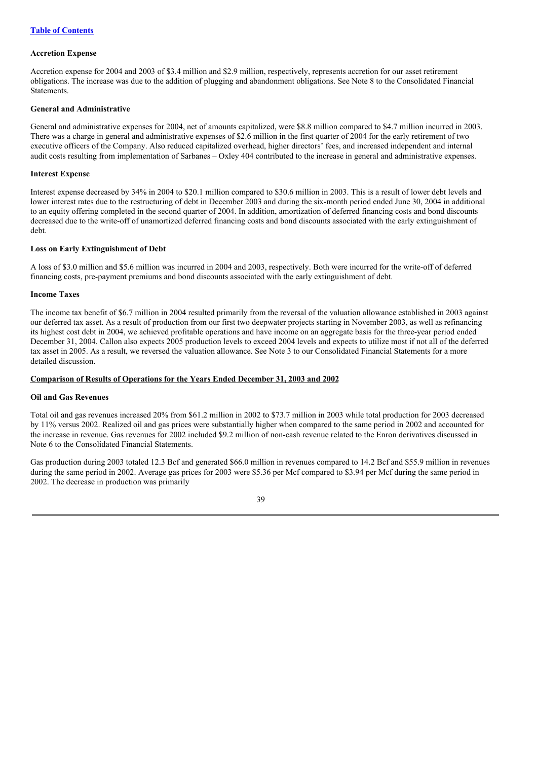## **Accretion Expense**

Accretion expense for 2004 and 2003 of \$3.4 million and \$2.9 million, respectively, represents accretion for our asset retirement obligations. The increase was due to the addition of plugging and abandonment obligations. See Note 8 to the Consolidated Financial **Statements** 

## **General and Administrative**

General and administrative expenses for 2004, net of amounts capitalized, were \$8.8 million compared to \$4.7 million incurred in 2003. There was a charge in general and administrative expenses of \$2.6 million in the first quarter of 2004 for the early retirement of two executive officers of the Company. Also reduced capitalized overhead, higher directors' fees, and increased independent and internal audit costs resulting from implementation of Sarbanes – Oxley 404 contributed to the increase in general and administrative expenses.

## **Interest Expense**

Interest expense decreased by 34% in 2004 to \$20.1 million compared to \$30.6 million in 2003. This is a result of lower debt levels and lower interest rates due to the restructuring of debt in December 2003 and during the six-month period ended June 30, 2004 in additional to an equity offering completed in the second quarter of 2004. In addition, amortization of deferred financing costs and bond discounts decreased due to the write-off of unamortized deferred financing costs and bond discounts associated with the early extinguishment of debt.

## **Loss on Early Extinguishment of Debt**

A loss of \$3.0 million and \$5.6 million was incurred in 2004 and 2003, respectively. Both were incurred for the write-off of deferred financing costs, pre-payment premiums and bond discounts associated with the early extinguishment of debt.

## **Income Taxes**

The income tax benefit of \$6.7 million in 2004 resulted primarily from the reversal of the valuation allowance established in 2003 against our deferred tax asset. As a result of production from our first two deepwater projects starting in November 2003, as well as refinancing its highest cost debt in 2004, we achieved profitable operations and have income on an aggregate basis for the three-year period ended December 31, 2004. Callon also expects 2005 production levels to exceed 2004 levels and expects to utilize most if not all of the deferred tax asset in 2005. As a result, we reversed the valuation allowance. See Note 3 to our Consolidated Financial Statements for a more detailed discussion.

## **Comparison of Results of Operations for the Years Ended December 31, 2003 and 2002**

### **Oil and Gas Revenues**

Total oil and gas revenues increased 20% from \$61.2 million in 2002 to \$73.7 million in 2003 while total production for 2003 decreased by 11% versus 2002. Realized oil and gas prices were substantially higher when compared to the same period in 2002 and accounted for the increase in revenue. Gas revenues for 2002 included \$9.2 million of non-cash revenue related to the Enron derivatives discussed in Note 6 to the Consolidated Financial Statements.

Gas production during 2003 totaled 12.3 Bcf and generated \$66.0 million in revenues compared to 14.2 Bcf and \$55.9 million in revenues during the same period in 2002. Average gas prices for 2003 were \$5.36 per Mcf compared to \$3.94 per Mcf during the same period in 2002. The decrease in production was primarily

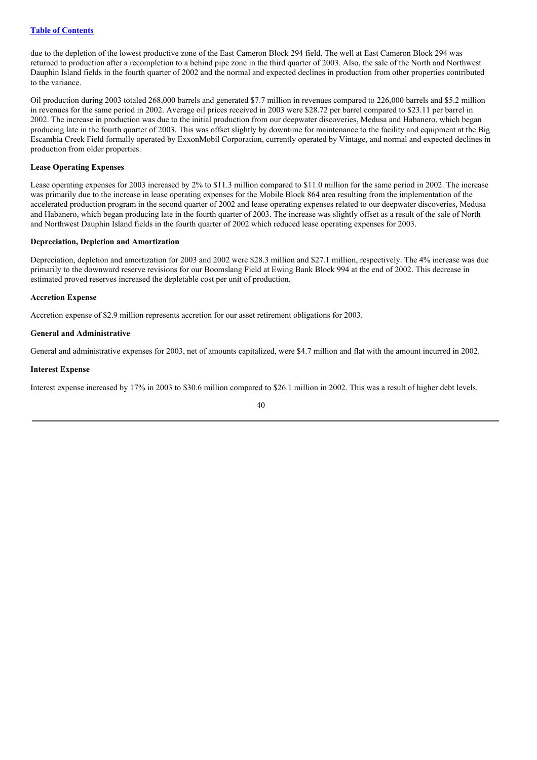### **Table of [Contents](#page-0-0)**

due to the depletion of the lowest productive zone of the East Cameron Block 294 field. The well at East Cameron Block 294 was returned to production after a recompletion to a behind pipe zone in the third quarter of 2003. Also, the sale of the North and Northwest Dauphin Island fields in the fourth quarter of 2002 and the normal and expected declines in production from other properties contributed to the variance.

Oil production during 2003 totaled 268,000 barrels and generated \$7.7 million in revenues compared to 226,000 barrels and \$5.2 million in revenues for the same period in 2002. Average oil prices received in 2003 were \$28.72 per barrel compared to \$23.11 per barrel in 2002. The increase in production was due to the initial production from our deepwater discoveries, Medusa and Habanero, which began producing late in the fourth quarter of 2003. This was offset slightly by downtime for maintenance to the facility and equipment at the Big Escambia Creek Field formally operated by ExxonMobil Corporation, currently operated by Vintage, and normal and expected declines in production from older properties.

### **Lease Operating Expenses**

Lease operating expenses for 2003 increased by 2% to \$11.3 million compared to \$11.0 million for the same period in 2002. The increase was primarily due to the increase in lease operating expenses for the Mobile Block 864 area resulting from the implementation of the accelerated production program in the second quarter of 2002 and lease operating expenses related to our deepwater discoveries, Medusa and Habanero, which began producing late in the fourth quarter of 2003. The increase was slightly offset as a result of the sale of North and Northwest Dauphin Island fields in the fourth quarter of 2002 which reduced lease operating expenses for 2003.

## **Depreciation, Depletion and Amortization**

Depreciation, depletion and amortization for 2003 and 2002 were \$28.3 million and \$27.1 million, respectively. The 4% increase was due primarily to the downward reserve revisions for our Boomslang Field at Ewing Bank Block 994 at the end of 2002. This decrease in estimated proved reserves increased the depletable cost per unit of production.

#### **Accretion Expense**

Accretion expense of \$2.9 million represents accretion for our asset retirement obligations for 2003.

#### **General and Administrative**

General and administrative expenses for 2003, net of amounts capitalized, were \$4.7 million and flat with the amount incurred in 2002.

#### **Interest Expense**

Interest expense increased by 17% in 2003 to \$30.6 million compared to \$26.1 million in 2002. This was a result of higher debt levels.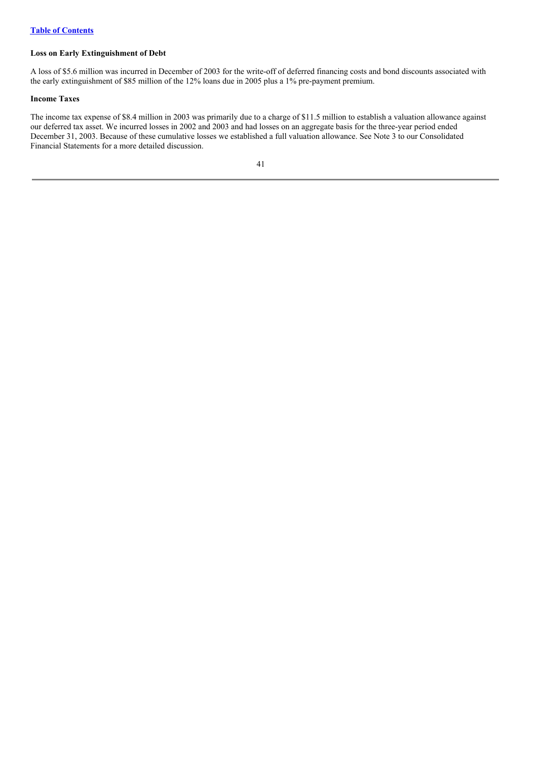## **Loss on Early Extinguishment of Debt**

A loss of \$5.6 million was incurred in December of 2003 for the write-off of deferred financing costs and bond discounts associated with the early extinguishment of \$85 million of the 12% loans due in 2005 plus a 1% pre-payment premium.

### **Income Taxes**

The income tax expense of \$8.4 million in 2003 was primarily due to a charge of \$11.5 million to establish a valuation allowance against our deferred tax asset. We incurred losses in 2002 and 2003 and had losses on an aggregate basis for the three-year period ended December 31, 2003. Because of these cumulative losses we established a full valuation allowance. See Note 3 to our Consolidated Financial Statements for a more detailed discussion.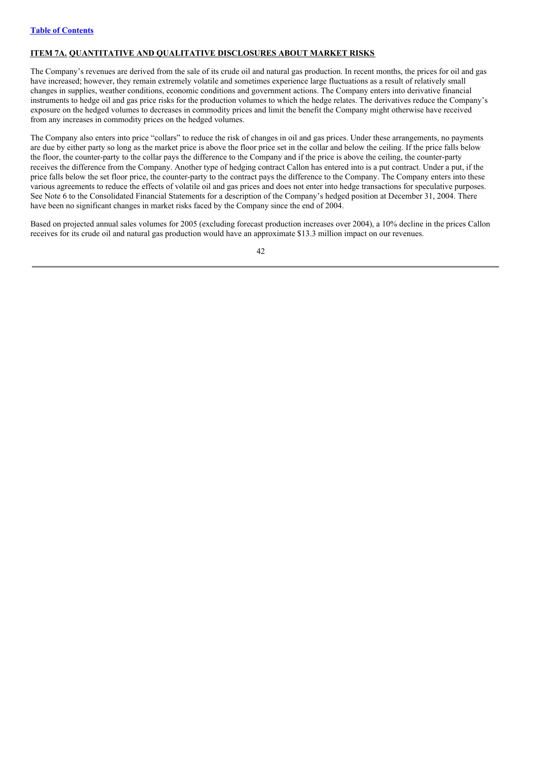## **ITEM 7A. QUANTITATIVE AND QUALITATIVE DISCLOSURES ABOUT MARKET RISKS**

The Company's revenues are derived from the sale of its crude oil and natural gas production. In recent months, the prices for oil and gas have increased; however, they remain extremely volatile and sometimes experience large fluctuations as a result of relatively small changes in supplies, weather conditions, economic conditions and government actions. The Company enters into derivative financial instruments to hedge oil and gas price risks for the production volumes to which the hedge relates. The derivatives reduce the Company's exposure on the hedged volumes to decreases in commodity prices and limit the benefit the Company might otherwise have received from any increases in commodity prices on the hedged volumes.

The Company also enters into price "collars" to reduce the risk of changes in oil and gas prices. Under these arrangements, no payments are due by either party so long as the market price is above the floor price set in the collar and below the ceiling. If the price falls below the floor, the counter-party to the collar pays the difference to the Company and if the price is above the ceiling, the counter-party receives the difference from the Company. Another type of hedging contract Callon has entered into is a put contract. Under a put, if the price falls below the set floor price, the counter-party to the contract pays the difference to the Company. The Company enters into these various agreements to reduce the effects of volatile oil and gas prices and does not enter into hedge transactions for speculative purposes. See Note 6 to the Consolidated Financial Statements for a description of the Company's hedged position at December 31, 2004. There have been no significant changes in market risks faced by the Company since the end of 2004.

Based on projected annual sales volumes for 2005 (excluding forecast production increases over 2004), a 10% decline in the prices Callon receives for its crude oil and natural gas production would have an approximate \$13.3 million impact on our revenues.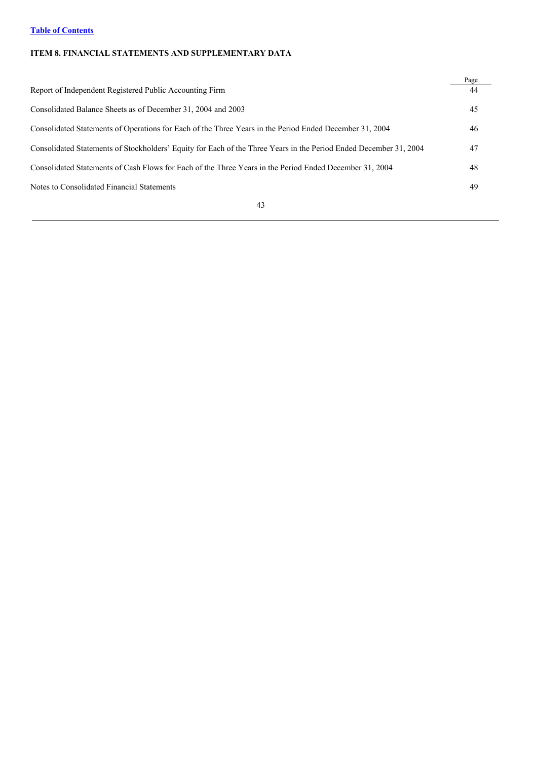## **Table of [Contents](#page-0-0)**

# **ITEM 8. FINANCIAL STATEMENTS AND SUPPLEMENTARY DATA**

|                                                                                                                   | Page |
|-------------------------------------------------------------------------------------------------------------------|------|
| Report of Independent Registered Public Accounting Firm                                                           | 44   |
| Consolidated Balance Sheets as of December 31, 2004 and 2003                                                      | 45   |
| Consolidated Statements of Operations for Each of the Three Years in the Period Ended December 31, 2004           | 46   |
| Consolidated Statements of Stockholders' Equity for Each of the Three Years in the Period Ended December 31, 2004 | 47   |
| Consolidated Statements of Cash Flows for Each of the Three Years in the Period Ended December 31, 2004           | 48   |
| Notes to Consolidated Financial Statements                                                                        | 49   |
| 43                                                                                                                |      |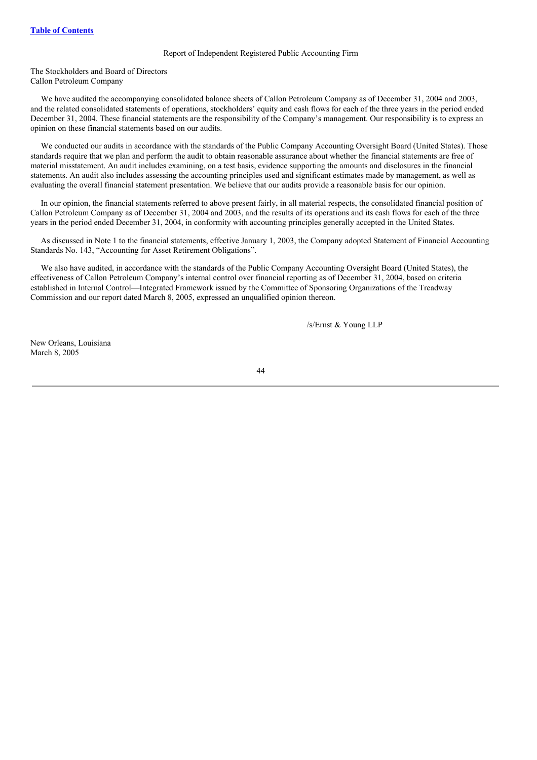## Report of Independent Registered Public Accounting Firm

The Stockholders and Board of Directors Callon Petroleum Company

We have audited the accompanying consolidated balance sheets of Callon Petroleum Company as of December 31, 2004 and 2003, and the related consolidated statements of operations, stockholders' equity and cash flows for each of the three years in the period ended December 31, 2004. These financial statements are the responsibility of the Company's management. Our responsibility is to express an opinion on these financial statements based on our audits.

We conducted our audits in accordance with the standards of the Public Company Accounting Oversight Board (United States). Those standards require that we plan and perform the audit to obtain reasonable assurance about whether the financial statements are free of material misstatement. An audit includes examining, on a test basis, evidence supporting the amounts and disclosures in the financial statements. An audit also includes assessing the accounting principles used and significant estimates made by management, as well as evaluating the overall financial statement presentation. We believe that our audits provide a reasonable basis for our opinion.

In our opinion, the financial statements referred to above present fairly, in all material respects, the consolidated financial position of Callon Petroleum Company as of December 31, 2004 and 2003, and the results of its operations and its cash flows for each of the three years in the period ended December 31, 2004, in conformity with accounting principles generally accepted in the United States.

As discussed in Note 1 to the financial statements, effective January 1, 2003, the Company adopted Statement of Financial Accounting Standards No. 143, "Accounting for Asset Retirement Obligations".

We also have audited, in accordance with the standards of the Public Company Accounting Oversight Board (United States), the effectiveness of Callon Petroleum Company's internal control over financial reporting as of December 31, 2004, based on criteria established in Internal Control—Integrated Framework issued by the Committee of Sponsoring Organizations of the Treadway Commission and our report dated March 8, 2005, expressed an unqualified opinion thereon.

/s/Ernst & Young LLP

New Orleans, Louisiana March 8, 2005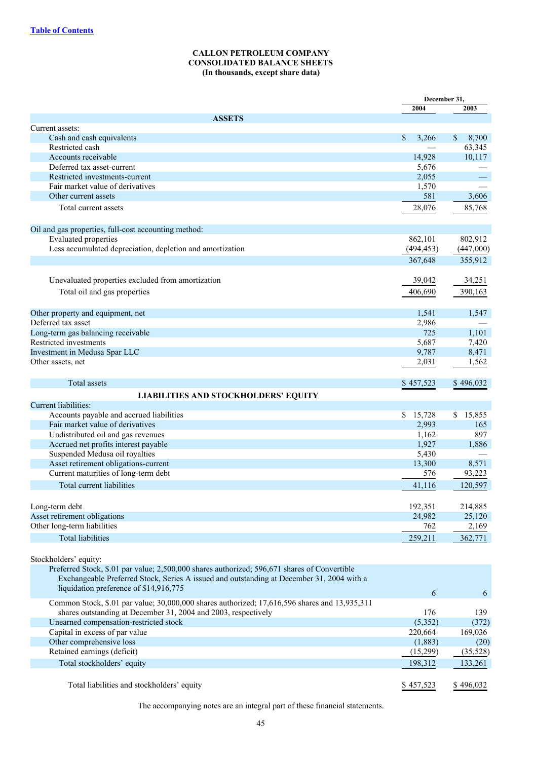## **CALLON PETROLEUM COMPANY CONSOLIDATED BALANCE SHEETS (In thousands, except share data)**

|                                                                                               | December 31,          |                       |
|-----------------------------------------------------------------------------------------------|-----------------------|-----------------------|
|                                                                                               | 2004                  | 2003                  |
| <b>ASSETS</b>                                                                                 |                       |                       |
| Current assets:                                                                               |                       |                       |
| Cash and cash equivalents                                                                     | $\mathbb{S}$<br>3,266 | 8,700<br>$\mathbb{S}$ |
| Restricted cash                                                                               |                       | 63,345                |
| Accounts receivable                                                                           | 14,928                | 10,117                |
| Deferred tax asset-current                                                                    | 5,676                 |                       |
| Restricted investments-current                                                                | 2,055                 |                       |
| Fair market value of derivatives                                                              | 1,570                 |                       |
| Other current assets                                                                          | 581                   | 3,606                 |
| Total current assets                                                                          | 28,076                | 85,768                |
|                                                                                               |                       |                       |
|                                                                                               |                       |                       |
| Oil and gas properties, full-cost accounting method:                                          |                       |                       |
| <b>Evaluated</b> properties                                                                   | 862,101               | 802,912               |
| Less accumulated depreciation, depletion and amortization                                     | (494, 453)            | (447,000)             |
|                                                                                               | 367,648               | 355,912               |
|                                                                                               |                       |                       |
| Unevaluated properties excluded from amortization                                             | 39,042                | 34,251                |
| Total oil and gas properties                                                                  | 406,690               | 390,163               |
|                                                                                               |                       |                       |
|                                                                                               |                       |                       |
| Other property and equipment, net                                                             | 1,541                 | 1,547                 |
| Deferred tax asset                                                                            | 2,986                 |                       |
| Long-term gas balancing receivable                                                            | 725                   | 1,101                 |
| Restricted investments                                                                        | 5,687                 | 7,420                 |
| Investment in Medusa Spar LLC                                                                 | 9,787                 | 8,471                 |
| Other assets, net                                                                             | 2,031                 | 1,562                 |
|                                                                                               |                       |                       |
| Total assets                                                                                  | \$457,523             | \$496,032             |
|                                                                                               |                       |                       |
| <b>LIABILITIES AND STOCKHOLDERS' EQUITY</b>                                                   |                       |                       |
| Current liabilities:                                                                          |                       |                       |
| Accounts payable and accrued liabilities                                                      | \$15,728              | 15,855<br>\$          |
| Fair market value of derivatives                                                              | 2,993                 | 165                   |
| Undistributed oil and gas revenues                                                            | 1,162                 | 897                   |
| Accrued net profits interest payable                                                          | 1,927                 | 1,886                 |
| Suspended Medusa oil royalties                                                                | 5,430                 |                       |
| Asset retirement obligations-current                                                          | 13,300                | 8,571                 |
| Current maturities of long-term debt                                                          | 576                   | 93,223                |
| Total current liabilities                                                                     | 41,116                | 120,597               |
|                                                                                               |                       |                       |
|                                                                                               |                       |                       |
| Long-term debt                                                                                | 192,351               | 214,885               |
| Asset retirement obligations                                                                  | 24,982                | 25,120                |
| Other long-term liabilities                                                                   | 762                   | 2,169                 |
| <b>Total liabilities</b>                                                                      | 259,211               | 362,771               |
|                                                                                               |                       |                       |
| Stockholders' equity:                                                                         |                       |                       |
| Preferred Stock, \$.01 par value; 2,500,000 shares authorized; 596,671 shares of Convertible  |                       |                       |
| Exchangeable Preferred Stock, Series A issued and outstanding at December 31, 2004 with a     |                       |                       |
| liquidation preference of \$14,916,775                                                        |                       |                       |
|                                                                                               | 6                     | 6                     |
| Common Stock, \$.01 par value; 30,000,000 shares authorized; 17,616,596 shares and 13,935,311 |                       |                       |
| shares outstanding at December 31, 2004 and 2003, respectively                                | 176                   | 139                   |
| Unearned compensation-restricted stock                                                        | (5,352)               | (372)                 |
| Capital in excess of par value                                                                | 220,664               | 169,036               |
| Other comprehensive loss                                                                      | (1,883)               | (20)                  |
| Retained earnings (deficit)                                                                   | (15,299)              | (35, 528)             |
|                                                                                               | 198,312               |                       |
| Total stockholders' equity                                                                    |                       | 133,261               |
|                                                                                               |                       |                       |
| Total liabilities and stockholders' equity                                                    | \$457,523             | \$496,032             |

The accompanying notes are an integral part of these financial statements.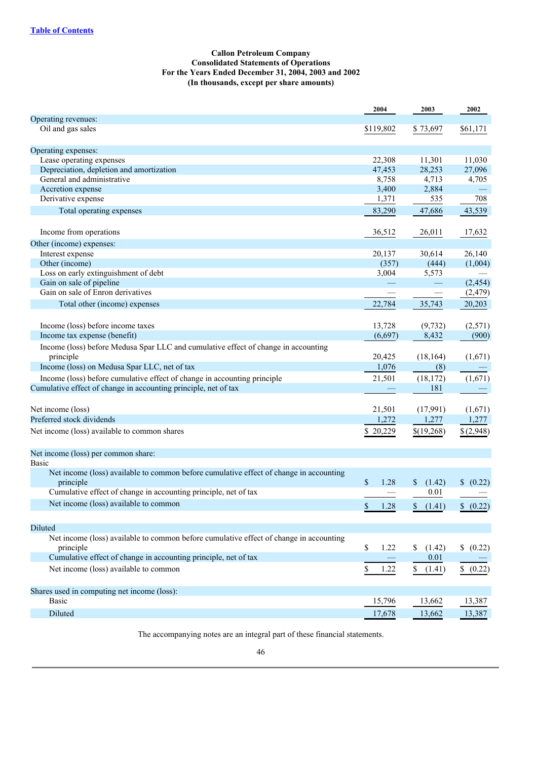### **Callon Petroleum Company Consolidated Statements of Operations For the Years Ended December 31, 2004, 2003 and 2002 (In thousands, except per share amounts)**

|                                                                                                     | 2004       | 2003                   | 2002      |
|-----------------------------------------------------------------------------------------------------|------------|------------------------|-----------|
| Operating revenues:                                                                                 |            |                        |           |
| Oil and gas sales                                                                                   | \$119,802  | \$73,697               | \$61,171  |
| Operating expenses:                                                                                 |            |                        |           |
| Lease operating expenses                                                                            | 22,308     | 11,301                 | 11,030    |
| Depreciation, depletion and amortization                                                            | 47,453     | 28,253                 | 27,096    |
| General and administrative                                                                          | 8,758      | 4,713                  | 4,705     |
| Accretion expense                                                                                   | 3,400      | 2,884                  |           |
| Derivative expense                                                                                  | 1,371      | 535                    | 708       |
| Total operating expenses                                                                            | 83,290     | 47,686                 | 43,539    |
| Income from operations                                                                              | 36,512     | 26,011                 | 17,632    |
| Other (income) expenses:                                                                            |            |                        |           |
| Interest expense                                                                                    | 20,137     | 30,614                 | 26,140    |
| Other (income)                                                                                      | (357)      | (444)                  | (1,004)   |
| Loss on early extinguishment of debt                                                                | 3,004      | 5,573                  |           |
| Gain on sale of pipeline                                                                            |            |                        | (2, 454)  |
| Gain on sale of Enron derivatives                                                                   |            |                        | (2, 479)  |
| Total other (income) expenses                                                                       | 22,784     | 35,743                 | 20,203    |
| Income (loss) before income taxes                                                                   | 13,728     | (9, 732)               | (2,571)   |
| Income tax expense (benefit)                                                                        | (6,697)    | 8,432                  | (900)     |
| Income (loss) before Medusa Spar LLC and cumulative effect of change in accounting<br>principle     | 20,425     | (18, 164)              | (1,671)   |
| Income (loss) on Medusa Spar LLC, net of tax                                                        | 1,076      | (8)                    |           |
| Income (loss) before cumulative effect of change in accounting principle                            | 21,501     | (18, 172)              | (1,671)   |
| Cumulative effect of change in accounting principle, net of tax                                     |            | 181                    |           |
|                                                                                                     |            |                        |           |
| Net income (loss)                                                                                   | 21,501     | (17,991)               | (1,671)   |
| Preferred stock dividends                                                                           | 1,272      | 1,277                  | 1,277     |
| Net income (loss) available to common shares                                                        | \$20,229   | \$(19,268)             | \$(2,948) |
| Net income (loss) per common share:                                                                 |            |                        |           |
| <b>Basic</b>                                                                                        |            |                        |           |
| Net income (loss) available to common before cumulative effect of change in accounting              |            |                        |           |
| principle                                                                                           | \$<br>1.28 | (1.42)<br>$\mathbb{S}$ | \$ (0.22) |
| Cumulative effect of change in accounting principle, net of tax                                     |            | 0.01                   |           |
| Net income (loss) available to common                                                               | 1.28<br>\$ | \$ (1.41)              | \$ (0.22) |
|                                                                                                     |            |                        |           |
| Diluted                                                                                             |            |                        |           |
| Net income (loss) available to common before cumulative effect of change in accounting<br>principle | \$<br>1.22 | \$<br>(1.42)           | \$ (0.22) |
| Cumulative effect of change in accounting principle, net of tax                                     |            | 0.01                   |           |
| Net income (loss) available to common                                                               | \$<br>1.22 | (1.41)                 | \$ (0.22) |
| Shares used in computing net income (loss):                                                         |            |                        |           |
| <b>Basic</b>                                                                                        | 15,796     | 13,662                 | 13,387    |
| Diluted                                                                                             | 17,678     | 13,662                 | 13,387    |
|                                                                                                     |            |                        |           |

The accompanying notes are an integral part of these financial statements.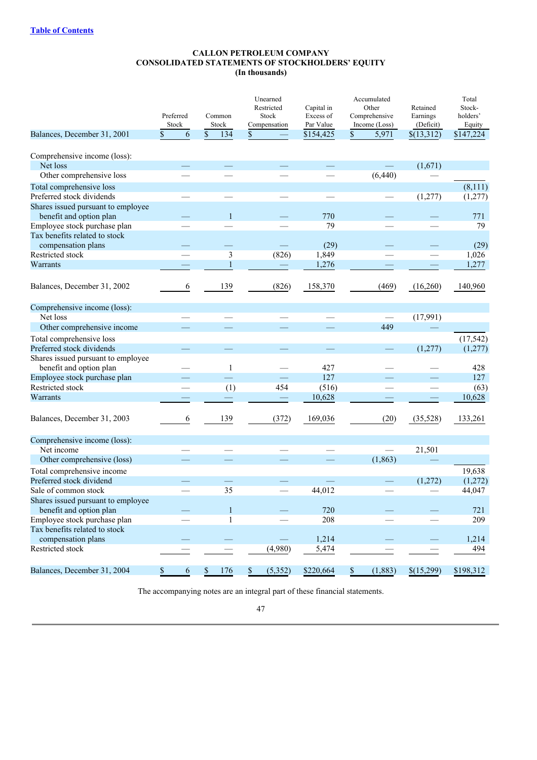### **CALLON PETROLEUM COMPANY CONSOLIDATED STATEMENTS OF STOCKHOLDERS' EQUITY (In thousands)**

|                                                               | Preferred<br>Stock |   |             | Common<br>Stock |             | Unearned<br>Restricted<br>Stock<br>Compensation | Capital in<br>Excess of<br>Par Value | Accumulated<br>Other<br>Comprehensive<br>Income (Loss) | Retained<br>Earnings<br>(Deficit) | Total<br>Stock-<br>holders'<br>Equity |
|---------------------------------------------------------------|--------------------|---|-------------|-----------------|-------------|-------------------------------------------------|--------------------------------------|--------------------------------------------------------|-----------------------------------|---------------------------------------|
| Balances, December 31, 2001                                   | \$                 | 6 | \$          | 134             | \$          |                                                 | \$154,425                            | \$<br>5,971                                            | \$(13,312)                        | \$147,224                             |
| Comprehensive income (loss):<br>Net loss                      |                    |   |             |                 |             |                                                 |                                      |                                                        |                                   |                                       |
| Other comprehensive loss                                      |                    |   |             |                 |             |                                                 |                                      | (6, 440)                                               | (1,671)                           |                                       |
| Total comprehensive loss                                      |                    |   |             |                 |             |                                                 |                                      |                                                        |                                   | (8, 111)                              |
| Preferred stock dividends                                     |                    |   |             |                 |             |                                                 |                                      |                                                        | (1,277)                           | (1, 277)                              |
| Shares issued pursuant to employee<br>benefit and option plan |                    |   |             | $\mathbf{1}$    |             |                                                 | 770                                  |                                                        |                                   | 771                                   |
| Employee stock purchase plan                                  |                    |   |             |                 |             |                                                 | 79                                   |                                                        |                                   | 79                                    |
| Tax benefits related to stock                                 |                    |   |             |                 |             |                                                 |                                      |                                                        |                                   |                                       |
| compensation plans                                            |                    |   |             |                 |             |                                                 | (29)                                 |                                                        |                                   | (29)                                  |
| Restricted stock                                              |                    |   |             | $\mathfrak{Z}$  |             | (826)                                           | 1,849                                |                                                        |                                   | 1,026                                 |
| Warrants                                                      |                    |   |             | $\mathbf{1}$    |             |                                                 | 1,276                                |                                                        |                                   | 1,277                                 |
| Balances, December 31, 2002                                   |                    | 6 |             | 139             |             | (826)                                           | 158,370                              | (469)                                                  | (16,260)                          | 140,960                               |
| Comprehensive income (loss):                                  |                    |   |             |                 |             |                                                 |                                      |                                                        |                                   |                                       |
| Net loss                                                      |                    |   |             |                 |             |                                                 |                                      |                                                        | (17,991)                          |                                       |
| Other comprehensive income                                    |                    |   |             |                 |             |                                                 |                                      | 449                                                    |                                   |                                       |
| Total comprehensive loss                                      |                    |   |             |                 |             |                                                 |                                      |                                                        |                                   | (17, 542)                             |
| Preferred stock dividends                                     |                    |   |             |                 |             |                                                 |                                      |                                                        | (1,277)                           | (1,277)                               |
| Shares issued pursuant to employee                            |                    |   |             |                 |             |                                                 |                                      |                                                        |                                   |                                       |
| benefit and option plan                                       |                    |   |             | 1               |             |                                                 | 427                                  |                                                        |                                   | 428                                   |
| Employee stock purchase plan                                  |                    |   |             |                 |             |                                                 | 127                                  |                                                        |                                   | 127                                   |
| Restricted stock                                              |                    |   |             | (1)             |             | 454                                             | (516)                                |                                                        |                                   | (63)                                  |
| Warrants                                                      |                    |   |             |                 |             |                                                 | 10,628                               |                                                        |                                   | 10,628                                |
| Balances, December 31, 2003                                   |                    | 6 |             | 139             |             | (372)                                           | 169,036                              | (20)                                                   | (35,528)                          | 133,261                               |
| Comprehensive income (loss):<br>Net income                    |                    |   |             |                 |             |                                                 |                                      |                                                        | 21,501                            |                                       |
| Other comprehensive (loss)                                    |                    |   |             |                 |             |                                                 |                                      | (1, 863)                                               |                                   |                                       |
| Total comprehensive income                                    |                    |   |             |                 |             |                                                 |                                      |                                                        |                                   | 19,638                                |
| Preferred stock dividend                                      |                    |   |             | ÷,              |             |                                                 |                                      |                                                        | (1,272)                           | (1,272)                               |
| Sale of common stock                                          |                    |   |             | 35              |             |                                                 | 44,012                               |                                                        |                                   | 44,047                                |
| Shares issued pursuant to employee<br>benefit and option plan |                    |   |             | $\mathbf{1}$    |             |                                                 | 720                                  |                                                        |                                   | 721                                   |
| Employee stock purchase plan                                  |                    |   |             |                 |             |                                                 | 208                                  |                                                        |                                   | 209                                   |
| Tax benefits related to stock                                 |                    |   |             |                 |             |                                                 |                                      |                                                        |                                   |                                       |
| compensation plans                                            |                    |   |             |                 |             |                                                 | 1,214                                |                                                        |                                   | 1,214                                 |
| Restricted stock                                              |                    |   |             |                 |             | (4,980)                                         | 5,474                                |                                                        |                                   | 494                                   |
|                                                               |                    |   |             |                 |             |                                                 |                                      |                                                        |                                   |                                       |
| Balances, December 31, 2004                                   | \$                 | 6 | $\mathbb S$ | 176             | $\mathbb S$ | (5, 352)                                        | \$220,664                            | \$<br>(1,883)                                          | \$(15,299)                        | \$198,312                             |

The accompanying notes are an integral part of these financial statements.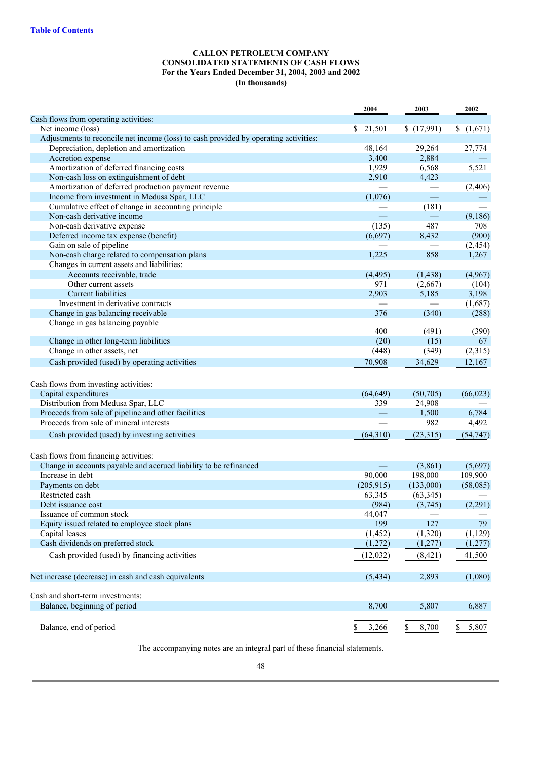## **CALLON PETROLEUM COMPANY CONSOLIDATED STATEMENTS OF CASH FLOWS For the Years Ended December 31, 2004, 2003 and 2002 (In thousands)**

|                                                                                      | 2004        | 2003        | 2002                          |
|--------------------------------------------------------------------------------------|-------------|-------------|-------------------------------|
| Cash flows from operating activities:                                                |             |             |                               |
| Net income (loss)                                                                    | 21,501<br>S | \$(17,991)  | (1,671)                       |
| Adjustments to reconcile net income (loss) to cash provided by operating activities: |             |             |                               |
| Depreciation, depletion and amortization                                             | 48,164      | 29,264      | 27,774                        |
| Accretion expense                                                                    | 3,400       | 2,884       |                               |
| Amortization of deferred financing costs                                             | 1,929       | 6,568       | 5,521                         |
| Non-cash loss on extinguishment of debt                                              | 2,910       | 4,423       |                               |
| Amortization of deferred production payment revenue                                  |             |             | (2,406)                       |
| Income from investment in Medusa Spar, LLC                                           | (1,076)     | 느           |                               |
| Cumulative effect of change in accounting principle                                  |             | (181)       |                               |
| Non-cash derivative income                                                           |             |             | (9,186)                       |
| Non-cash derivative expense                                                          | (135)       | 487         | 708                           |
| Deferred income tax expense (benefit)                                                | (6,697)     | 8,432       | (900)                         |
| Gain on sale of pipeline                                                             |             |             | (2, 454)                      |
| Non-cash charge related to compensation plans                                        | 1,225       | 858         | 1,267                         |
| Changes in current assets and liabilities:                                           |             |             |                               |
| Accounts receivable, trade                                                           | (4, 495)    | (1,438)     | (4,967)                       |
| Other current assets                                                                 | 971         | (2,667)     | (104)                         |
| <b>Current liabilities</b>                                                           | 2,903       | 5,185       | 3,198                         |
| Investment in derivative contracts                                                   |             |             | (1,687)                       |
| Change in gas balancing receivable                                                   | 376         | (340)       | (288)                         |
| Change in gas balancing payable                                                      |             |             |                               |
|                                                                                      | 400         | (491)       | (390)                         |
| Change in other long-term liabilities                                                | (20)        | (15)        | 67                            |
| Change in other assets, net                                                          | (448)       | (349)       | (2,315)                       |
| Cash provided (used) by operating activities                                         | 70,908      | 34,629      | 12,167                        |
|                                                                                      |             |             |                               |
| Cash flows from investing activities:                                                |             |             |                               |
| Capital expenditures                                                                 | (64, 649)   | (50,705)    | (66, 023)                     |
| Distribution from Medusa Spar, LLC                                                   | 339         | 24,908      |                               |
| Proceeds from sale of pipeline and other facilities                                  |             | 1,500       | 6,784                         |
| Proceeds from sale of mineral interests                                              |             | 982         | 4,492                         |
| Cash provided (used) by investing activities                                         | (64,310)    | (23,315)    | (54, 747)                     |
|                                                                                      |             |             |                               |
| Cash flows from financing activities:                                                |             |             |                               |
| Change in accounts payable and accrued liability to be refinanced                    |             | (3,861)     | (5,697)                       |
| Increase in debt                                                                     | 90,000      | 198,000     | 109,900                       |
| Payments on debt                                                                     | (205,915)   | (133,000)   | (58,085)                      |
| Restricted cash                                                                      | 63,345      | (63, 345)   |                               |
| Debt issuance cost                                                                   | (984)       | (3,745)     | (2,291)                       |
| Issuance of common stock                                                             | 44,047      |             | $\overbrace{\phantom{12333}}$ |
| Equity issued related to employee stock plans                                        | 199         | 127         | 79                            |
| Capital leases                                                                       | (1, 452)    | (1,320)     | (1,129)                       |
| Cash dividends on preferred stock                                                    |             |             |                               |
|                                                                                      | (1,272)     | (1,277)     | (1,277)                       |
| Cash provided (used) by financing activities                                         | (12,032)    | (8,421)     | 41,500                        |
| Net increase (decrease) in cash and cash equivalents                                 | (5, 434)    | 2,893       | (1,080)                       |
| Cash and short-term investments:                                                     |             |             |                               |
| Balance, beginning of period                                                         | 8,700       | 5,807       | 6,887                         |
|                                                                                      |             |             |                               |
| Balance, end of period                                                               | \$<br>3,266 | \$<br>8,700 | 5,807<br>\$                   |

The accompanying notes are an integral part of these financial statements.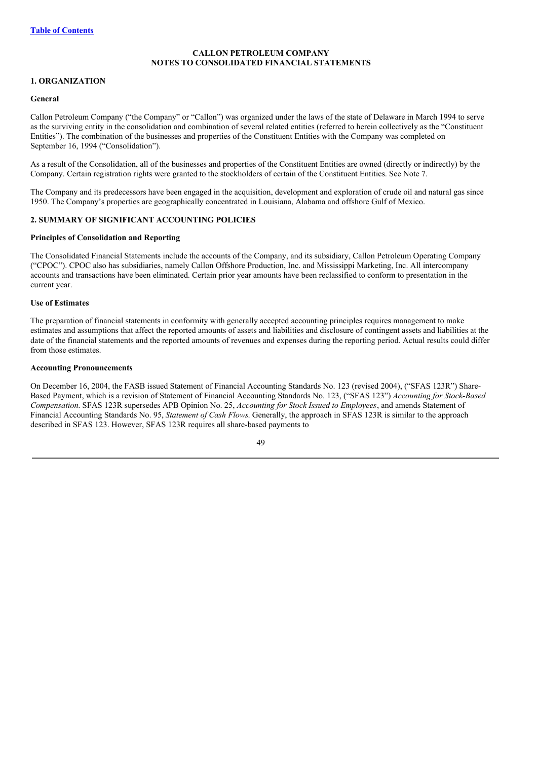## **CALLON PETROLEUM COMPANY NOTES TO CONSOLIDATED FINANCIAL STATEMENTS**

### **1. ORGANIZATION**

#### **General**

Callon Petroleum Company ("the Company" or "Callon") was organized under the laws of the state of Delaware in March 1994 to serve as the surviving entity in the consolidation and combination of several related entities (referred to herein collectively as the "Constituent Entities"). The combination of the businesses and properties of the Constituent Entities with the Company was completed on September 16, 1994 ("Consolidation").

As a result of the Consolidation, all of the businesses and properties of the Constituent Entities are owned (directly or indirectly) by the Company. Certain registration rights were granted to the stockholders of certain of the Constituent Entities. See Note 7.

The Company and its predecessors have been engaged in the acquisition, development and exploration of crude oil and natural gas since 1950. The Company's properties are geographically concentrated in Louisiana, Alabama and offshore Gulf of Mexico.

### **2. SUMMARY OF SIGNIFICANT ACCOUNTING POLICIES**

#### **Principles of Consolidation and Reporting**

The Consolidated Financial Statements include the accounts of the Company, and its subsidiary, Callon Petroleum Operating Company ("CPOC"). CPOC also has subsidiaries, namely Callon Offshore Production, Inc. and Mississippi Marketing, Inc. All intercompany accounts and transactions have been eliminated. Certain prior year amounts have been reclassified to conform to presentation in the current year.

#### **Use of Estimates**

The preparation of financial statements in conformity with generally accepted accounting principles requires management to make estimates and assumptions that affect the reported amounts of assets and liabilities and disclosure of contingent assets and liabilities at the date of the financial statements and the reported amounts of revenues and expenses during the reporting period. Actual results could differ from those estimates.

#### **Accounting Pronouncements**

On December 16, 2004, the FASB issued Statement of Financial Accounting Standards No. 123 (revised 2004), ("SFAS 123R") Share-Based Payment, which is a revision of Statement of Financial Accounting Standards No. 123, ("SFAS 123") *Accounting for Stock-Based Compensation*. SFAS 123R supersedes APB Opinion No. 25, *Accounting for Stock Issued to Employees*, and amends Statement of Financial Accounting Standards No. 95, *Statement of Cash Flows*. Generally, the approach in SFAS 123R is similar to the approach described in SFAS 123. However, SFAS 123R requires all share-based payments to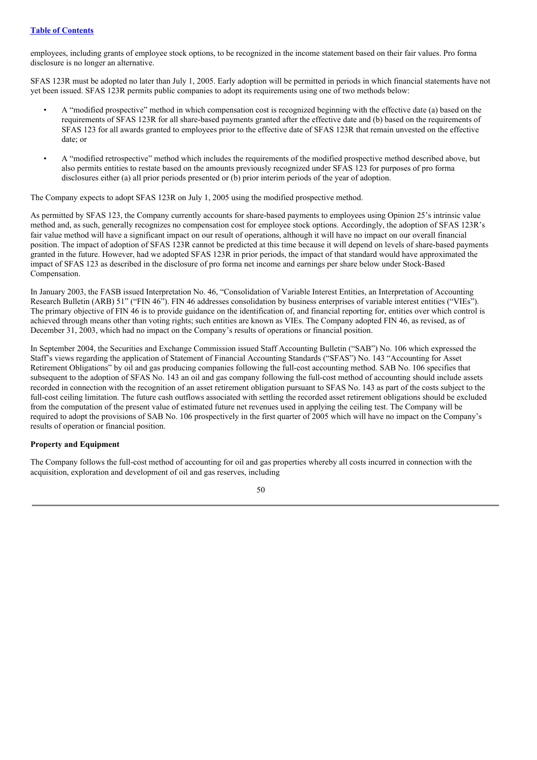## **Table of [Contents](#page-0-0)**

employees, including grants of employee stock options, to be recognized in the income statement based on their fair values. Pro forma disclosure is no longer an alternative.

SFAS 123R must be adopted no later than July 1, 2005. Early adoption will be permitted in periods in which financial statements have not yet been issued. SFAS 123R permits public companies to adopt its requirements using one of two methods below:

- A "modified prospective" method in which compensation cost is recognized beginning with the effective date (a) based on the requirements of SFAS 123R for all share-based payments granted after the effective date and (b) based on the requirements of SFAS 123 for all awards granted to employees prior to the effective date of SFAS 123R that remain unvested on the effective date; or
- A "modified retrospective" method which includes the requirements of the modified prospective method described above, but also permits entities to restate based on the amounts previously recognized under SFAS 123 for purposes of pro forma disclosures either (a) all prior periods presented or (b) prior interim periods of the year of adoption.

The Company expects to adopt SFAS 123R on July 1, 2005 using the modified prospective method.

As permitted by SFAS 123, the Company currently accounts for share-based payments to employees using Opinion 25's intrinsic value method and, as such, generally recognizes no compensation cost for employee stock options. Accordingly, the adoption of SFAS 123R's fair value method will have a significant impact on our result of operations, although it will have no impact on our overall financial position. The impact of adoption of SFAS 123R cannot be predicted at this time because it will depend on levels of share-based payments granted in the future. However, had we adopted SFAS 123R in prior periods, the impact of that standard would have approximated the impact of SFAS 123 as described in the disclosure of pro forma net income and earnings per share below under Stock-Based Compensation.

In January 2003, the FASB issued Interpretation No. 46, "Consolidation of Variable Interest Entities, an Interpretation of Accounting Research Bulletin (ARB) 51" ("FIN 46"). FIN 46 addresses consolidation by business enterprises of variable interest entities ("VIEs"). The primary objective of FIN 46 is to provide guidance on the identification of, and financial reporting for, entities over which control is achieved through means other than voting rights; such entities are known as VIEs. The Company adopted FIN 46, as revised, as of December 31, 2003, which had no impact on the Company's results of operations or financial position.

In September 2004, the Securities and Exchange Commission issued Staff Accounting Bulletin ("SAB") No. 106 which expressed the Staff's views regarding the application of Statement of Financial Accounting Standards ("SFAS") No. 143 "Accounting for Asset Retirement Obligations" by oil and gas producing companies following the full-cost accounting method. SAB No. 106 specifies that subsequent to the adoption of SFAS No. 143 an oil and gas company following the full-cost method of accounting should include assets recorded in connection with the recognition of an asset retirement obligation pursuant to SFAS No. 143 as part of the costs subject to the full-cost ceiling limitation. The future cash outflows associated with settling the recorded asset retirement obligations should be excluded from the computation of the present value of estimated future net revenues used in applying the ceiling test. The Company will be required to adopt the provisions of SAB No. 106 prospectively in the first quarter of 2005 which will have no impact on the Company's results of operation or financial position.

### **Property and Equipment**

The Company follows the full-cost method of accounting for oil and gas properties whereby all costs incurred in connection with the acquisition, exploration and development of oil and gas reserves, including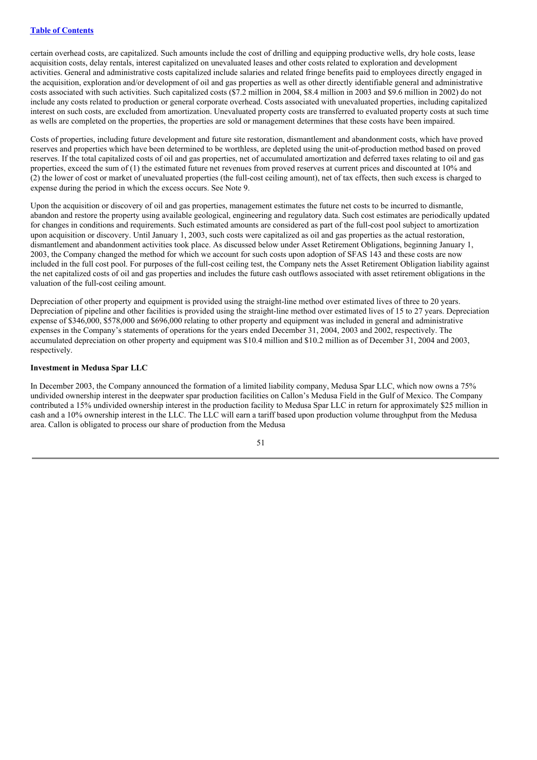certain overhead costs, are capitalized. Such amounts include the cost of drilling and equipping productive wells, dry hole costs, lease acquisition costs, delay rentals, interest capitalized on unevaluated leases and other costs related to exploration and development activities. General and administrative costs capitalized include salaries and related fringe benefits paid to employees directly engaged in the acquisition, exploration and/or development of oil and gas properties as well as other directly identifiable general and administrative costs associated with such activities. Such capitalized costs (\$7.2 million in 2004, \$8.4 million in 2003 and \$9.6 million in 2002) do not include any costs related to production or general corporate overhead. Costs associated with unevaluated properties, including capitalized interest on such costs, are excluded from amortization. Unevaluated property costs are transferred to evaluated property costs at such time as wells are completed on the properties, the properties are sold or management determines that these costs have been impaired.

Costs of properties, including future development and future site restoration, dismantlement and abandonment costs, which have proved reserves and properties which have been determined to be worthless, are depleted using the unit-of-production method based on proved reserves. If the total capitalized costs of oil and gas properties, net of accumulated amortization and deferred taxes relating to oil and gas properties, exceed the sum of (1) the estimated future net revenues from proved reserves at current prices and discounted at 10% and (2) the lower of cost or market of unevaluated properties (the full-cost ceiling amount), net of tax effects, then such excess is charged to expense during the period in which the excess occurs. See Note 9.

Upon the acquisition or discovery of oil and gas properties, management estimates the future net costs to be incurred to dismantle, abandon and restore the property using available geological, engineering and regulatory data. Such cost estimates are periodically updated for changes in conditions and requirements. Such estimated amounts are considered as part of the full-cost pool subject to amortization upon acquisition or discovery. Until January 1, 2003, such costs were capitalized as oil and gas properties as the actual restoration, dismantlement and abandonment activities took place. As discussed below under Asset Retirement Obligations, beginning January 1, 2003, the Company changed the method for which we account for such costs upon adoption of SFAS 143 and these costs are now included in the full cost pool. For purposes of the full-cost ceiling test, the Company nets the Asset Retirement Obligation liability against the net capitalized costs of oil and gas properties and includes the future cash outflows associated with asset retirement obligations in the valuation of the full-cost ceiling amount.

Depreciation of other property and equipment is provided using the straight-line method over estimated lives of three to 20 years. Depreciation of pipeline and other facilities is provided using the straight-line method over estimated lives of 15 to 27 years. Depreciation expense of \$346,000, \$578,000 and \$696,000 relating to other property and equipment was included in general and administrative expenses in the Company's statements of operations for the years ended December 31, 2004, 2003 and 2002, respectively. The accumulated depreciation on other property and equipment was \$10.4 million and \$10.2 million as of December 31, 2004 and 2003, respectively.

### **Investment in Medusa Spar LLC**

In December 2003, the Company announced the formation of a limited liability company, Medusa Spar LLC, which now owns a 75% undivided ownership interest in the deepwater spar production facilities on Callon's Medusa Field in the Gulf of Mexico. The Company contributed a 15% undivided ownership interest in the production facility to Medusa Spar LLC in return for approximately \$25 million in cash and a 10% ownership interest in the LLC. The LLC will earn a tariff based upon production volume throughput from the Medusa area. Callon is obligated to process our share of production from the Medusa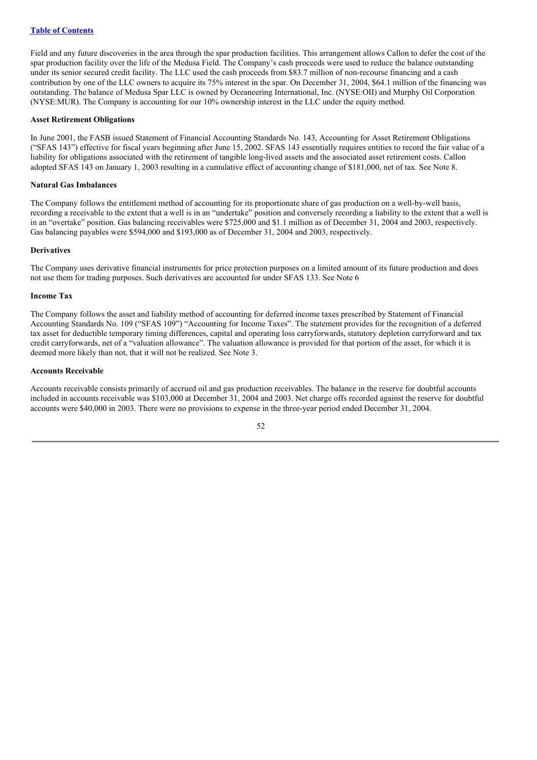#### **Table of [Contents](#page-0-0)**

Field and any future discoveries in the area through the spar production facilities. This arrangement allows Callon to defer the cost of the spar production facility over the life of the Medusa Field. The Company's cash proceeds were used to reduce the balance outstanding under its senior secured credit facility. The LLC used the cash proceeds from \$83.7 million of non-recourse financing and a cash contribution by one of the LLC owners to acquire its 75% interest in the spar. On December 31, 2004, \$64.1 million of the financing was outstanding. The balance of Medusa Spar LLC is owned by Oceaneering International, Inc. (NYSE:OII) and Murphy Oil Corporation (NYSE:MUR). The Company is accounting for our 10% ownership interest in the LLC under the equity method.

#### **Asset Retirement Obligations**

In June 2001, the FASB issued Statement of Financial Accounting Standards No. 143, Accounting for Asset Retirement Obligations ("SFAS 143") effective for fiscal years beginning after June 15, 2002. SFAS 143 essentially requires entities to record the fair value of a liability for obligations associated with the retirement of tangible long-lived assets and the associated asset retirement costs. Callon adopted SFAS 143 on January 1, 2003 resulting in a cumulative effect of accounting change of \$181,000, net of tax. See Note 8.

#### **Natural Gas Imbalances**

The Company follows the entitlement method of accounting for its proportionate share of gas production on a well-by-well basis, recording a receivable to the extent that a well is in an "undertake" position and conversely recording a liability to the extent that a well is in an "overtake" position. Gas balancing receivables were \$725,000 and \$1.1 million as of December 31, 2004 and 2003, respectively. Gas balancing payables were \$594,000 and \$193,000 as of December 31, 2004 and 2003, respectively.

#### **Derivatives**

The Company uses derivative financial instruments for price protection purposes on a limited amount of its future production and does not use them for trading purposes. Such derivatives are accounted for under SFAS 133. See Note 6

#### **Income Tax**

The Company follows the asset and liability method of accounting for deferred income taxes prescribed by Statement of Financial Accounting Standards No. 109 ("SFAS 109") "Accounting for Income Taxes". The statement provides for the recognition of a deferred tax asset for deductible temporary timing differences, capital and operating loss carryforwards, statutory depletion carryforward and tax credit carryforwards, net of a "valuation allowance". The valuation allowance is provided for that portion of the asset, for which it is deemed more likely than not, that it will not be realized. See Note 3.

## **Accounts Receivable**

Accounts receivable consists primarily of accrued oil and gas production receivables. The balance in the reserve for doubtful accounts included in accounts receivable was \$103,000 at December 31, 2004 and 2003. Net charge offs recorded against the reserve for doubtful accounts were \$40,000 in 2003. There were no provisions to expense in the three-year period ended December 31, 2004.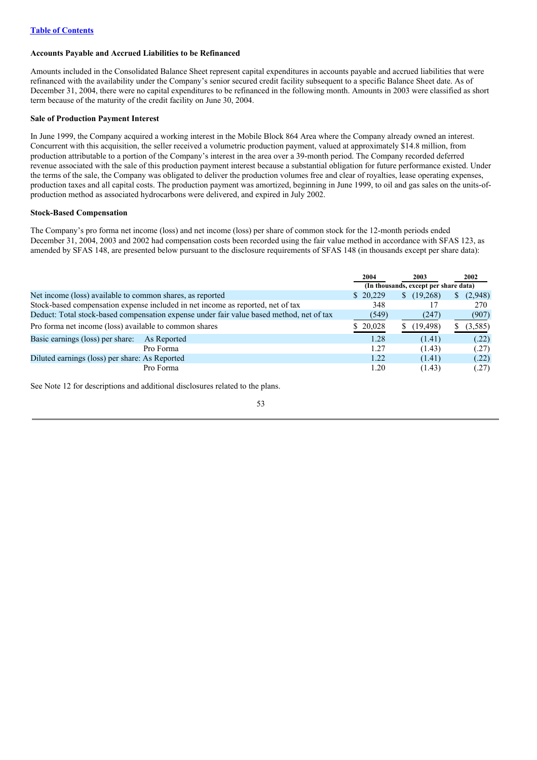## **Accounts Payable and Accrued Liabilities to be Refinanced**

Amounts included in the Consolidated Balance Sheet represent capital expenditures in accounts payable and accrued liabilities that were refinanced with the availability under the Company's senior secured credit facility subsequent to a specific Balance Sheet date. As of December 31, 2004, there were no capital expenditures to be refinanced in the following month. Amounts in 2003 were classified as short term because of the maturity of the credit facility on June 30, 2004.

### **Sale of Production Payment Interest**

In June 1999, the Company acquired a working interest in the Mobile Block 864 Area where the Company already owned an interest. Concurrent with this acquisition, the seller received a volumetric production payment, valued at approximately \$14.8 million, from production attributable to a portion of the Company's interest in the area over a 39-month period. The Company recorded deferred revenue associated with the sale of this production payment interest because a substantial obligation for future performance existed. Under the terms of the sale, the Company was obligated to deliver the production volumes free and clear of royalties, lease operating expenses, production taxes and all capital costs. The production payment was amortized, beginning in June 1999, to oil and gas sales on the units-ofproduction method as associated hydrocarbons were delivered, and expired in July 2002.

#### **Stock-Based Compensation**

The Company's pro forma net income (loss) and net income (loss) per share of common stock for the 12-month periods ended December 31, 2004, 2003 and 2002 had compensation costs been recorded using the fair value method in accordance with SFAS 123, as amended by SFAS 148, are presented below pursuant to the disclosure requirements of SFAS 148 (in thousands except per share data):

|                                                                                          | 2004     | 2003                                  | 2002    |
|------------------------------------------------------------------------------------------|----------|---------------------------------------|---------|
|                                                                                          |          | (In thousands, except per share data) |         |
| Net income (loss) available to common shares, as reported                                | \$20,229 | (19,268)<br>S.                        | (2,948) |
| Stock-based compensation expense included in net income as reported, net of tax          | 348      |                                       | 270     |
| Deduct: Total stock-based compensation expense under fair value based method, net of tax | (549)    | (247)                                 | (907)   |
| Pro forma net income (loss) available to common shares                                   | \$20,028 | (19, 498)                             | (3,585) |
| Basic earnings (loss) per share:<br>As Reported                                          | 1.28     | (1.41)                                | (.22)   |
| Pro Forma                                                                                | 1.27     | (1.43)                                | (.27)   |
| Diluted earnings (loss) per share: As Reported                                           | 1.22     | (1.41)                                | (.22)   |
| Pro Forma                                                                                | 1.20     | (1.43)                                | (.27)   |

See Note 12 for descriptions and additional disclosures related to the plans.

53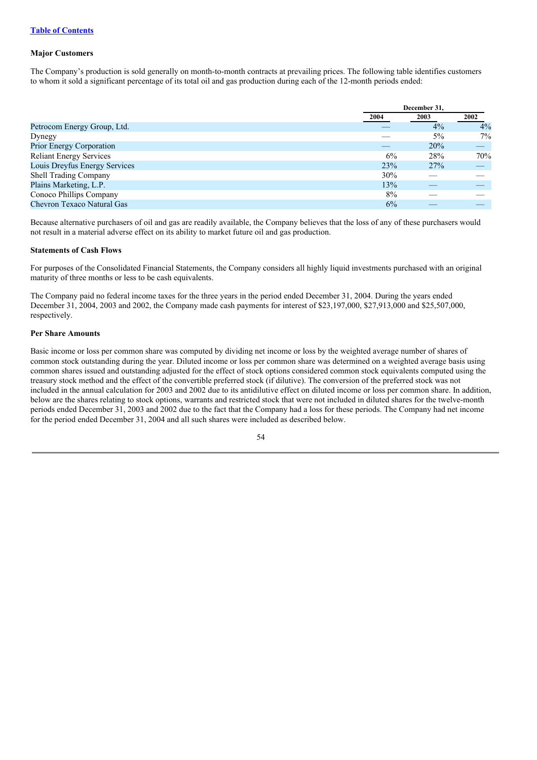## **Major Customers**

The Company's production is sold generally on month-to-month contracts at prevailing prices. The following table identifies customers to whom it sold a significant percentage of its total oil and gas production during each of the 12-month periods ended:

|                                |      | December 31. |       |  |
|--------------------------------|------|--------------|-------|--|
|                                | 2004 | 2003         | 2002  |  |
| Petrocom Energy Group, Ltd.    |      | $4\%$        | $4\%$ |  |
| Dynegy                         |      | $5\%$        | $7\%$ |  |
| Prior Energy Corporation       |      | 20%          |       |  |
| <b>Reliant Energy Services</b> | 6%   | 28%          | 70%   |  |
| Louis Dreyfus Energy Services  | 23%  | 27%          |       |  |
| <b>Shell Trading Company</b>   | 30%  |              |       |  |
| Plains Marketing, L.P.         | 13%  |              |       |  |
| Conoco Phillips Company        | 8%   |              |       |  |
| Chevron Texaco Natural Gas     | 6%   |              |       |  |

Because alternative purchasers of oil and gas are readily available, the Company believes that the loss of any of these purchasers would not result in a material adverse effect on its ability to market future oil and gas production.

### **Statements of Cash Flows**

For purposes of the Consolidated Financial Statements, the Company considers all highly liquid investments purchased with an original maturity of three months or less to be cash equivalents.

The Company paid no federal income taxes for the three years in the period ended December 31, 2004. During the years ended December 31, 2004, 2003 and 2002, the Company made cash payments for interest of \$23,197,000, \$27,913,000 and \$25,507,000, respectively.

#### **Per Share Amounts**

Basic income or loss per common share was computed by dividing net income or loss by the weighted average number of shares of common stock outstanding during the year. Diluted income or loss per common share was determined on a weighted average basis using common shares issued and outstanding adjusted for the effect of stock options considered common stock equivalents computed using the treasury stock method and the effect of the convertible preferred stock (if dilutive). The conversion of the preferred stock was not included in the annual calculation for 2003 and 2002 due to its antidilutive effect on diluted income or loss per common share. In addition, below are the shares relating to stock options, warrants and restricted stock that were not included in diluted shares for the twelve-month periods ended December 31, 2003 and 2002 due to the fact that the Company had a loss for these periods. The Company had net income for the period ended December 31, 2004 and all such shares were included as described below.

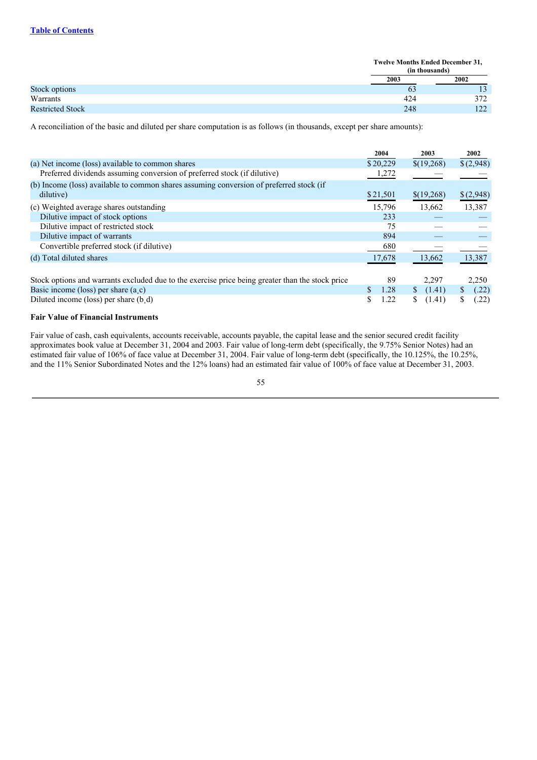|                         |      | <b>Twelve Months Ended December 31,</b><br>(in thousands) |
|-------------------------|------|-----------------------------------------------------------|
|                         | 2003 | 2002                                                      |
| Stock options           | 63   |                                                           |
| Warrants                | 424  | 372                                                       |
| <b>Restricted Stock</b> | 248  | 1 ລລ                                                      |

A reconciliation of the basic and diluted per share computation is as follows (in thousands, except per share amounts):

|                                                                                                      | 2004     | 2003                    | 2002        |
|------------------------------------------------------------------------------------------------------|----------|-------------------------|-------------|
| (a) Net income (loss) available to common shares                                                     | \$20,229 | \$(19,268)              | \$(2,948)   |
| Preferred dividends assuming conversion of preferred stock (if dilutive)                             | 1,272    |                         |             |
| (b) Income (loss) available to common shares assuming conversion of preferred stock (if<br>dilutive) | \$21,501 | \$(19,268)              | \$(2,948)   |
| (c) Weighted average shares outstanding                                                              | 15,796   | 13,662                  | 13,387      |
| Dilutive impact of stock options                                                                     | 233      |                         |             |
| Dilutive impact of restricted stock                                                                  | 75       |                         |             |
| Dilutive impact of warrants                                                                          | 894      |                         |             |
| Convertible preferred stock (if dilutive)                                                            | 680      |                         |             |
| (d) Total diluted shares                                                                             | 17,678   | 13,662                  | 13,387      |
| Stock options and warrants excluded due to the exercise price being greater than the stock price     | 89       | 2,297                   | 2,250       |
| Basic income (loss) per share $(a, c)$                                                               | 1.28     | <sup>\$</sup><br>(1.41) | (.22)<br>S. |
| Diluted income (loss) per share $(b,d)$                                                              | 1.22     | \$<br>(1.41)            | \$<br>(22)  |

## **Fair Value of Financial Instruments**

Fair value of cash, cash equivalents, accounts receivable, accounts payable, the capital lease and the senior secured credit facility approximates book value at December 31, 2004 and 2003. Fair value of long-term debt (specifically, the 9.75% Senior Notes) had an estimated fair value of 106% of face value at December 31, 2004. Fair value of long-term debt (specifically, the 10.125%, the 10.25%, and the 11% Senior Subordinated Notes and the 12% loans) had an estimated fair value of 100% of face value at December 31, 2003.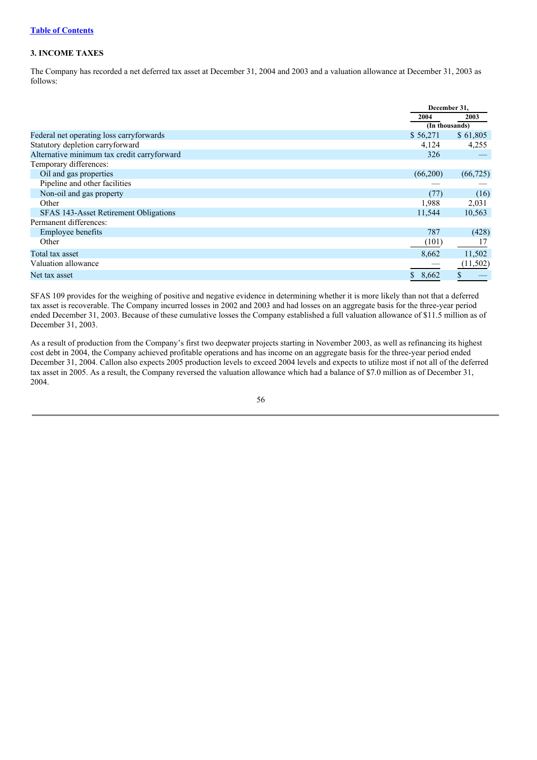## **3. INCOME TAXES**

The Company has recorded a net deferred tax asset at December 31, 2004 and 2003 and a valuation allowance at December 31, 2003 as follows:

|                                             | December 31,   |           |
|---------------------------------------------|----------------|-----------|
|                                             | 2004           | 2003      |
|                                             | (In thousands) |           |
| Federal net operating loss carryforwards    | \$56,271       | \$61,805  |
| Statutory depletion carryforward            | 4,124          | 4,255     |
| Alternative minimum tax credit carryforward | 326            |           |
| Temporary differences:                      |                |           |
| Oil and gas properties                      | (66,200)       | (66, 725) |
| Pipeline and other facilities               |                |           |
| Non-oil and gas property                    | (77)           | (16)      |
| Other                                       | 1,988          | 2,031     |
| SFAS 143-Asset Retirement Obligations       | 11,544         | 10,563    |
| Permanent differences:                      |                |           |
| Employee benefits                           | 787            | (428)     |
| Other                                       | (101)          | 17        |
| Total tax asset                             | 8,662          | 11,502    |
| Valuation allowance                         |                | (11,502)  |
| Net tax asset                               | \$8,662        |           |

SFAS 109 provides for the weighing of positive and negative evidence in determining whether it is more likely than not that a deferred tax asset is recoverable. The Company incurred losses in 2002 and 2003 and had losses on an aggregate basis for the three-year period ended December 31, 2003. Because of these cumulative losses the Company established a full valuation allowance of \$11.5 million as of December 31, 2003.

As a result of production from the Company's first two deepwater projects starting in November 2003, as well as refinancing its highest cost debt in 2004, the Company achieved profitable operations and has income on an aggregate basis for the three-year period ended December 31, 2004. Callon also expects 2005 production levels to exceed 2004 levels and expects to utilize most if not all of the deferred tax asset in 2005. As a result, the Company reversed the valuation allowance which had a balance of \$7.0 million as of December 31, 2004.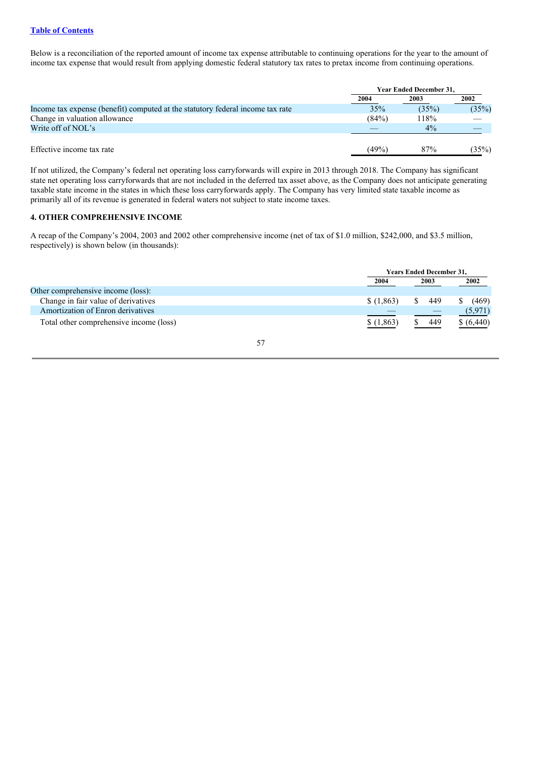Below is a reconciliation of the reported amount of income tax expense attributable to continuing operations for the year to the amount of income tax expense that would result from applying domestic federal statutory tax rates to pretax income from continuing operations.

|                                                                                |          | <b>Year Ended December 31.</b> |        |  |
|--------------------------------------------------------------------------------|----------|--------------------------------|--------|--|
|                                                                                | 2004     | 2003                           | 2002   |  |
| Income tax expense (benefit) computed at the statutory federal income tax rate | 35%      | (35%)                          | (35%)  |  |
| Change in valuation allowance                                                  | (84%)    | 118%                           |        |  |
| Write off of NOL's                                                             |          | $4\%$                          |        |  |
|                                                                                |          |                                |        |  |
| Effective income tax rate                                                      | $(49\%)$ | 87%                            | $35\%$ |  |

If not utilized, the Company's federal net operating loss carryforwards will expire in 2013 through 2018. The Company has significant state net operating loss carryforwards that are not included in the deferred tax asset above, as the Company does not anticipate generating taxable state income in the states in which these loss carryforwards apply. The Company has very limited state taxable income as primarily all of its revenue is generated in federal waters not subject to state income taxes.

## **4. OTHER COMPREHENSIVE INCOME**

A recap of the Company's 2004, 2003 and 2002 other comprehensive income (net of tax of \$1.0 million, \$242,000, and \$3.5 million, respectively) is shown below (in thousands):

|                                         |           | <b>Years Ended December 31,</b> |            |  |  |
|-----------------------------------------|-----------|---------------------------------|------------|--|--|
|                                         | 2004      | 2003                            | 2002       |  |  |
| Other comprehensive income (loss):      |           |                                 |            |  |  |
| Change in fair value of derivatives     | \$(1,863) | 449                             | (469)      |  |  |
| Amortization of Enron derivatives       |           |                                 | (5,971)    |  |  |
| Total other comprehensive income (loss) | \$(1,863) | 449                             | \$ (6,440) |  |  |
|                                         |           |                                 |            |  |  |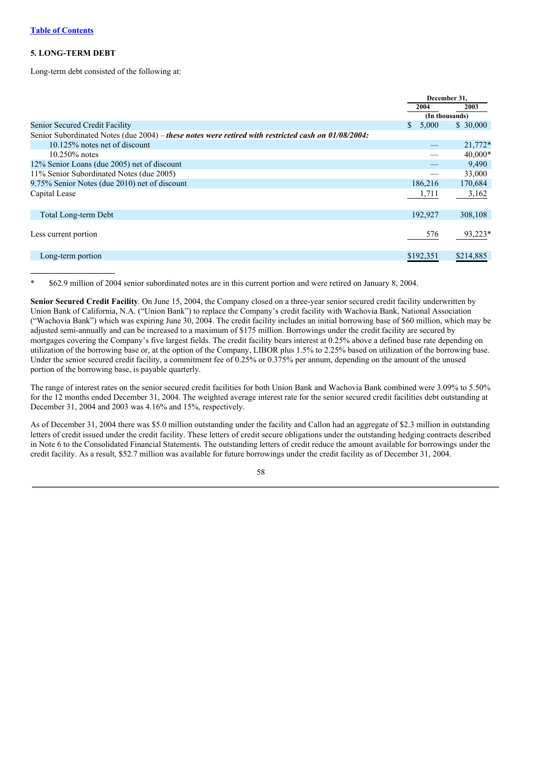## **5. LONG-TERM DEBT**

Long-term debt consisted of the following at:

|             | December 31,   |
|-------------|----------------|
| 2004        | 2003           |
|             | (In thousands) |
| 5,000<br>S. | \$30,000       |
|             |                |
|             | 21,772*        |
|             | $40,000*$      |
|             | 9,490          |
|             | 33,000         |
| 186,216     | 170,684        |
| 1,711       | 3,162          |
|             |                |
| 192,927     | 308,108        |
|             | 93,223*        |
|             |                |
| \$192,351   | \$214,885      |
|             | 576            |

\* \$62.9 million of 2004 senior subordinated notes are in this current portion and were retired on January 8, 2004.

**Senior Secured Credit Facility**. On June 15, 2004, the Company closed on a three-year senior secured credit facility underwritten by Union Bank of California, N.A. ("Union Bank") to replace the Company's credit facility with Wachovia Bank, National Association ("Wachovia Bank") which was expiring June 30, 2004. The credit facility includes an initial borrowing base of \$60 million, which may be adjusted semi-annually and can be increased to a maximum of \$175 million. Borrowings under the credit facility are secured by mortgages covering the Company's five largest fields. The credit facility bears interest at 0.25% above a defined base rate depending on utilization of the borrowing base or, at the option of the Company, LIBOR plus 1.5% to 2.25% based on utilization of the borrowing base. Under the senior secured credit facility, a commitment fee of 0.25% or 0.375% per annum, depending on the amount of the unused portion of the borrowing base, is payable quarterly.

The range of interest rates on the senior secured credit facilities for both Union Bank and Wachovia Bank combined were 3.09% to 5.50% for the 12 months ended December 31, 2004. The weighted average interest rate for the senior secured credit facilities debt outstanding at December 31, 2004 and 2003 was 4.16% and 15%, respectively.

As of December 31, 2004 there was \$5.0 million outstanding under the facility and Callon had an aggregate of \$2.3 million in outstanding letters of credit issued under the credit facility. These letters of credit secure obligations under the outstanding hedging contracts described in Note 6 to the Consolidated Financial Statements. The outstanding letters of credit reduce the amount available for borrowings under the credit facility. As a result, \$52.7 million was available for future borrowings under the credit facility as of December 31, 2004.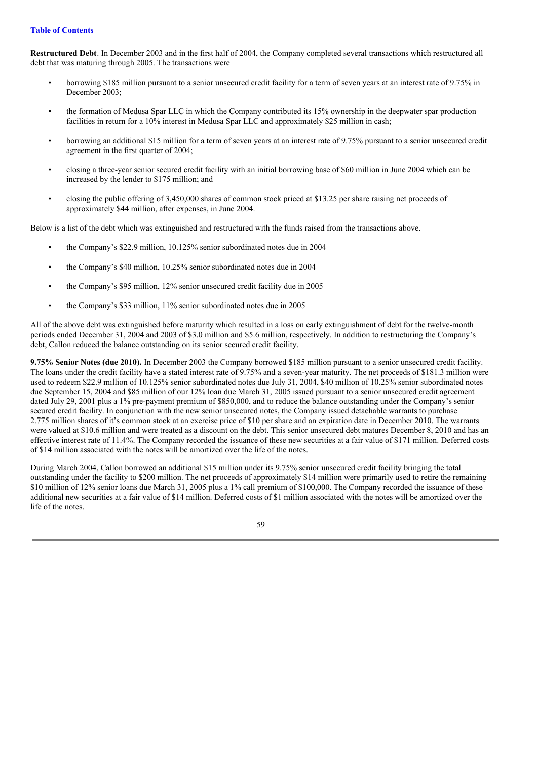**Restructured Debt**. In December 2003 and in the first half of 2004, the Company completed several transactions which restructured all debt that was maturing through 2005. The transactions were

- borrowing \$185 million pursuant to a senior unsecured credit facility for a term of seven years at an interest rate of 9.75% in December 2003;
- the formation of Medusa Spar LLC in which the Company contributed its 15% ownership in the deepwater spar production facilities in return for a 10% interest in Medusa Spar LLC and approximately \$25 million in cash;
- borrowing an additional \$15 million for a term of seven years at an interest rate of 9.75% pursuant to a senior unsecured credit agreement in the first quarter of 2004;
- closing a three-year senior secured credit facility with an initial borrowing base of \$60 million in June 2004 which can be increased by the lender to \$175 million; and
- closing the public offering of 3,450,000 shares of common stock priced at \$13.25 per share raising net proceeds of approximately \$44 million, after expenses, in June 2004.

Below is a list of the debt which was extinguished and restructured with the funds raised from the transactions above.

- the Company's \$22.9 million, 10.125% senior subordinated notes due in 2004
- the Company's \$40 million, 10.25% senior subordinated notes due in 2004
- the Company's \$95 million, 12% senior unsecured credit facility due in 2005
- the Company's \$33 million, 11% senior subordinated notes due in 2005

All of the above debt was extinguished before maturity which resulted in a loss on early extinguishment of debt for the twelve-month periods ended December 31, 2004 and 2003 of \$3.0 million and \$5.6 million, respectively. In addition to restructuring the Company's debt, Callon reduced the balance outstanding on its senior secured credit facility.

**9.75% Senior Notes (due 2010).** In December 2003 the Company borrowed \$185 million pursuant to a senior unsecured credit facility. The loans under the credit facility have a stated interest rate of 9.75% and a seven-year maturity. The net proceeds of \$181.3 million were used to redeem \$22.9 million of 10.125% senior subordinated notes due July 31, 2004, \$40 million of 10.25% senior subordinated notes due September 15, 2004 and \$85 million of our 12% loan due March 31, 2005 issued pursuant to a senior unsecured credit agreement dated July 29, 2001 plus a 1% pre-payment premium of \$850,000, and to reduce the balance outstanding under the Company's senior secured credit facility. In conjunction with the new senior unsecured notes, the Company issued detachable warrants to purchase 2.775 million shares of it's common stock at an exercise price of \$10 per share and an expiration date in December 2010. The warrants were valued at \$10.6 million and were treated as a discount on the debt. This senior unsecured debt matures December 8, 2010 and has an effective interest rate of 11.4%. The Company recorded the issuance of these new securities at a fair value of \$171 million. Deferred costs of \$14 million associated with the notes will be amortized over the life of the notes.

During March 2004, Callon borrowed an additional \$15 million under its 9.75% senior unsecured credit facility bringing the total outstanding under the facility to \$200 million. The net proceeds of approximately \$14 million were primarily used to retire the remaining \$10 million of 12% senior loans due March 31, 2005 plus a 1% call premium of \$100,000. The Company recorded the issuance of these additional new securities at a fair value of \$14 million. Deferred costs of \$1 million associated with the notes will be amortized over the life of the notes.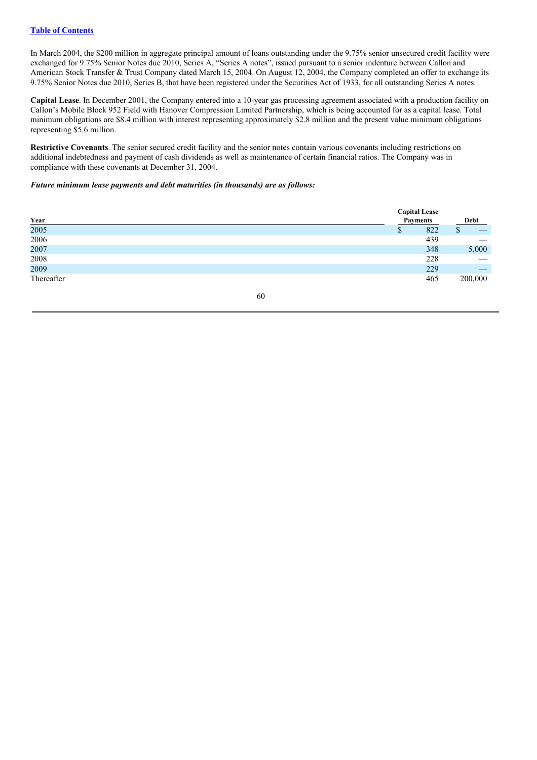In March 2004, the \$200 million in aggregate principal amount of loans outstanding under the 9.75% senior unsecured credit facility were exchanged for 9.75% Senior Notes due 2010, Series A, "Series A notes", issued pursuant to a senior indenture between Callon and American Stock Transfer & Trust Company dated March 15, 2004. On August 12, 2004, the Company completed an offer to exchange its 9.75% Senior Notes due 2010, Series B, that have been registered under the Securities Act of 1933, for all outstanding Series A notes.

**Capital Lease**. In December 2001, the Company entered into a 10-year gas processing agreement associated with a production facility on Callon's Mobile Block 952 Field with Hanover Compression Limited Partnership, which is being accounted for as a capital lease. Total minimum obligations are \$8.4 million with interest representing approximately \$2.8 million and the present value minimum obligations representing \$5.6 million.

**Restrictive Covenants**. The senior secured credit facility and the senior notes contain various covenants including restrictions on additional indebtedness and payment of cash dividends as well as maintenance of certain financial ratios. The Company was in compliance with these covenants at December 31, 2004.

## *Future minimum lease payments and debt maturities (in thousands) are as follows:*

| Year            | <b>Capital Lease</b><br><b>Payments</b> | Debt                           |
|-----------------|-----------------------------------------|--------------------------------|
| 2005            | 822<br>Φ                                | J                              |
| 2006            | 439                                     |                                |
| 2007            | 348                                     | 5,000                          |
| 2008            | 228                                     | $\overbrace{\hspace{25mm}}^{}$ |
| 2009            | 229                                     | $-$                            |
| Thereafter<br>. | 465                                     | 200,000                        |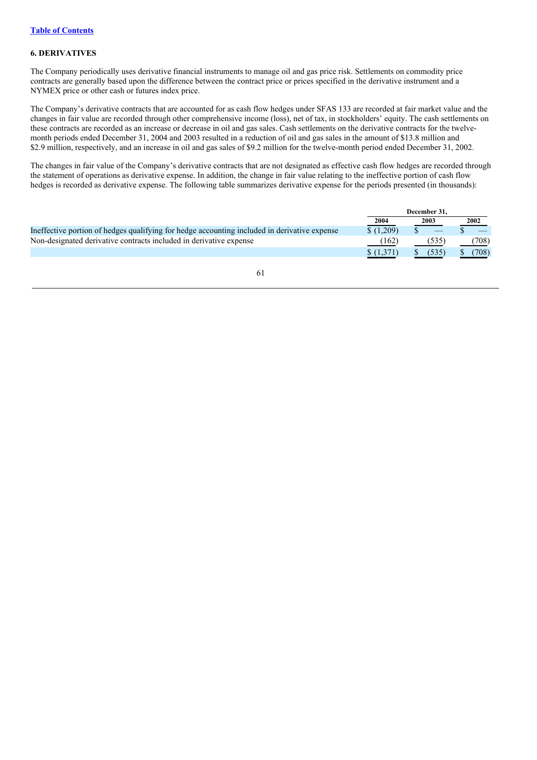## **6. DERIVATIVES**

The Company periodically uses derivative financial instruments to manage oil and gas price risk. Settlements on commodity price contracts are generally based upon the difference between the contract price or prices specified in the derivative instrument and a NYMEX price or other cash or futures index price.

The Company's derivative contracts that are accounted for as cash flow hedges under SFAS 133 are recorded at fair market value and the changes in fair value are recorded through other comprehensive income (loss), net of tax, in stockholders' equity. The cash settlements on these contracts are recorded as an increase or decrease in oil and gas sales. Cash settlements on the derivative contracts for the twelvemonth periods ended December 31, 2004 and 2003 resulted in a reduction of oil and gas sales in the amount of \$13.8 million and \$2.9 million, respectively, and an increase in oil and gas sales of \$9.2 million for the twelve-month period ended December 31, 2002.

The changes in fair value of the Company's derivative contracts that are not designated as effective cash flow hedges are recorded through the statement of operations as derivative expense. In addition, the change in fair value relating to the ineffective portion of cash flow hedges is recorded as derivative expense. The following table summarizes derivative expense for the periods presented (in thousands):

|                                                                                              | December 31. |       |      |
|----------------------------------------------------------------------------------------------|--------------|-------|------|
|                                                                                              | 2004         | 2003  | 2002 |
| Ineffective portion of hedges qualifying for hedge accounting included in derivative expense | \$(1.209)    |       |      |
| Non-designated derivative contracts included in derivative expense                           | (162)        | (535) | 708) |
|                                                                                              | \$(1,371)    | (535) | 708) |
|                                                                                              |              |       |      |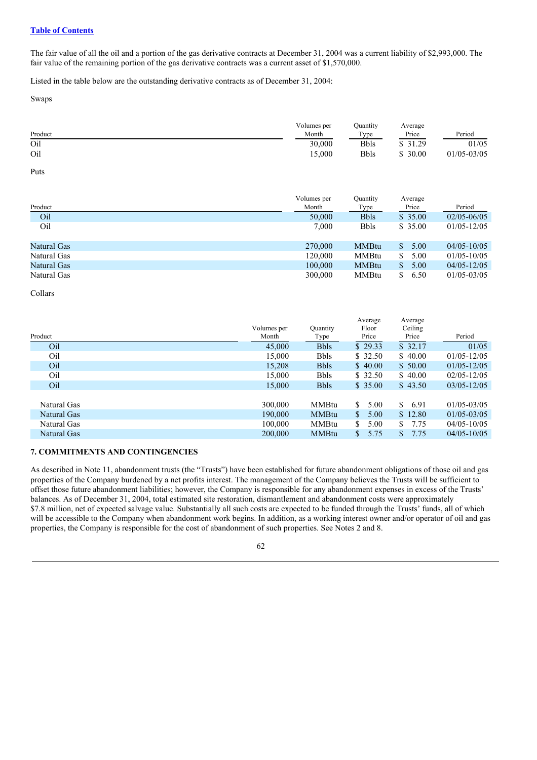## **Table of [Contents](#page-0-0)**

The fair value of all the oil and a portion of the gas derivative contracts at December 31, 2004 was a current liability of \$2,993,000. The fair value of the remaining portion of the gas derivative contracts was a current asset of \$1,570,000.

Listed in the table below are the outstanding derivative contracts as of December 31, 2004:

Swaps

| Product          | Volumes per<br>Month | Quantity<br>Type | Average<br>Price | Period      |
|------------------|----------------------|------------------|------------------|-------------|
| Oil              | 30,000               | <b>Bbls</b>      | \$ 31.29         | 01/05       |
| Oil              | 15,000               | <b>Bbls</b>      | \$30.00          | 01/05-03/05 |
| $D_{3,14\alpha}$ |                      |                  |                  |             |

Puts

| Product<br>Oil<br>Oil | Volumes per<br>Month<br>50,000<br>7.000 | <b>Quantity</b><br>Type<br><b>Bbls</b><br><b>Bbls</b> | Average<br>Price<br>\$35.00<br>\$35.00 | Period<br>$02/05 - 06/05$<br>$01/05 - 12/05$ |
|-----------------------|-----------------------------------------|-------------------------------------------------------|----------------------------------------|----------------------------------------------|
| Natural Gas           | 270,000                                 | <b>MMBtu</b>                                          | <sup>S</sup><br>5.00                   | $04/05 - 10/05$                              |
| Natural Gas           | 120,000                                 | <b>MMBtu</b>                                          | 5.00<br>S.                             | $01/05 - 10/05$                              |
| Natural Gas           | 100,000                                 | <b>MMBtu</b>                                          | 5.00<br>S.                             | $04/05 - 12/05$                              |
| Natural Gas           | 300,000                                 | <b>MMBtu</b>                                          | 6.50<br>S                              | $01/05 - 03/05$                              |

Collars

|                 |             |                 | Average                | Average                |                 |
|-----------------|-------------|-----------------|------------------------|------------------------|-----------------|
|                 | Volumes per | <b>Quantity</b> | Floor                  | Ceiling                |                 |
| Product         | Month       | Type            | Price                  | Price                  | Period          |
| O <sub>il</sub> | 45,000      | <b>Bbls</b>     | \$29.33                | \$32.17                | 01/05           |
| O <sub>il</sub> | 15,000      | <b>Bbls</b>     | \$32.50                | \$40.00                | $01/05 - 12/05$ |
| O <sub>il</sub> | 15,208      | <b>Bbls</b>     | \$40.00                | \$50.00                | $01/05 - 12/05$ |
| O <sub>il</sub> | 15,000      | <b>Bbls</b>     | \$32.50                | \$40.00                | $02/05 - 12/05$ |
| O <sub>il</sub> | 15,000      | <b>Bbls</b>     | \$35.00                | \$43.50                | $03/05 - 12/05$ |
|                 |             |                 |                        |                        |                 |
| Natural Gas     | 300,000     | <b>MMBtu</b>    | S.<br>5.00             | \$<br>6.91             | $01/05 - 03/05$ |
| Natural Gas     | 190,000     | <b>MMBtu</b>    | \$<br>5.00             | \$12.80                | $01/05 - 03/05$ |
| Natural Gas     | 100,000     | <b>MMBtu</b>    | \$<br>5.00             | \$<br>7.75             | $04/05 - 10/05$ |
| Natural Gas     | 200,000     | <b>MMBtu</b>    | 5.75<br>$\mathbb{S}^-$ | $\mathbb{S}^-$<br>7.75 | $04/05 - 10/05$ |
|                 |             |                 |                        |                        |                 |

## **7. COMMITMENTS AND CONTINGENCIES**

As described in Note 11, abandonment trusts (the "Trusts") have been established for future abandonment obligations of those oil and gas properties of the Company burdened by a net profits interest. The management of the Company believes the Trusts will be sufficient to offset those future abandonment liabilities; however, the Company is responsible for any abandonment expenses in excess of the Trusts' balances. As of December 31, 2004, total estimated site restoration, dismantlement and abandonment costs were approximately \$7.8 million, net of expected salvage value. Substantially all such costs are expected to be funded through the Trusts' funds, all of which will be accessible to the Company when abandonment work begins. In addition, as a working interest owner and/or operator of oil and gas properties, the Company is responsible for the cost of abandonment of such properties. See Notes 2 and 8.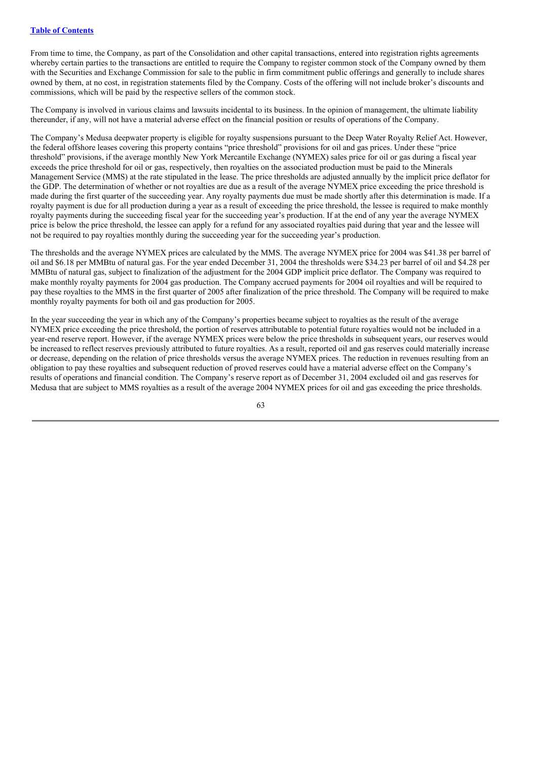From time to time, the Company, as part of the Consolidation and other capital transactions, entered into registration rights agreements whereby certain parties to the transactions are entitled to require the Company to register common stock of the Company owned by them with the Securities and Exchange Commission for sale to the public in firm commitment public offerings and generally to include shares owned by them, at no cost, in registration statements filed by the Company. Costs of the offering will not include broker's discounts and commissions, which will be paid by the respective sellers of the common stock.

The Company is involved in various claims and lawsuits incidental to its business. In the opinion of management, the ultimate liability thereunder, if any, will not have a material adverse effect on the financial position or results of operations of the Company.

The Company's Medusa deepwater property is eligible for royalty suspensions pursuant to the Deep Water Royalty Relief Act. However, the federal offshore leases covering this property contains "price threshold" provisions for oil and gas prices. Under these "price threshold" provisions, if the average monthly New York Mercantile Exchange (NYMEX) sales price for oil or gas during a fiscal year exceeds the price threshold for oil or gas, respectively, then royalties on the associated production must be paid to the Minerals Management Service (MMS) at the rate stipulated in the lease. The price thresholds are adjusted annually by the implicit price deflator for the GDP. The determination of whether or not royalties are due as a result of the average NYMEX price exceeding the price threshold is made during the first quarter of the succeeding year. Any royalty payments due must be made shortly after this determination is made. If a royalty payment is due for all production during a year as a result of exceeding the price threshold, the lessee is required to make monthly royalty payments during the succeeding fiscal year for the succeeding year's production. If at the end of any year the average NYMEX price is below the price threshold, the lessee can apply for a refund for any associated royalties paid during that year and the lessee will not be required to pay royalties monthly during the succeeding year for the succeeding year's production.

The thresholds and the average NYMEX prices are calculated by the MMS. The average NYMEX price for 2004 was \$41.38 per barrel of oil and \$6.18 per MMBtu of natural gas. For the year ended December 31, 2004 the thresholds were \$34.23 per barrel of oil and \$4.28 per MMBtu of natural gas, subject to finalization of the adjustment for the 2004 GDP implicit price deflator. The Company was required to make monthly royalty payments for 2004 gas production. The Company accrued payments for 2004 oil royalties and will be required to pay these royalties to the MMS in the first quarter of 2005 after finalization of the price threshold. The Company will be required to make monthly royalty payments for both oil and gas production for 2005.

In the year succeeding the year in which any of the Company's properties became subject to royalties as the result of the average NYMEX price exceeding the price threshold, the portion of reserves attributable to potential future royalties would not be included in a year-end reserve report. However, if the average NYMEX prices were below the price thresholds in subsequent years, our reserves would be increased to reflect reserves previously attributed to future royalties. As a result, reported oil and gas reserves could materially increase or decrease, depending on the relation of price thresholds versus the average NYMEX prices. The reduction in revenues resulting from an obligation to pay these royalties and subsequent reduction of proved reserves could have a material adverse effect on the Company's results of operations and financial condition. The Company's reserve report as of December 31, 2004 excluded oil and gas reserves for Medusa that are subject to MMS royalties as a result of the average 2004 NYMEX prices for oil and gas exceeding the price thresholds.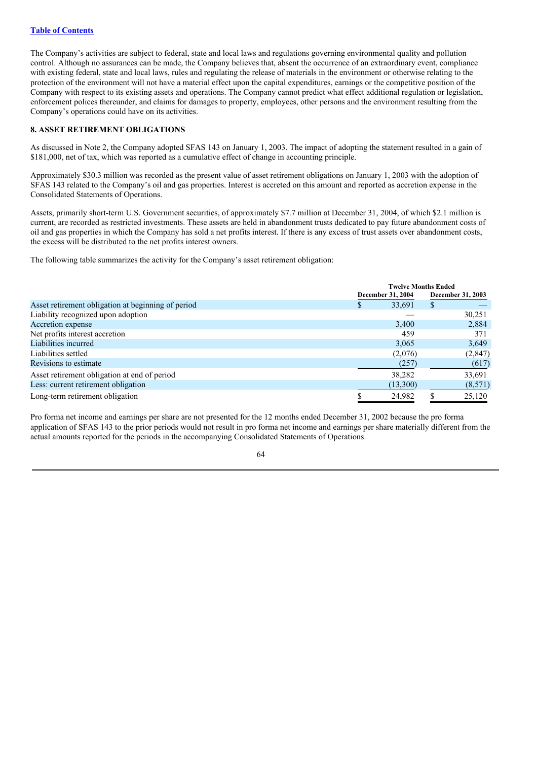The Company's activities are subject to federal, state and local laws and regulations governing environmental quality and pollution control. Although no assurances can be made, the Company believes that, absent the occurrence of an extraordinary event, compliance with existing federal, state and local laws, rules and regulating the release of materials in the environment or otherwise relating to the protection of the environment will not have a material effect upon the capital expenditures, earnings or the competitive position of the Company with respect to its existing assets and operations. The Company cannot predict what effect additional regulation or legislation, enforcement polices thereunder, and claims for damages to property, employees, other persons and the environment resulting from the Company's operations could have on its activities.

#### **8. ASSET RETIREMENT OBLIGATIONS**

As discussed in Note 2, the Company adopted SFAS 143 on January 1, 2003. The impact of adopting the statement resulted in a gain of \$181,000, net of tax, which was reported as a cumulative effect of change in accounting principle.

Approximately \$30.3 million was recorded as the present value of asset retirement obligations on January 1, 2003 with the adoption of SFAS 143 related to the Company's oil and gas properties. Interest is accreted on this amount and reported as accretion expense in the Consolidated Statements of Operations.

Assets, primarily short-term U.S. Government securities, of approximately \$7.7 million at December 31, 2004, of which \$2.1 million is current, are recorded as restricted investments. These assets are held in abandonment trusts dedicated to pay future abandonment costs of oil and gas properties in which the Company has sold a net profits interest. If there is any excess of trust assets over abandonment costs, the excess will be distributed to the net profits interest owners.

The following table summarizes the activity for the Company's asset retirement obligation:

|                                                    | <b>Twelve Months Ended</b> |                   |   |                   |  |
|----------------------------------------------------|----------------------------|-------------------|---|-------------------|--|
|                                                    |                            | December 31, 2004 |   | December 31, 2003 |  |
| Asset retirement obligation at beginning of period | ъ                          | 33,691            | S |                   |  |
| Liability recognized upon adoption                 |                            |                   |   | 30,251            |  |
| Accretion expense                                  |                            | 3,400             |   | 2,884             |  |
| Net profits interest accretion                     |                            | 459               |   | 371               |  |
| Liabilities incurred                               |                            | 3,065             |   | 3,649             |  |
| Liabilities settled                                |                            | (2,076)           |   | (2,847)           |  |
| Revisions to estimate                              |                            | (257)             |   | (617)             |  |
| Asset retirement obligation at end of period       |                            | 38,282            |   | 33,691            |  |
| Less: current retirement obligation                |                            | (13,300)          |   | (8,571)           |  |
| Long-term retirement obligation                    |                            | 24,982            |   | 25,120            |  |

Pro forma net income and earnings per share are not presented for the 12 months ended December 31, 2002 because the pro forma application of SFAS 143 to the prior periods would not result in pro forma net income and earnings per share materially different from the actual amounts reported for the periods in the accompanying Consolidated Statements of Operations.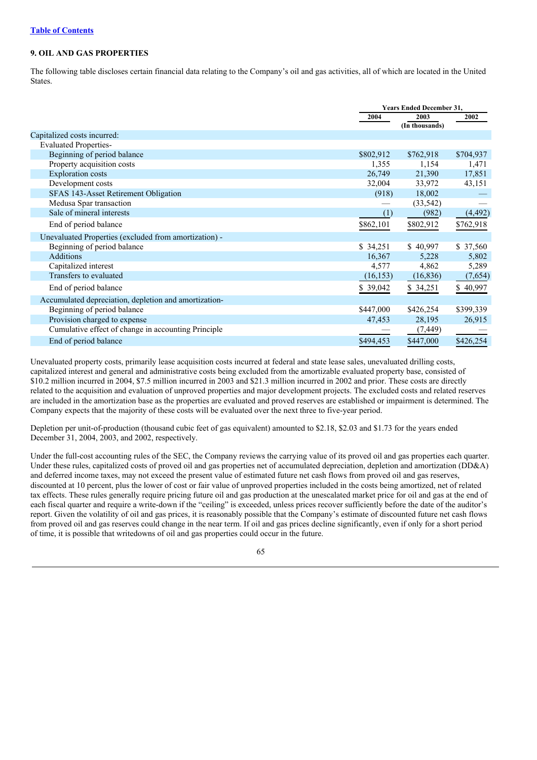## **9. OIL AND GAS PROPERTIES**

The following table discloses certain financial data relating to the Company's oil and gas activities, all of which are located in the United **States**.

|                                                       |           | <b>Years Ended December 31.</b> |           |  |  |
|-------------------------------------------------------|-----------|---------------------------------|-----------|--|--|
|                                                       | 2004      | 2003                            | 2002      |  |  |
|                                                       |           | (In thousands)                  |           |  |  |
| Capitalized costs incurred:                           |           |                                 |           |  |  |
| <b>Evaluated Properties-</b>                          |           |                                 |           |  |  |
| Beginning of period balance                           | \$802,912 | \$762,918                       | \$704,937 |  |  |
| Property acquisition costs                            | 1,355     | 1,154                           | 1,471     |  |  |
| <b>Exploration costs</b>                              | 26,749    | 21,390                          | 17,851    |  |  |
| Development costs                                     | 32,004    | 33,972                          | 43,151    |  |  |
| SFAS 143-Asset Retirement Obligation                  | (918)     | 18,002                          |           |  |  |
| Medusa Spar transaction                               |           | (33, 542)                       |           |  |  |
| Sale of mineral interests                             | (1)       | (982)                           | (4, 492)  |  |  |
| End of period balance                                 | \$862,101 | \$802,912                       | \$762,918 |  |  |
| Unevaluated Properties (excluded from amortization) - |           |                                 |           |  |  |
| Beginning of period balance                           | \$34,251  | \$40,997                        | \$37,560  |  |  |
| <b>Additions</b>                                      | 16,367    | 5,228                           | 5,802     |  |  |
| Capitalized interest                                  | 4,577     | 4,862                           | 5,289     |  |  |
| Transfers to evaluated                                | (16, 153) | (16, 836)                       | (7,654)   |  |  |
| End of period balance                                 | \$39,042  | \$34,251                        | \$40,997  |  |  |
| Accumulated depreciation, depletion and amortization- |           |                                 |           |  |  |
| Beginning of period balance                           | \$447,000 | \$426,254                       | \$399,339 |  |  |
| Provision charged to expense                          | 47,453    | 28,195                          | 26,915    |  |  |
| Cumulative effect of change in accounting Principle   |           | (7, 449)                        |           |  |  |
| End of period balance                                 | \$494,453 | \$447,000                       | \$426,254 |  |  |

Unevaluated property costs, primarily lease acquisition costs incurred at federal and state lease sales, unevaluated drilling costs, capitalized interest and general and administrative costs being excluded from the amortizable evaluated property base, consisted of \$10.2 million incurred in 2004, \$7.5 million incurred in 2003 and \$21.3 million incurred in 2002 and prior. These costs are directly related to the acquisition and evaluation of unproved properties and major development projects. The excluded costs and related reserves are included in the amortization base as the properties are evaluated and proved reserves are established or impairment is determined. The Company expects that the majority of these costs will be evaluated over the next three to five-year period.

Depletion per unit-of-production (thousand cubic feet of gas equivalent) amounted to \$2.18, \$2.03 and \$1.73 for the years ended December 31, 2004, 2003, and 2002, respectively.

Under the full-cost accounting rules of the SEC, the Company reviews the carrying value of its proved oil and gas properties each quarter. Under these rules, capitalized costs of proved oil and gas properties net of accumulated depreciation, depletion and amortization (DD&A) and deferred income taxes, may not exceed the present value of estimated future net cash flows from proved oil and gas reserves, discounted at 10 percent, plus the lower of cost or fair value of unproved properties included in the costs being amortized, net of related tax effects. These rules generally require pricing future oil and gas production at the unescalated market price for oil and gas at the end of each fiscal quarter and require a write-down if the "ceiling" is exceeded, unless prices recover sufficiently before the date of the auditor's report. Given the volatility of oil and gas prices, it is reasonably possible that the Company's estimate of discounted future net cash flows from proved oil and gas reserves could change in the near term. If oil and gas prices decline significantly, even if only for a short period of time, it is possible that writedowns of oil and gas properties could occur in the future.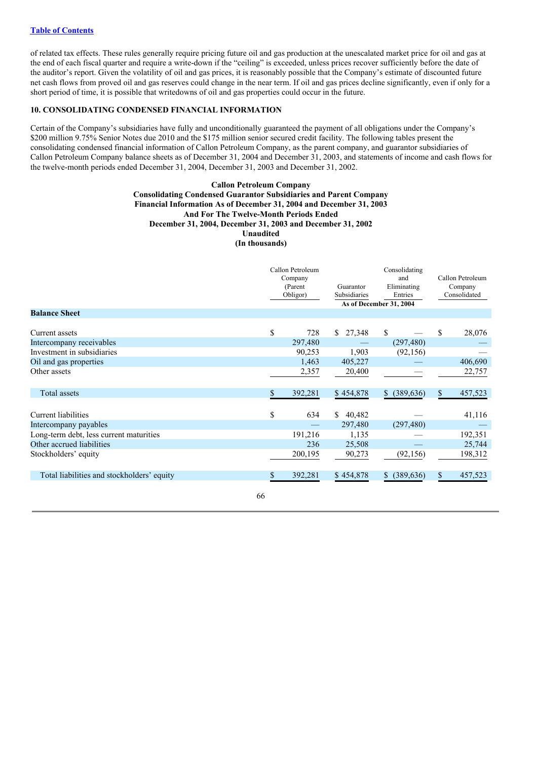of related tax effects. These rules generally require pricing future oil and gas production at the unescalated market price for oil and gas at the end of each fiscal quarter and require a write-down if the "ceiling" is exceeded, unless prices recover sufficiently before the date of the auditor's report. Given the volatility of oil and gas prices, it is reasonably possible that the Company's estimate of discounted future net cash flows from proved oil and gas reserves could change in the near term. If oil and gas prices decline significantly, even if only for a short period of time, it is possible that writedowns of oil and gas properties could occur in the future.

## **10. CONSOLIDATING CONDENSED FINANCIAL INFORMATION**

Certain of the Company's subsidiaries have fully and unconditionally guaranteed the payment of all obligations under the Company's \$200 million 9.75% Senior Notes due 2010 and the \$175 million senior secured credit facility. The following tables present the consolidating condensed financial information of Callon Petroleum Company, as the parent company, and guarantor subsidiaries of Callon Petroleum Company balance sheets as of December 31, 2004 and December 31, 2003, and statements of income and cash flows for the twelve-month periods ended December 31, 2004, December 31, 2003 and December 31, 2002.

#### **Callon Petroleum Company Consolidating Condensed Guarantor Subsidiaries and Parent Company Financial Information As of December 31, 2004 and December 31, 2003 And For The Twelve-Month Periods Ended December 31, 2004, December 31, 2003 and December 31, 2002 Unaudited (In thousands)**

|                                            |    | Callon Petroleum<br>Company<br>(Parent<br>Obligor) | Guarantor<br>Subsidiaries | Consolidating<br>and<br>Eliminating<br>Entries<br>As of December 31, 2004 | Callon Petroleum<br>Company<br>Consolidated |
|--------------------------------------------|----|----------------------------------------------------|---------------------------|---------------------------------------------------------------------------|---------------------------------------------|
| <b>Balance Sheet</b>                       |    |                                                    |                           |                                                                           |                                             |
| Current assets                             | \$ | 728                                                | 27,348<br>$\mathbf{s}$    | <sup>\$</sup>                                                             | \$<br>28,076                                |
| Intercompany receivables                   |    | 297,480                                            |                           | (297, 480)                                                                |                                             |
| Investment in subsidiaries                 |    | 90,253                                             | 1,903                     | (92, 156)                                                                 |                                             |
| Oil and gas properties                     |    | 1,463                                              | 405,227                   |                                                                           | 406,690                                     |
| Other assets                               |    | 2,357                                              | 20,400                    |                                                                           | 22,757                                      |
| <b>Total</b> assets                        | \$ | 392,281                                            | \$454,878                 | \$ (389,636)                                                              | \$<br>457,523                               |
| Current liabilities                        | \$ | 634                                                | \$<br>40,482              |                                                                           | 41,116                                      |
| Intercompany payables                      |    |                                                    | 297,480                   | (297, 480)                                                                |                                             |
| Long-term debt, less current maturities    |    | 191,216                                            | 1,135                     |                                                                           | 192,351                                     |
| Other accrued liabilities                  |    | 236                                                | 25,508                    |                                                                           | 25,744                                      |
| Stockholders' equity                       |    | 200,195                                            | 90,273                    | (92, 156)                                                                 | 198,312                                     |
| Total liabilities and stockholders' equity | S  | 392,281                                            | \$454,878                 | \$ (389,636)                                                              | \$<br>457,523                               |
|                                            | 66 |                                                    |                           |                                                                           |                                             |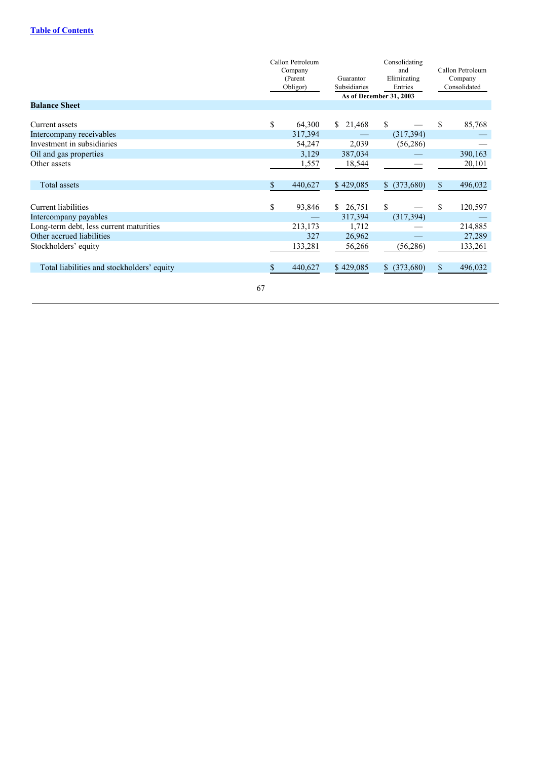## **Table of [Contents](#page-0-0)**

|                                                        |    | Callon Petroleum<br>Company<br>(Parent<br>Obligor) | Guarantor<br>Subsidiaries | Consolidating<br>and<br>Eliminating<br>Entries<br>As of December 31, 2003 |               | Callon Petroleum<br>Company<br>Consolidated |
|--------------------------------------------------------|----|----------------------------------------------------|---------------------------|---------------------------------------------------------------------------|---------------|---------------------------------------------|
| <b>Balance Sheet</b>                                   |    |                                                    |                           |                                                                           |               |                                             |
| Current assets                                         | \$ | 64,300                                             | \$21,468                  | \$                                                                        | \$            | 85,768                                      |
| Intercompany receivables<br>Investment in subsidiaries |    | 317,394                                            |                           | (317, 394)                                                                |               |                                             |
|                                                        |    | 54,247                                             | 2,039                     | (56, 286)                                                                 |               |                                             |
| Oil and gas properties<br>Other assets                 |    | 3,129                                              | 387,034                   |                                                                           |               | 390,163                                     |
| Total assets                                           | S  | 1,557<br>440,627                                   | 18,544<br>\$429,085       | \$ (373,680)                                                              | \$            | 20,101<br>496,032                           |
| Current liabilities                                    | \$ | 93,846                                             | \$26,751                  | \$                                                                        | <sup>\$</sup> | 120,597                                     |
| Intercompany payables                                  |    |                                                    | 317,394                   | (317, 394)                                                                |               |                                             |
| Long-term debt, less current maturities                |    | 213,173                                            | 1,712                     |                                                                           |               | 214,885                                     |
| Other accrued liabilities                              |    | 327                                                | 26,962                    |                                                                           |               | 27,289                                      |
| Stockholders' equity                                   |    | 133,281                                            | 56,266                    | (56, 286)                                                                 |               | 133,261                                     |
| Total liabilities and stockholders' equity             |    | 440,627                                            | \$429,085                 | \$(373,680)                                                               | \$            | 496,032                                     |
|                                                        | 67 |                                                    |                           |                                                                           |               |                                             |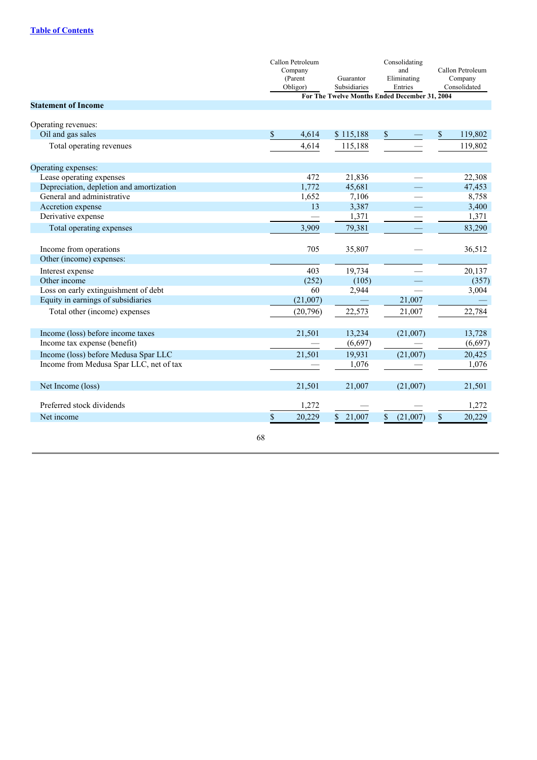|                                          | Callon Petroleum<br>Company<br>(Parent<br>Obligor) | Guarantor<br>Subsidiaries | Consolidating<br>and<br>Eliminating<br>Entries<br>For The Twelve Months Ended December 31, 2004 |          | Callon Petroleum<br>Company<br>Consolidated |         |
|------------------------------------------|----------------------------------------------------|---------------------------|-------------------------------------------------------------------------------------------------|----------|---------------------------------------------|---------|
| <b>Statement of Income</b>               |                                                    |                           |                                                                                                 |          |                                             |         |
| Operating revenues:                      |                                                    |                           |                                                                                                 |          |                                             |         |
| Oil and gas sales                        | \$<br>4,614                                        | \$115,188                 | <sup>\$</sup>                                                                                   |          | \$                                          | 119,802 |
| Total operating revenues                 | 4,614                                              | 115,188                   |                                                                                                 |          |                                             | 119,802 |
| Operating expenses:                      |                                                    |                           |                                                                                                 |          |                                             |         |
| Lease operating expenses                 | 472                                                | 21,836                    |                                                                                                 |          |                                             | 22,308  |
| Depreciation, depletion and amortization | 1,772                                              | 45,681                    |                                                                                                 |          |                                             | 47,453  |
| General and administrative               | 1,652                                              | 7,106                     |                                                                                                 |          |                                             | 8,758   |
| Accretion expense                        | 13                                                 | 3,387                     |                                                                                                 |          |                                             | 3,400   |
| Derivative expense                       |                                                    | 1,371                     |                                                                                                 |          |                                             | 1,371   |
| Total operating expenses                 | 3,909                                              | 79,381                    |                                                                                                 |          |                                             | 83,290  |
| Income from operations                   | 705                                                | 35,807                    |                                                                                                 |          |                                             | 36,512  |
| Other (income) expenses:                 |                                                    |                           |                                                                                                 |          |                                             |         |
| Interest expense                         | 403                                                | 19,734                    |                                                                                                 |          |                                             | 20,137  |
| Other income                             | (252)                                              | (105)                     |                                                                                                 |          |                                             | (357)   |
| Loss on early extinguishment of debt     | 60                                                 | 2,944                     |                                                                                                 |          |                                             | 3,004   |
| Equity in earnings of subsidiaries       | (21,007)                                           |                           |                                                                                                 | 21,007   |                                             |         |
| Total other (income) expenses            | (20,796)                                           | 22,573                    |                                                                                                 | 21,007   |                                             | 22,784  |
| Income (loss) before income taxes        | 21,501                                             | 13,234                    |                                                                                                 | (21,007) |                                             | 13,728  |
| Income tax expense (benefit)             |                                                    | (6,697)                   |                                                                                                 |          |                                             | (6,697) |
| Income (loss) before Medusa Spar LLC     | 21,501                                             | 19,931                    |                                                                                                 | (21,007) |                                             | 20,425  |
| Income from Medusa Spar LLC, net of tax  |                                                    | 1,076                     |                                                                                                 |          |                                             | 1,076   |
| Net Income (loss)                        | 21,501                                             | 21,007                    |                                                                                                 | (21,007) |                                             | 21,501  |
| Preferred stock dividends                | 1,272                                              |                           |                                                                                                 |          |                                             | 1,272   |
| Net income                               | \$<br>20,229                                       | \$21,007                  | $\mathbb{S}$                                                                                    | (21,007) | \$                                          | 20,229  |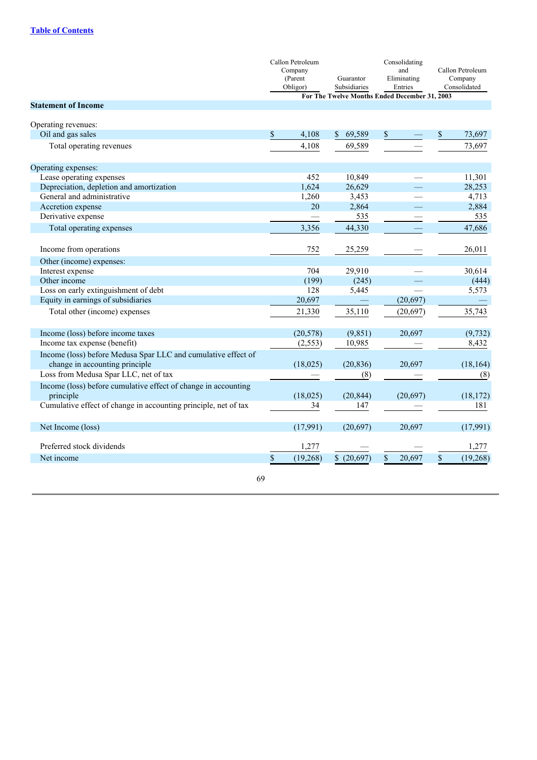|                                                                 | Callon Petroleum<br>Company<br>(Parent<br>Guarantor<br>Obligor)<br>Subsidiaries<br>For The Twelve Months Ended December 31, 2003 |           |              | Consolidating<br>and<br>Eliminating<br>Entries | Callon Petroleum<br>Company<br>Consolidated |           |  |
|-----------------------------------------------------------------|----------------------------------------------------------------------------------------------------------------------------------|-----------|--------------|------------------------------------------------|---------------------------------------------|-----------|--|
| <b>Statement of Income</b>                                      |                                                                                                                                  |           |              |                                                |                                             |           |  |
| Operating revenues:                                             |                                                                                                                                  |           |              |                                                |                                             |           |  |
| Oil and gas sales                                               | \$                                                                                                                               | 4,108     | 69,589<br>\$ | \$                                             | \$                                          | 73,697    |  |
| Total operating revenues                                        |                                                                                                                                  |           |              |                                                |                                             |           |  |
|                                                                 |                                                                                                                                  | 4,108     | 69,589       |                                                |                                             | 73,697    |  |
| Operating expenses:                                             |                                                                                                                                  |           |              |                                                |                                             |           |  |
| Lease operating expenses                                        |                                                                                                                                  | 452       | 10,849       |                                                |                                             | 11,301    |  |
| Depreciation, depletion and amortization                        |                                                                                                                                  | 1,624     | 26.629       |                                                |                                             | 28,253    |  |
| General and administrative                                      |                                                                                                                                  | 1,260     | 3,453        |                                                |                                             | 4,713     |  |
| Accretion expense                                               |                                                                                                                                  | 20        | 2,864        |                                                |                                             | 2,884     |  |
| Derivative expense                                              |                                                                                                                                  |           | 535          |                                                |                                             | 535       |  |
| Total operating expenses                                        |                                                                                                                                  | 3,356     | 44,330       |                                                |                                             | 47,686    |  |
|                                                                 |                                                                                                                                  |           |              |                                                |                                             |           |  |
| Income from operations                                          |                                                                                                                                  | 752       | 25,259       |                                                |                                             | 26,011    |  |
| Other (income) expenses:                                        |                                                                                                                                  |           |              |                                                |                                             |           |  |
| Interest expense                                                |                                                                                                                                  | 704       | 29,910       |                                                |                                             | 30,614    |  |
| Other income                                                    |                                                                                                                                  | (199)     | (245)        |                                                |                                             | (444)     |  |
| Loss on early extinguishment of debt                            |                                                                                                                                  | 128       | 5,445        |                                                |                                             | 5,573     |  |
| Equity in earnings of subsidiaries                              |                                                                                                                                  | 20,697    |              | (20,697)                                       |                                             |           |  |
| Total other (income) expenses                                   |                                                                                                                                  | 21,330    | 35,110       | (20, 697)                                      |                                             | 35,743    |  |
| Income (loss) before income taxes                               |                                                                                                                                  | (20, 578) | (9,851)      | 20,697                                         |                                             | (9, 732)  |  |
| Income tax expense (benefit)                                    |                                                                                                                                  | (2,553)   | 10,985       |                                                |                                             | 8,432     |  |
| Income (loss) before Medusa Spar LLC and cumulative effect of   |                                                                                                                                  |           |              |                                                |                                             |           |  |
| change in accounting principle                                  |                                                                                                                                  | (18,025)  | (20, 836)    | 20,697                                         |                                             | (18, 164) |  |
| Loss from Medusa Spar LLC, net of tax                           |                                                                                                                                  |           | (8)          |                                                |                                             | (8)       |  |
| Income (loss) before cumulative effect of change in accounting  |                                                                                                                                  |           |              |                                                |                                             |           |  |
| principle                                                       |                                                                                                                                  | (18,025)  | (20, 844)    | (20, 697)                                      |                                             | (18, 172) |  |
| Cumulative effect of change in accounting principle, net of tax |                                                                                                                                  | 34        | 147          |                                                |                                             | 181       |  |
|                                                                 |                                                                                                                                  |           |              |                                                |                                             |           |  |
| Net Income (loss)                                               |                                                                                                                                  | (17,991)  | (20,697)     | 20,697                                         |                                             | (17,991)  |  |
| Preferred stock dividends                                       |                                                                                                                                  | 1,277     |              |                                                |                                             | 1,277     |  |
| Net income                                                      | \$                                                                                                                               | (19,268)  | \$ (20,697)  | \$<br>20,697                                   | \$                                          | (19,268)  |  |
|                                                                 |                                                                                                                                  |           |              |                                                |                                             |           |  |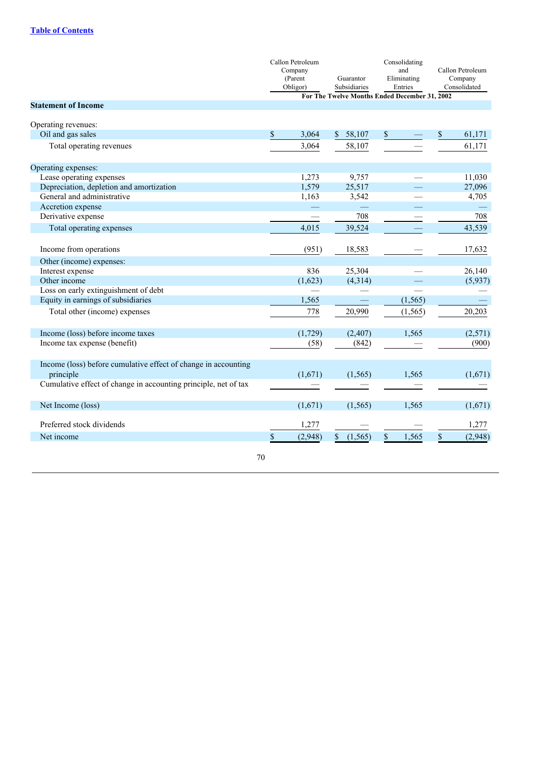|                                                                 | Callon Petroleum<br>Company<br>(Parent<br>Obligor) |         | Guarantor<br>Subsidiaries | Consolidating<br>and<br>Eliminating<br>Entries<br>For The Twelve Months Ended December 31, 2002 |          | Callon Petroleum<br>Company<br>Consolidated |         |
|-----------------------------------------------------------------|----------------------------------------------------|---------|---------------------------|-------------------------------------------------------------------------------------------------|----------|---------------------------------------------|---------|
| <b>Statement of Income</b>                                      |                                                    |         |                           |                                                                                                 |          |                                             |         |
|                                                                 |                                                    |         |                           |                                                                                                 |          |                                             |         |
| Operating revenues:<br>Oil and gas sales                        |                                                    | 3,064   | 58,107<br>\$              |                                                                                                 |          |                                             | 61,171  |
|                                                                 | \$                                                 |         |                           | \$                                                                                              |          | \$                                          |         |
| Total operating revenues                                        |                                                    | 3,064   | 58,107                    |                                                                                                 |          |                                             | 61,171  |
| Operating expenses:                                             |                                                    |         |                           |                                                                                                 |          |                                             |         |
| Lease operating expenses                                        |                                                    | 1,273   | 9,757                     |                                                                                                 |          |                                             | 11,030  |
| Depreciation, depletion and amortization                        |                                                    | 1,579   | 25,517                    |                                                                                                 |          |                                             | 27,096  |
| General and administrative                                      |                                                    | 1,163   | 3,542                     |                                                                                                 |          |                                             | 4,705   |
| Accretion expense                                               |                                                    |         |                           |                                                                                                 |          |                                             |         |
| Derivative expense                                              |                                                    |         | 708                       |                                                                                                 |          |                                             | 708     |
| Total operating expenses                                        |                                                    | 4,015   | 39,524                    |                                                                                                 |          |                                             | 43,539  |
| Income from operations                                          |                                                    | (951)   | 18,583                    |                                                                                                 |          |                                             | 17,632  |
| Other (income) expenses:                                        |                                                    |         |                           |                                                                                                 |          |                                             |         |
| Interest expense                                                |                                                    | 836     | 25,304                    |                                                                                                 |          |                                             | 26,140  |
| Other income                                                    |                                                    | (1,623) | (4,314)                   |                                                                                                 |          |                                             | (5,937) |
| Loss on early extinguishment of debt                            |                                                    |         |                           |                                                                                                 |          |                                             |         |
| Equity in earnings of subsidiaries                              |                                                    | 1,565   |                           |                                                                                                 | (1, 565) |                                             |         |
| Total other (income) expenses                                   |                                                    | 778     | 20,990                    |                                                                                                 | (1, 565) |                                             | 20,203  |
| Income (loss) before income taxes                               |                                                    | (1,729) | (2, 407)                  |                                                                                                 | 1,565    |                                             | (2,571) |
| Income tax expense (benefit)                                    |                                                    | (58)    | (842)                     |                                                                                                 |          |                                             | (900)   |
|                                                                 |                                                    |         |                           |                                                                                                 |          |                                             |         |
| Income (loss) before cumulative effect of change in accounting  |                                                    |         |                           |                                                                                                 |          |                                             |         |
| principle                                                       |                                                    | (1,671) | (1, 565)                  |                                                                                                 | 1,565    |                                             | (1,671) |
| Cumulative effect of change in accounting principle, net of tax |                                                    |         |                           |                                                                                                 |          |                                             |         |
| Net Income (loss)                                               |                                                    | (1,671) | (1, 565)                  |                                                                                                 | 1,565    |                                             | (1,671) |
| Preferred stock dividends                                       |                                                    | 1,277   |                           |                                                                                                 |          |                                             | 1,277   |
| Net income                                                      | \$                                                 | (2,948) | (1,565)                   | $\mathbb{S}$                                                                                    | 1,565    | $\mathbb{S}$                                | (2,948) |
|                                                                 |                                                    |         |                           |                                                                                                 |          |                                             |         |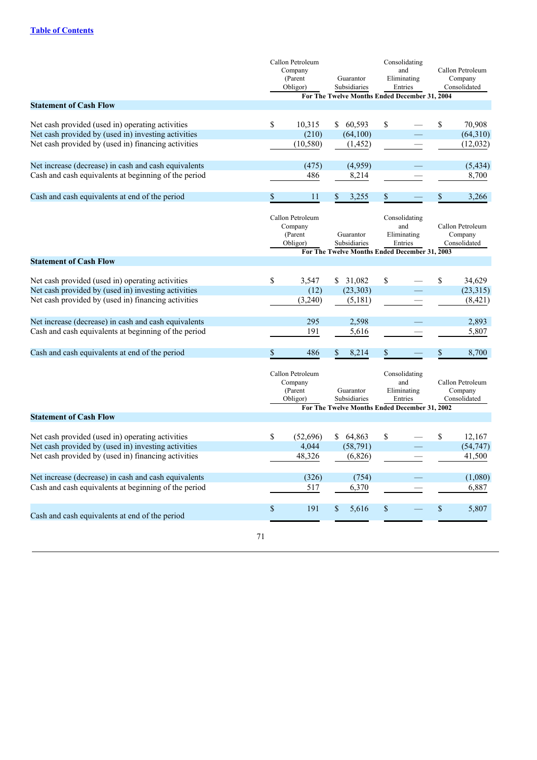|                                                                                                         | Callon Petroleum<br>Company<br>(Parent<br>Obligor) |                                                    | Guarantor<br>Subsidiaries | Consolidating<br>and<br>Eliminating<br>Entries<br>For The Twelve Months Ended December 31, 2004 |    | Callon Petroleum<br>Company<br>Consolidated    |                                             |
|---------------------------------------------------------------------------------------------------------|----------------------------------------------------|----------------------------------------------------|---------------------------|-------------------------------------------------------------------------------------------------|----|------------------------------------------------|---------------------------------------------|
| <b>Statement of Cash Flow</b>                                                                           |                                                    |                                                    |                           |                                                                                                 |    |                                                |                                             |
| Net cash provided (used in) operating activities                                                        | \$                                                 | 10,315                                             | \$                        | 60,593                                                                                          | \$ |                                                | \$<br>70,908                                |
| Net cash provided by (used in) investing activities                                                     |                                                    | (210)                                              |                           | (64,100)                                                                                        |    |                                                | (64,310)                                    |
| Net cash provided by (used in) financing activities                                                     |                                                    | (10, 580)                                          |                           | (1, 452)                                                                                        |    |                                                | (12, 032)                                   |
| Net increase (decrease) in cash and cash equivalents                                                    |                                                    | (475)                                              |                           | (4,959)                                                                                         |    |                                                | (5, 434)                                    |
| Cash and cash equivalents at beginning of the period                                                    |                                                    | 486                                                |                           | 8,214                                                                                           |    |                                                | 8,700                                       |
| Cash and cash equivalents at end of the period                                                          | \$                                                 | 11                                                 | \$                        | 3,255                                                                                           | \$ |                                                | \$<br>3,266                                 |
|                                                                                                         |                                                    | Callon Petroleum<br>Company<br>(Parent<br>Obligor) |                           | Guarantor<br>Subsidiaries<br>For The Twelve Months Ended December 31, 2003                      |    | Consolidating<br>and<br>Eliminating<br>Entries | Callon Petroleum<br>Company<br>Consolidated |
| <b>Statement of Cash Flow</b>                                                                           |                                                    |                                                    |                           |                                                                                                 |    |                                                |                                             |
|                                                                                                         |                                                    |                                                    |                           |                                                                                                 |    |                                                |                                             |
| Net cash provided (used in) operating activities<br>Net cash provided by (used in) investing activities | \$                                                 | 3,547<br>(12)                                      | \$                        | 31,082<br>(23, 303)                                                                             | \$ |                                                | \$<br>34,629<br>(23,315)                    |
| Net cash provided by (used in) financing activities                                                     |                                                    | (3,240)                                            |                           | (5,181)                                                                                         |    |                                                | (8,421)                                     |
| Net increase (decrease) in cash and cash equivalents                                                    |                                                    | 295                                                |                           | 2,598                                                                                           |    |                                                | 2,893                                       |
| Cash and cash equivalents at beginning of the period                                                    |                                                    | 191                                                |                           | 5,616                                                                                           |    |                                                | 5,807                                       |
| Cash and cash equivalents at end of the period                                                          | \$                                                 | 486                                                | S                         | 8,214                                                                                           | \$ |                                                | \$<br>8,700                                 |
|                                                                                                         |                                                    | Callon Petroleum<br>Company<br>(Parent<br>Obligor) |                           | Guarantor<br>Subsidiaries<br>For The Twelve Months Ended December 31, 2002                      |    | Consolidating<br>and<br>Eliminating<br>Entries | Callon Petroleum<br>Company<br>Consolidated |
| <b>Statement of Cash Flow</b>                                                                           |                                                    |                                                    |                           |                                                                                                 |    |                                                |                                             |
| Net cash provided (used in) operating activities                                                        | \$                                                 | (52,696)                                           | \$                        | 64,863                                                                                          | \$ |                                                | \$<br>12,167                                |
| Net cash provided by (used in) investing activities                                                     |                                                    | 4,044                                              |                           | (58, 791)                                                                                       |    |                                                | (54, 747)                                   |
| Net cash provided by (used in) financing activities                                                     |                                                    | 48,326                                             |                           | (6,826)                                                                                         |    |                                                | 41,500                                      |
| Net increase (decrease) in cash and cash equivalents                                                    |                                                    | (326)                                              |                           | (754)                                                                                           |    |                                                | (1,080)                                     |
| Cash and cash equivalents at beginning of the period                                                    |                                                    | 517                                                |                           | 6,370                                                                                           |    |                                                | 6,887                                       |
| Cash and cash equivalents at end of the period                                                          | \$                                                 | 191                                                | \$                        | 5,616                                                                                           | \$ |                                                | \$<br>5,807                                 |
|                                                                                                         | 71                                                 |                                                    |                           |                                                                                                 |    |                                                |                                             |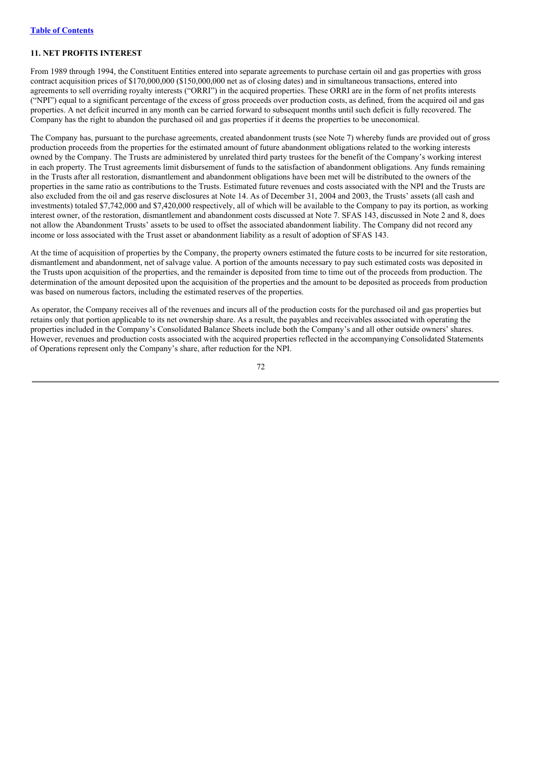# **11. NET PROFITS INTEREST**

From 1989 through 1994, the Constituent Entities entered into separate agreements to purchase certain oil and gas properties with gross contract acquisition prices of \$170,000,000 (\$150,000,000 net as of closing dates) and in simultaneous transactions, entered into agreements to sell overriding royalty interests ("ORRI") in the acquired properties. These ORRI are in the form of net profits interests ("NPI") equal to a significant percentage of the excess of gross proceeds over production costs, as defined, from the acquired oil and gas properties. A net deficit incurred in any month can be carried forward to subsequent months until such deficit is fully recovered. The Company has the right to abandon the purchased oil and gas properties if it deems the properties to be uneconomical.

The Company has, pursuant to the purchase agreements, created abandonment trusts (see Note 7) whereby funds are provided out of gross production proceeds from the properties for the estimated amount of future abandonment obligations related to the working interests owned by the Company. The Trusts are administered by unrelated third party trustees for the benefit of the Company's working interest in each property. The Trust agreements limit disbursement of funds to the satisfaction of abandonment obligations. Any funds remaining in the Trusts after all restoration, dismantlement and abandonment obligations have been met will be distributed to the owners of the properties in the same ratio as contributions to the Trusts. Estimated future revenues and costs associated with the NPI and the Trusts are also excluded from the oil and gas reserve disclosures at Note 14. As of December 31, 2004 and 2003, the Trusts' assets (all cash and investments) totaled \$7,742,000 and \$7,420,000 respectively, all of which will be available to the Company to pay its portion, as working interest owner, of the restoration, dismantlement and abandonment costs discussed at Note 7. SFAS 143, discussed in Note 2 and 8, does not allow the Abandonment Trusts' assets to be used to offset the associated abandonment liability. The Company did not record any income or loss associated with the Trust asset or abandonment liability as a result of adoption of SFAS 143.

At the time of acquisition of properties by the Company, the property owners estimated the future costs to be incurred for site restoration, dismantlement and abandonment, net of salvage value. A portion of the amounts necessary to pay such estimated costs was deposited in the Trusts upon acquisition of the properties, and the remainder is deposited from time to time out of the proceeds from production. The determination of the amount deposited upon the acquisition of the properties and the amount to be deposited as proceeds from production was based on numerous factors, including the estimated reserves of the properties.

As operator, the Company receives all of the revenues and incurs all of the production costs for the purchased oil and gas properties but retains only that portion applicable to its net ownership share. As a result, the payables and receivables associated with operating the properties included in the Company's Consolidated Balance Sheets include both the Company's and all other outside owners' shares. However, revenues and production costs associated with the acquired properties reflected in the accompanying Consolidated Statements of Operations represent only the Company's share, after reduction for the NPI.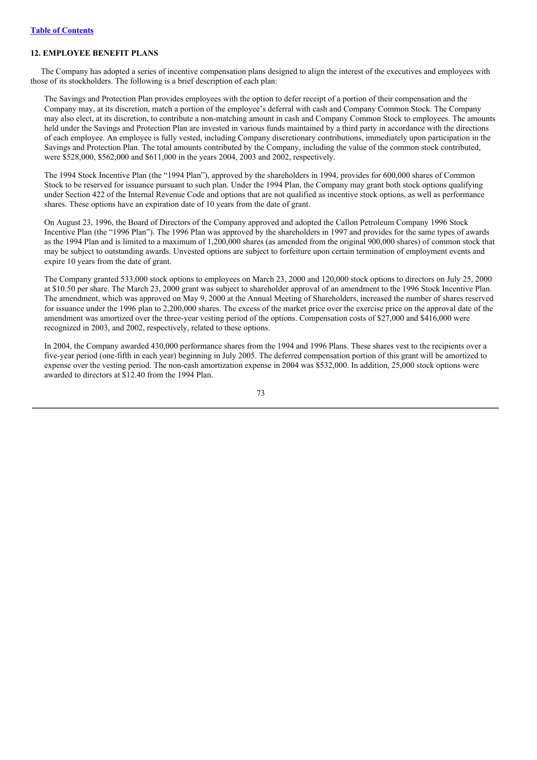# **12. EMPLOYEE BENEFIT PLANS**

The Company has adopted a series of incentive compensation plans designed to align the interest of the executives and employees with those of its stockholders. The following is a brief description of each plan:

The Savings and Protection Plan provides employees with the option to defer receipt of a portion of their compensation and the Company may, at its discretion, match a portion of the employee's deferral with cash and Company Common Stock. The Company may also elect, at its discretion, to contribute a non-matching amount in cash and Company Common Stock to employees. The amounts held under the Savings and Protection Plan are invested in various funds maintained by a third party in accordance with the directions of each employee. An employee is fully vested, including Company discretionary contributions, immediately upon participation in the Savings and Protection Plan. The total amounts contributed by the Company, including the value of the common stock contributed, were \$528,000, \$562,000 and \$611,000 in the years 2004, 2003 and 2002, respectively.

The 1994 Stock Incentive Plan (the "1994 Plan"), approved by the shareholders in 1994, provides for 600,000 shares of Common Stock to be reserved for issuance pursuant to such plan. Under the 1994 Plan, the Company may grant both stock options qualifying under Section 422 of the Internal Revenue Code and options that are not qualified as incentive stock options, as well as performance shares. These options have an expiration date of 10 years from the date of grant.

On August 23, 1996, the Board of Directors of the Company approved and adopted the Callon Petroleum Company 1996 Stock Incentive Plan (the "1996 Plan"). The 1996 Plan was approved by the shareholders in 1997 and provides for the same types of awards as the 1994 Plan and is limited to a maximum of 1,200,000 shares (as amended from the original 900,000 shares) of common stock that may be subject to outstanding awards. Unvested options are subject to forfeiture upon certain termination of employment events and expire 10 years from the date of grant.

The Company granted 533,000 stock options to employees on March 23, 2000 and 120,000 stock options to directors on July 25, 2000 at \$10.50 per share. The March 23, 2000 grant was subject to shareholder approval of an amendment to the 1996 Stock Incentive Plan. The amendment, which was approved on May 9, 2000 at the Annual Meeting of Shareholders, increased the number of shares reserved for issuance under the 1996 plan to 2,200,000 shares. The excess of the market price over the exercise price on the approval date of the amendment was amortized over the three-year vesting period of the options. Compensation costs of \$27,000 and \$416,000 were recognized in 2003, and 2002, respectively, related to these options.

In 2004, the Company awarded 430,000 performance shares from the 1994 and 1996 Plans. These shares vest to the recipients over a five-year period (one-fifth in each year) beginning in July 2005. The deferred compensation portion of this grant will be amortized to expense over the vesting period. The non-cash amortization expense in 2004 was \$532,000. In addition, 25,000 stock options were awarded to directors at \$12.40 from the 1994 Plan.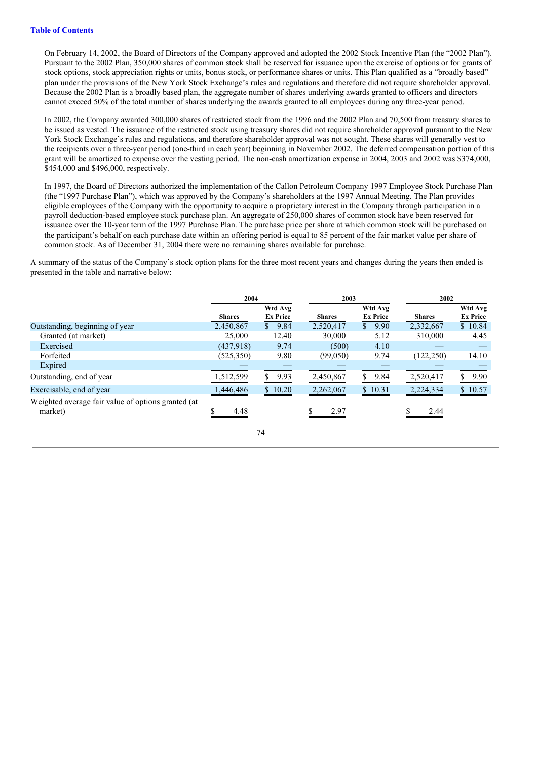On February 14, 2002, the Board of Directors of the Company approved and adopted the 2002 Stock Incentive Plan (the "2002 Plan"). Pursuant to the 2002 Plan, 350,000 shares of common stock shall be reserved for issuance upon the exercise of options or for grants of stock options, stock appreciation rights or units, bonus stock, or performance shares or units. This Plan qualified as a "broadly based" plan under the provisions of the New York Stock Exchange's rules and regulations and therefore did not require shareholder approval. Because the 2002 Plan is a broadly based plan, the aggregate number of shares underlying awards granted to officers and directors cannot exceed 50% of the total number of shares underlying the awards granted to all employees during any three-year period.

In 2002, the Company awarded 300,000 shares of restricted stock from the 1996 and the 2002 Plan and 70,500 from treasury shares to be issued as vested. The issuance of the restricted stock using treasury shares did not require shareholder approval pursuant to the New York Stock Exchange's rules and regulations, and therefore shareholder approval was not sought. These shares will generally vest to the recipients over a three-year period (one-third in each year) beginning in November 2002. The deferred compensation portion of this grant will be amortized to expense over the vesting period. The non-cash amortization expense in 2004, 2003 and 2002 was \$374,000, \$454,000 and \$496,000, respectively.

In 1997, the Board of Directors authorized the implementation of the Callon Petroleum Company 1997 Employee Stock Purchase Plan (the "1997 Purchase Plan"), which was approved by the Company's shareholders at the 1997 Annual Meeting. The Plan provides eligible employees of the Company with the opportunity to acquire a proprietary interest in the Company through participation in a payroll deduction-based employee stock purchase plan. An aggregate of 250,000 shares of common stock have been reserved for issuance over the 10-year term of the 1997 Purchase Plan. The purchase price per share at which common stock will be purchased on the participant's behalf on each purchase date within an offering period is equal to 85 percent of the fair market value per share of common stock. As of December 31, 2004 there were no remaining shares available for purchase.

A summary of the status of the Company's stock option plans for the three most recent years and changes during the years then ended is presented in the table and narrative below:

|                                                               | 2004          |                            | 2003          |                            | 2002          |                            |  |
|---------------------------------------------------------------|---------------|----------------------------|---------------|----------------------------|---------------|----------------------------|--|
|                                                               | <b>Shares</b> | Wtd Avg<br><b>Ex Price</b> | <b>Shares</b> | Wtd Avg<br><b>Ex Price</b> | <b>Shares</b> | Wtd Avg<br><b>Ex Price</b> |  |
| Outstanding, beginning of year                                | 2,450,867     | $\mathbb{S}$<br>9.84       | 2,520,417     | 9.90<br>\$                 | 2,332,667     | \$10.84                    |  |
| Granted (at market)                                           | 25,000        | 12.40                      | 30,000        | 5.12                       | 310,000       | 4.45                       |  |
| Exercised                                                     | (437,918)     | 9.74                       | (500)         | 4.10                       |               |                            |  |
| Forfeited                                                     | (525,350)     | 9.80                       | (99,050)      | 9.74                       | (122, 250)    | 14.10                      |  |
| Expired                                                       |               |                            |               |                            |               |                            |  |
| Outstanding, end of year                                      | 1,512,599     | 9.93<br>\$                 | 2,450,867     | 9.84<br>S.                 | 2,520,417     | 9.90                       |  |
| Exercisable, end of year                                      | 1,446,486     | \$10.20                    | 2,262,067     | \$10.31                    | 2,224,334     | \$10.57                    |  |
| Weighted average fair value of options granted (at<br>market) | 4.48          |                            | 2.97          |                            | 2.44          |                            |  |
|                                                               |               | 74                         |               |                            |               |                            |  |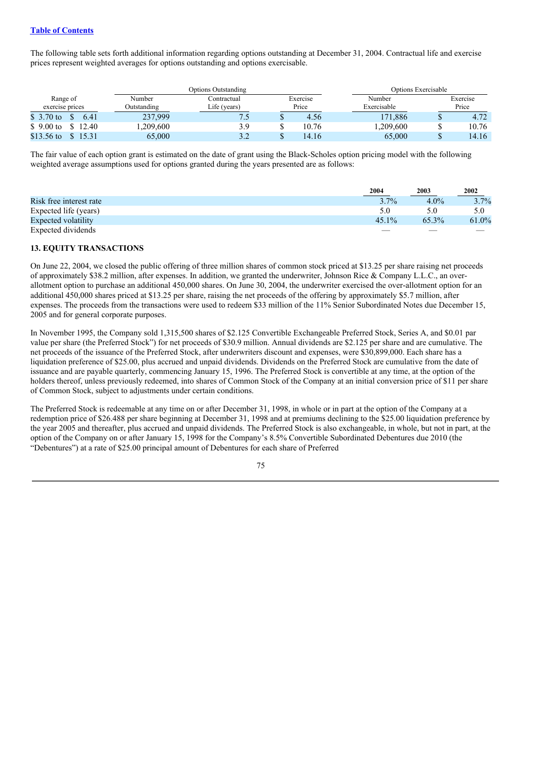#### **Table of [Contents](#page-0-0)**

The following table sets forth additional information regarding options outstanding at December 31, 2004. Contractual life and exercise prices represent weighted averages for options outstanding and options exercisable.

|                            |             | Options Outstanding |          | Options Exercisable |          |
|----------------------------|-------------|---------------------|----------|---------------------|----------|
| Range of                   | Number      | Contractual         | Exercise | Number              | Exercise |
| exercise prices            | Outstanding | Life (years)        | Price    | Exercisable         | Price    |
| \$ 3.70 to<br>6.41         | 237,999     | $\tau$ .<br>ن.      | 4.56     | 171.886             | 4.72     |
| $$9.00 \text{ to } $12.40$ | ,209,600    | 3.9                 | 10.76    | .209.600            | 10.76    |
| \$13.56 to<br>15.31        | 65.000      | 32<br>ے ۔           | 14.16    | 65,000              | 14.16    |

The fair value of each option grant is estimated on the date of grant using the Black-Scholes option pricing model with the following weighted average assumptions used for options granted during the years presented are as follows:

|                         | 2004  | 2003    | 2002  |
|-------------------------|-------|---------|-------|
| Risk free interest rate | 3.7%  | $4.0\%$ | 3.7%  |
| Expected life (years)   | 5.0   |         | 5.0   |
| Expected volatility     | 45.1% | 65.3%   | 61.0% |
| Expected dividends      |       |         |       |

# **13. EQUITY TRANSACTIONS**

On June 22, 2004, we closed the public offering of three million shares of common stock priced at \$13.25 per share raising net proceeds of approximately \$38.2 million, after expenses. In addition, we granted the underwriter, Johnson Rice & Company L.L.C., an overallotment option to purchase an additional 450,000 shares. On June 30, 2004, the underwriter exercised the over-allotment option for an additional 450,000 shares priced at \$13.25 per share, raising the net proceeds of the offering by approximately \$5.7 million, after expenses. The proceeds from the transactions were used to redeem \$33 million of the 11% Senior Subordinated Notes due December 15, 2005 and for general corporate purposes.

In November 1995, the Company sold 1,315,500 shares of \$2.125 Convertible Exchangeable Preferred Stock, Series A, and \$0.01 par value per share (the Preferred Stock") for net proceeds of \$30.9 million. Annual dividends are \$2.125 per share and are cumulative. The net proceeds of the issuance of the Preferred Stock, after underwriters discount and expenses, were \$30,899,000. Each share has a liquidation preference of \$25.00, plus accrued and unpaid dividends. Dividends on the Preferred Stock are cumulative from the date of issuance and are payable quarterly, commencing January 15, 1996. The Preferred Stock is convertible at any time, at the option of the holders thereof, unless previously redeemed, into shares of Common Stock of the Company at an initial conversion price of \$11 per share of Common Stock, subject to adjustments under certain conditions.

The Preferred Stock is redeemable at any time on or after December 31, 1998, in whole or in part at the option of the Company at a redemption price of \$26.488 per share beginning at December 31, 1998 and at premiums declining to the \$25.00 liquidation preference by the year 2005 and thereafter, plus accrued and unpaid dividends. The Preferred Stock is also exchangeable, in whole, but not in part, at the option of the Company on or after January 15, 1998 for the Company's 8.5% Convertible Subordinated Debentures due 2010 (the "Debentures") at a rate of \$25.00 principal amount of Debentures for each share of Preferred

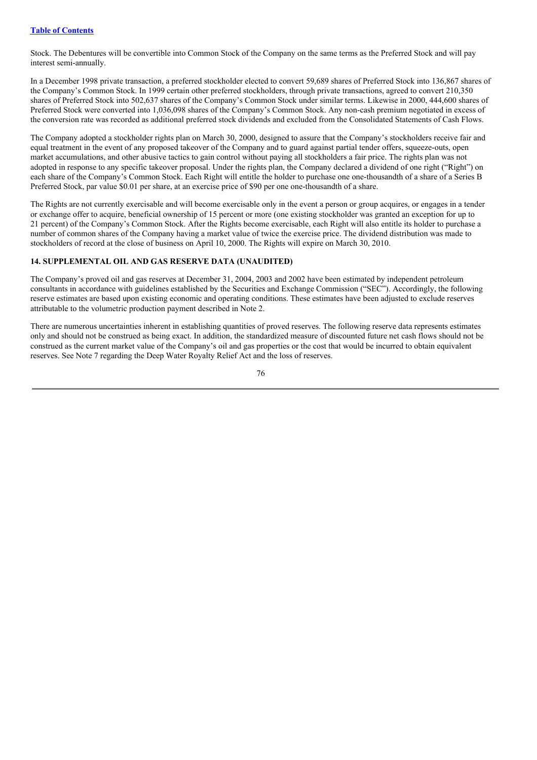#### **Table of [Contents](#page-0-0)**

Stock. The Debentures will be convertible into Common Stock of the Company on the same terms as the Preferred Stock and will pay interest semi-annually.

In a December 1998 private transaction, a preferred stockholder elected to convert 59,689 shares of Preferred Stock into 136,867 shares of the Company's Common Stock. In 1999 certain other preferred stockholders, through private transactions, agreed to convert 210,350 shares of Preferred Stock into 502,637 shares of the Company's Common Stock under similar terms. Likewise in 2000, 444,600 shares of Preferred Stock were converted into 1,036,098 shares of the Company's Common Stock. Any non-cash premium negotiated in excess of the conversion rate was recorded as additional preferred stock dividends and excluded from the Consolidated Statements of Cash Flows.

The Company adopted a stockholder rights plan on March 30, 2000, designed to assure that the Company's stockholders receive fair and equal treatment in the event of any proposed takeover of the Company and to guard against partial tender offers, squeeze-outs, open market accumulations, and other abusive tactics to gain control without paying all stockholders a fair price. The rights plan was not adopted in response to any specific takeover proposal. Under the rights plan, the Company declared a dividend of one right ("Right") on each share of the Company's Common Stock. Each Right will entitle the holder to purchase one one-thousandth of a share of a Series B Preferred Stock, par value \$0.01 per share, at an exercise price of \$90 per one one-thousandth of a share.

The Rights are not currently exercisable and will become exercisable only in the event a person or group acquires, or engages in a tender or exchange offer to acquire, beneficial ownership of 15 percent or more (one existing stockholder was granted an exception for up to 21 percent) of the Company's Common Stock. After the Rights become exercisable, each Right will also entitle its holder to purchase a number of common shares of the Company having a market value of twice the exercise price. The dividend distribution was made to stockholders of record at the close of business on April 10, 2000. The Rights will expire on March 30, 2010.

### **14. SUPPLEMENTAL OIL AND GAS RESERVE DATA (UNAUDITED)**

The Company's proved oil and gas reserves at December 31, 2004, 2003 and 2002 have been estimated by independent petroleum consultants in accordance with guidelines established by the Securities and Exchange Commission ("SEC"). Accordingly, the following reserve estimates are based upon existing economic and operating conditions. These estimates have been adjusted to exclude reserves attributable to the volumetric production payment described in Note 2.

There are numerous uncertainties inherent in establishing quantities of proved reserves. The following reserve data represents estimates only and should not be construed as being exact. In addition, the standardized measure of discounted future net cash flows should not be construed as the current market value of the Company's oil and gas properties or the cost that would be incurred to obtain equivalent reserves. See Note 7 regarding the Deep Water Royalty Relief Act and the loss of reserves.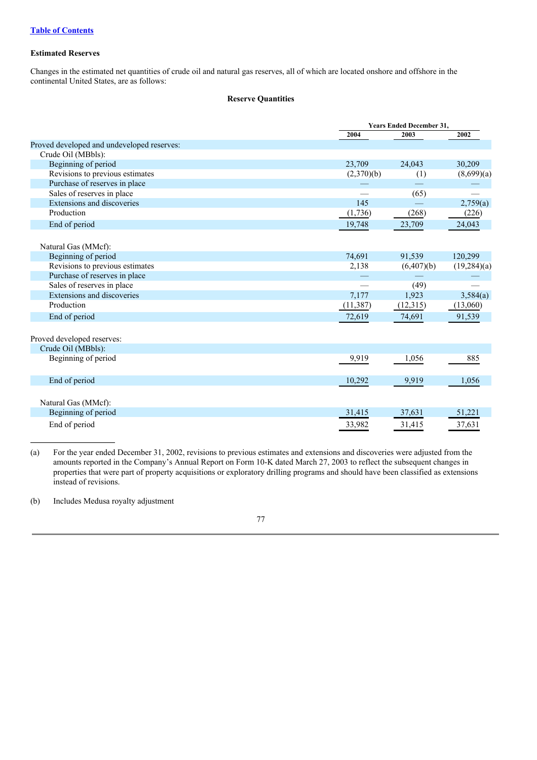# **Estimated Reserves**

Changes in the estimated net quantities of crude oil and natural gas reserves, all of which are located onshore and offshore in the continental United States, are as follows:

### **Reserve Quantities**

|                                            |            | <b>Years Ended December 31,</b> |             |  |  |  |
|--------------------------------------------|------------|---------------------------------|-------------|--|--|--|
|                                            | 2004       | 2003                            | 2002        |  |  |  |
| Proved developed and undeveloped reserves: |            |                                 |             |  |  |  |
| Crude Oil (MBbls):                         |            |                                 |             |  |  |  |
| Beginning of period                        | 23,709     | 24,043                          | 30,209      |  |  |  |
| Revisions to previous estimates            | (2,370)(b) | (1)                             | (8,699)(a)  |  |  |  |
| Purchase of reserves in place              |            |                                 |             |  |  |  |
| Sales of reserves in place                 |            | (65)                            |             |  |  |  |
| Extensions and discoveries                 | 145        |                                 | 2,759(a)    |  |  |  |
| Production                                 | (1,736)    | (268)                           | (226)       |  |  |  |
| End of period                              | 19,748     | 23,709                          | 24,043      |  |  |  |
| Natural Gas (MMcf):                        |            |                                 |             |  |  |  |
| Beginning of period                        | 74,691     | 91,539                          | 120,299     |  |  |  |
| Revisions to previous estimates            | 2,138      | (6,407)(b)                      | (19,284)(a) |  |  |  |
| Purchase of reserves in place              |            |                                 |             |  |  |  |
| Sales of reserves in place                 |            | (49)                            |             |  |  |  |
| Extensions and discoveries                 | 7,177      | 1,923                           | 3,584(a)    |  |  |  |
| Production                                 | (11,387)   | (12,315)                        | (13,060)    |  |  |  |
| End of period                              | 72,619     | 74,691                          | 91,539      |  |  |  |
| Proved developed reserves:                 |            |                                 |             |  |  |  |
| Crude Oil (MBbls):                         |            |                                 |             |  |  |  |
| Beginning of period                        | 9,919      | 1,056                           | 885         |  |  |  |
| End of period                              | 10,292     | 9,919                           | 1,056       |  |  |  |
|                                            |            |                                 |             |  |  |  |
| Natural Gas (MMcf):                        |            |                                 |             |  |  |  |
| Beginning of period                        | 31,415     | 37,631                          | 51,221      |  |  |  |
| End of period                              | 33,982     | 31,415                          | 37,631      |  |  |  |

(a) For the year ended December 31, 2002, revisions to previous estimates and extensions and discoveries were adjusted from the amounts reported in the Company's Annual Report on Form 10-K dated March 27, 2003 to reflect the subsequent changes in properties that were part of property acquisitions or exploratory drilling programs and should have been classified as extensions instead of revisions.

(b) Includes Medusa royalty adjustment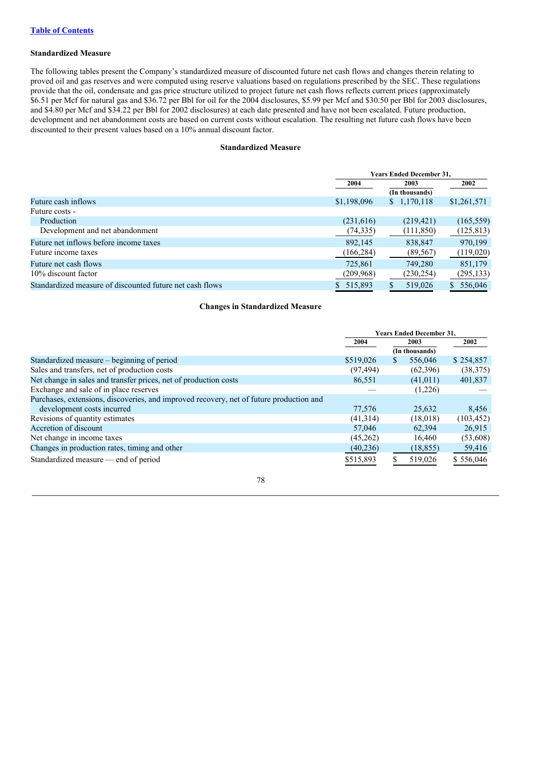# **Standardized Measure**

The following tables present the Company's standardized measure of discounted future net cash flows and changes therein relating to proved oil and gas reserves and were computed using reserve valuations based on regulations prescribed by the SEC. These regulations provide that the oil, condensate and gas price structure utilized to project future net cash flows reflects current prices (approximately \$6.51 per Mcf for natural gas and \$36.72 per Bbl for oil for the 2004 disclosures, \$5.99 per Mcf and \$30.50 per Bbl for 2003 disclosures, and \$4.80 per Mcf and \$34.22 per Bbl for 2002 disclosures) at each date presented and have not been escalated. Future production, development and net abandonment costs are based on current costs without escalation. The resulting net future cash flows have been discounted to their present values based on a 10% annual discount factor.

# **Standardized Measure**

|                                                          |             | <b>Years Ended December 31.</b> |             |  |  |
|----------------------------------------------------------|-------------|---------------------------------|-------------|--|--|
|                                                          | 2004        | 2003                            |             |  |  |
|                                                          |             | (In thousands)                  |             |  |  |
| Future cash inflows                                      | \$1,198,096 | \$1,170,118                     | \$1,261,571 |  |  |
| Future costs -                                           |             |                                 |             |  |  |
| Production                                               | (231,616)   | (219, 421)                      | (165, 559)  |  |  |
| Development and net abandonment                          | (74, 335)   | (111, 850)                      | (125, 813)  |  |  |
| Future net inflows before income taxes                   | 892,145     | 838,847                         | 970.199     |  |  |
| Future income taxes                                      | (166, 284)  | (89, 567)                       | (119,020)   |  |  |
| Future net cash flows                                    | 725,861     | 749,280                         | 851,179     |  |  |
| 10% discount factor                                      | (209,968)   | (230, 254)                      | (295,133)   |  |  |
| Standardized measure of discounted future net cash flows | \$515,893   | 519,026                         | 556,046     |  |  |

#### **Changes in Standardized Measure**

|                                                                                         | <b>Years Ended December 31.</b> |    |                |            |  |
|-----------------------------------------------------------------------------------------|---------------------------------|----|----------------|------------|--|
|                                                                                         | 2004<br>2003                    |    |                | 2002       |  |
|                                                                                         |                                 |    | (In thousands) |            |  |
| Standardized measure – beginning of period                                              | \$519,026                       | S. | 556,046        | \$254,857  |  |
| Sales and transfers, net of production costs                                            | (97, 494)                       |    | (62,396)       | (38, 375)  |  |
| Net change in sales and transfer prices, net of production costs                        | 86,551                          |    | (41, 011)      | 401,837    |  |
| Exchange and sale of in place reserves                                                  |                                 |    | (1,226)        |            |  |
| Purchases, extensions, discoveries, and improved recovery, net of future production and |                                 |    |                |            |  |
| development costs incurred                                                              | 77.576                          |    | 25.632         | 8.456      |  |
| Revisions of quantity estimates                                                         | (41,314)                        |    | (18,018)       | (103, 452) |  |
| Accretion of discount                                                                   | 57,046                          |    | 62,394         | 26,915     |  |
| Net change in income taxes                                                              | (45,262)                        |    | 16.460         | (53,608)   |  |
| Changes in production rates, timing and other                                           | (40, 236)                       |    | (18, 855)      | 59,416     |  |
| Standardized measure — end of period                                                    | \$515,893                       |    | 519,026        | \$556,046  |  |

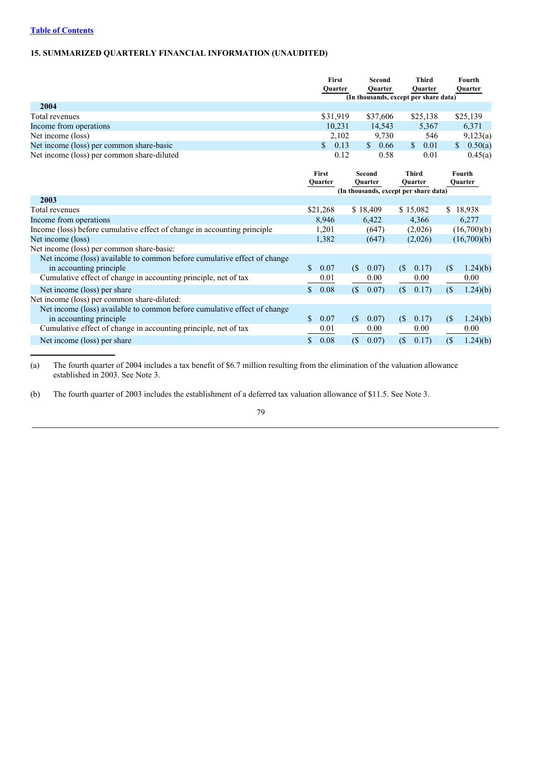### **Table of [Contents](#page-0-0)**

# **15. SUMMARIZED QUARTERLY FINANCIAL INFORMATION (UNAUDITED)**

|                                            | First      | Second                                | Third          | Fourth   |
|--------------------------------------------|------------|---------------------------------------|----------------|----------|
|                                            | Quarter    | <b>Quarter</b>                        | <b>Ouarter</b> | Quarter  |
|                                            |            | (In thousands, except per share data) |                |          |
| 2004                                       |            |                                       |                |          |
| Total revenues                             | \$31.919   | \$37,606                              | \$25,138       | \$25,139 |
| Income from operations                     | 10,231     | 14.543                                | 5,367          | 6,371    |
| Net income (loss)                          | 2,102      | 9.730                                 | 546            | 9,123(a) |
| Net income (loss) per common share-basic   | 0.13<br>S. | 0.66<br><sup>\$</sup>                 | 0.01           | 0.50(a)  |
| Net income (loss) per common share-diluted | 0.12       | 0.58                                  | 0.01           | 0.45(a)  |

|                                                                                                     |     | First<br>Quarter |     | Second<br><b>Ouarter</b><br>(In thousands, except per share data) |            | Third<br>Quarter |     | Fourth<br>Quarter |
|-----------------------------------------------------------------------------------------------------|-----|------------------|-----|-------------------------------------------------------------------|------------|------------------|-----|-------------------|
| 2003                                                                                                |     |                  |     |                                                                   |            |                  |     |                   |
| Total revenues                                                                                      |     | \$21,268         |     | \$18,409                                                          |            | \$15,082         |     | \$18,938          |
| Income from operations                                                                              |     | 8,946            |     | 6,422                                                             |            | 4,366            |     | 6,277             |
| Income (loss) before cumulative effect of change in accounting principle                            |     | 1,201            |     | (647)                                                             |            | (2,026)          |     | (16,700)(b)       |
| Net income (loss)                                                                                   |     | 1,382            |     | (647)                                                             |            | (2,026)          |     | (16,700)(b)       |
| Net income (loss) per common share-basic:                                                           |     |                  |     |                                                                   |            |                  |     |                   |
| Net income (loss) available to common before cumulative effect of change<br>in accounting principle | \$. | 0.07             | (S  | 0.07)                                                             | (S         | 0.17)            | (S) | 1.24(b)           |
| Cumulative effect of change in accounting principle, net of tax                                     |     | 0.01             |     | 0.00                                                              |            | 0.00             |     | 0.00              |
| Net income (loss) per share                                                                         | \$. | 0.08             | (S  | 0.07)                                                             | $\sqrt{S}$ | 0.17)            | (S) | 1.24(b)           |
| Net income (loss) per common share-diluted:                                                         |     |                  |     |                                                                   |            |                  |     |                   |
| Net income (loss) available to common before cumulative effect of change<br>in accounting principle | \$. | 0.07             | (S  | 0.07)                                                             | (S         | 0.17)            | (S) | $1.24$ $(b)$      |
| Cumulative effect of change in accounting principle, net of tax                                     |     | 0.01             |     | 0.00                                                              |            | 0.00             |     | 0.00              |
| Net income (loss) per share                                                                         | S.  | 0.08             | (S) | 0.07)                                                             | $\sqrt{S}$ | 0.17)            | (   | 1.24(b)           |

(a) The fourth quarter of 2004 includes a tax benefit of \$6.7 million resulting from the elimination of the valuation allowance established in 2003. See Note 3.

(b) The fourth quarter of 2003 includes the establishment of a deferred tax valuation allowance of \$11.5. See Note 3.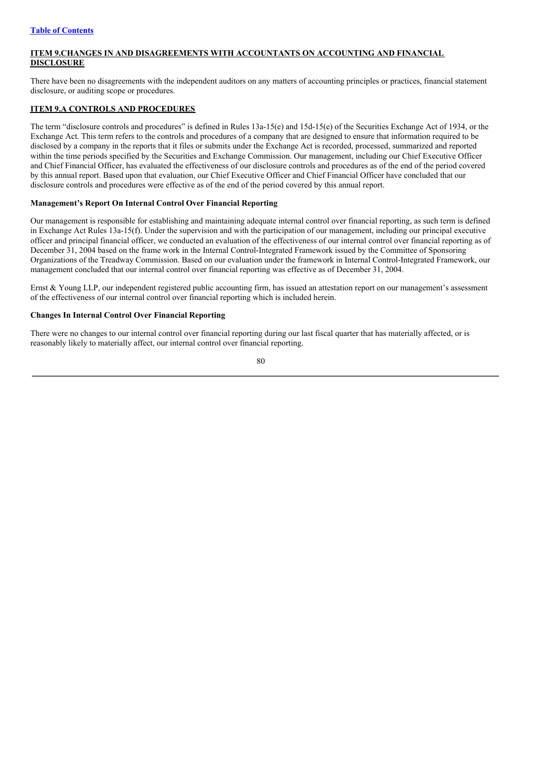# **ITEM 9.CHANGES IN AND DISAGREEMENTS WITH ACCOUNTANTS ON ACCOUNTING AND FINANCIAL DISCLOSURE**

There have been no disagreements with the independent auditors on any matters of accounting principles or practices, financial statement disclosure, or auditing scope or procedures.

### **ITEM 9.A CONTROLS AND PROCEDURES**

The term "disclosure controls and procedures" is defined in Rules 13a-15(e) and 15d-15(e) of the Securities Exchange Act of 1934, or the Exchange Act. This term refers to the controls and procedures of a company that are designed to ensure that information required to be disclosed by a company in the reports that it files or submits under the Exchange Act is recorded, processed, summarized and reported within the time periods specified by the Securities and Exchange Commission. Our management, including our Chief Executive Officer and Chief Financial Officer, has evaluated the effectiveness of our disclosure controls and procedures as of the end of the period covered by this annual report. Based upon that evaluation, our Chief Executive Officer and Chief Financial Officer have concluded that our disclosure controls and procedures were effective as of the end of the period covered by this annual report.

### **Management's Report On Internal Control Over Financial Reporting**

Our management is responsible for establishing and maintaining adequate internal control over financial reporting, as such term is defined in Exchange Act Rules 13a-15(f). Under the supervision and with the participation of our management, including our principal executive officer and principal financial officer, we conducted an evaluation of the effectiveness of our internal control over financial reporting as of December 31, 2004 based on the frame work in the Internal Control-Integrated Framework issued by the Committee of Sponsoring Organizations of the Treadway Commission. Based on our evaluation under the framework in Internal Control-Integrated Framework, our management concluded that our internal control over financial reporting was effective as of December 31, 2004.

Ernst & Young LLP, our independent registered public accounting firm, has issued an attestation report on our management's assessment of the effectiveness of our internal control over financial reporting which is included herein.

### **Changes In Internal Control Over Financial Reporting**

There were no changes to our internal control over financial reporting during our last fiscal quarter that has materially affected, or is reasonably likely to materially affect, our internal control over financial reporting.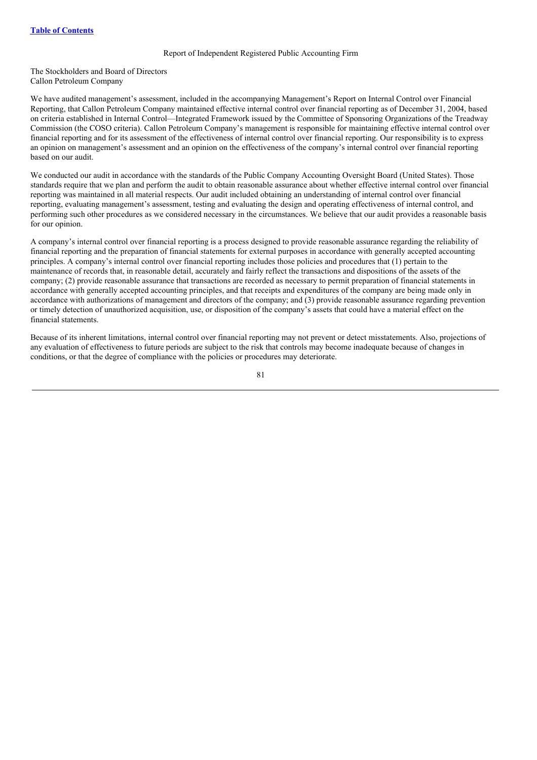#### Report of Independent Registered Public Accounting Firm

The Stockholders and Board of Directors Callon Petroleum Company

We have audited management's assessment, included in the accompanying Management's Report on Internal Control over Financial Reporting, that Callon Petroleum Company maintained effective internal control over financial reporting as of December 31, 2004, based on criteria established in Internal Control—Integrated Framework issued by the Committee of Sponsoring Organizations of the Treadway Commission (the COSO criteria). Callon Petroleum Company's management is responsible for maintaining effective internal control over financial reporting and for its assessment of the effectiveness of internal control over financial reporting. Our responsibility is to express an opinion on management's assessment and an opinion on the effectiveness of the company's internal control over financial reporting based on our audit.

We conducted our audit in accordance with the standards of the Public Company Accounting Oversight Board (United States). Those standards require that we plan and perform the audit to obtain reasonable assurance about whether effective internal control over financial reporting was maintained in all material respects. Our audit included obtaining an understanding of internal control over financial reporting, evaluating management's assessment, testing and evaluating the design and operating effectiveness of internal control, and performing such other procedures as we considered necessary in the circumstances. We believe that our audit provides a reasonable basis for our opinion.

A company's internal control over financial reporting is a process designed to provide reasonable assurance regarding the reliability of financial reporting and the preparation of financial statements for external purposes in accordance with generally accepted accounting principles. A company's internal control over financial reporting includes those policies and procedures that (1) pertain to the maintenance of records that, in reasonable detail, accurately and fairly reflect the transactions and dispositions of the assets of the company; (2) provide reasonable assurance that transactions are recorded as necessary to permit preparation of financial statements in accordance with generally accepted accounting principles, and that receipts and expenditures of the company are being made only in accordance with authorizations of management and directors of the company; and (3) provide reasonable assurance regarding prevention or timely detection of unauthorized acquisition, use, or disposition of the company's assets that could have a material effect on the financial statements.

Because of its inherent limitations, internal control over financial reporting may not prevent or detect misstatements. Also, projections of any evaluation of effectiveness to future periods are subject to the risk that controls may become inadequate because of changes in conditions, or that the degree of compliance with the policies or procedures may deteriorate.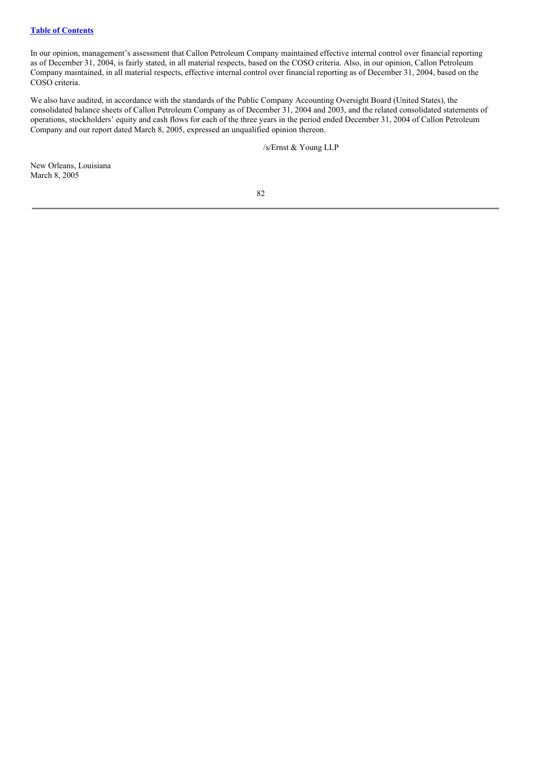#### **Table of [Contents](#page-0-0)**

In our opinion, management's assessment that Callon Petroleum Company maintained effective internal control over financial reporting as of December 31, 2004, is fairly stated, in all material respects, based on the COSO criteria. Also, in our opinion, Callon Petroleum Company maintained, in all material respects, effective internal control over financial reporting as of December 31, 2004, based on the COSO criteria.

We also have audited, in accordance with the standards of the Public Company Accounting Oversight Board (United States), the consolidated balance sheets of Callon Petroleum Company as of December 31, 2004 and 2003, and the related consolidated statements of operations, stockholders' equity and cash flows for each of the three years in the period ended December 31, 2004 of Callon Petroleum Company and our report dated March 8, 2005, expressed an unqualified opinion thereon.

/s/Ernst & Young LLP

New Orleans, Louisiana March 8, 2005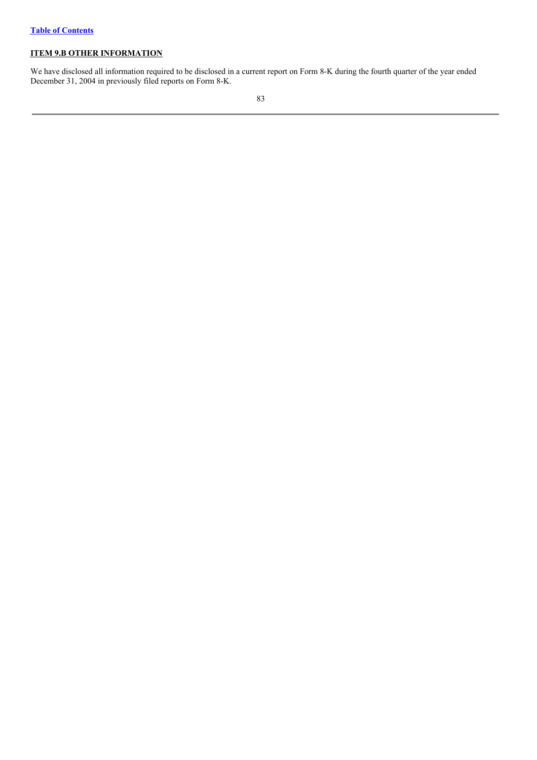# **ITEM 9.B OTHER INFORMATION**

We have disclosed all information required to be disclosed in a current report on Form 8-K during the fourth quarter of the year ended December 31, 2004 in previously filed reports on Form 8-K.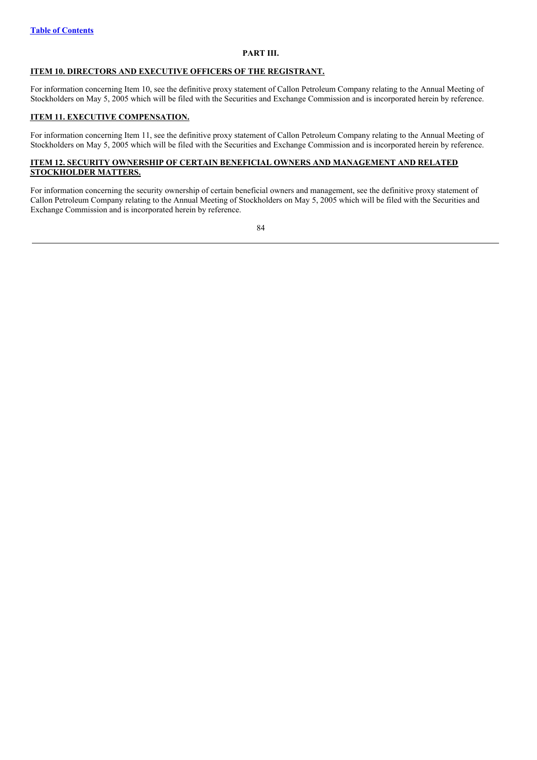### **PART III.**

#### **ITEM 10. DIRECTORS AND EXECUTIVE OFFICERS OF THE REGISTRANT.**

For information concerning Item 10, see the definitive proxy statement of Callon Petroleum Company relating to the Annual Meeting of Stockholders on May 5, 2005 which will be filed with the Securities and Exchange Commission and is incorporated herein by reference.

# **ITEM 11. EXECUTIVE COMPENSATION.**

For information concerning Item 11, see the definitive proxy statement of Callon Petroleum Company relating to the Annual Meeting of Stockholders on May 5, 2005 which will be filed with the Securities and Exchange Commission and is incorporated herein by reference.

### **ITEM 12. SECURITY OWNERSHIP OF CERTAIN BENEFICIAL OWNERS AND MANAGEMENT AND RELATED STOCKHOLDER MATTERS.**

For information concerning the security ownership of certain beneficial owners and management, see the definitive proxy statement of Callon Petroleum Company relating to the Annual Meeting of Stockholders on May 5, 2005 which will be filed with the Securities and Exchange Commission and is incorporated herein by reference.

| I<br>I<br>I<br>I<br>×<br>٧ | ٠ |
|----------------------------|---|
|                            |   |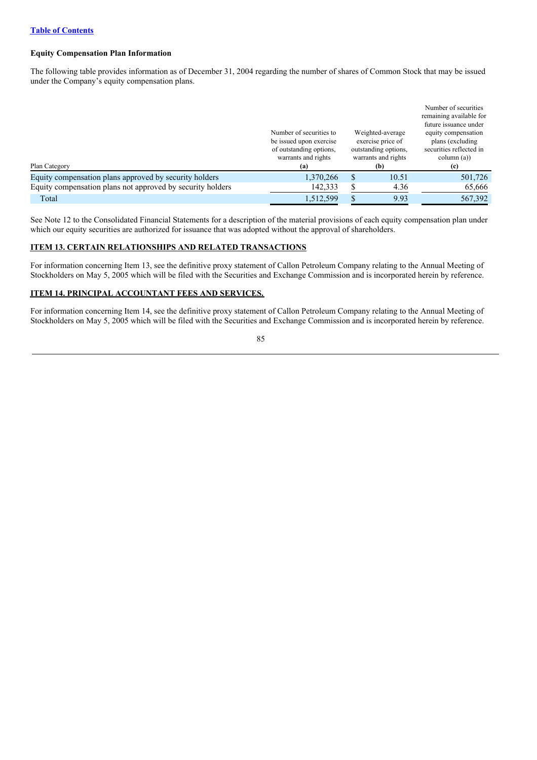# **Equity Compensation Plan Information**

The following table provides information as of December 31, 2004 regarding the number of shares of Common Stock that may be issued under the Company's equity compensation plans.

| Plan Category                                              | Number of securities to<br>be issued upon exercise<br>of outstanding options,<br>warrants and rights<br>(a) | Weighted-average<br>exercise price of<br>outstanding options,<br>warrants and rights<br>(b) |       | Number of securities<br>remaining available for<br>future issuance under<br>equity compensation<br>plans (excluding<br>securities reflected in<br>$\text{column (a))}$<br>$\left( \mathbf{c} \right)$ |
|------------------------------------------------------------|-------------------------------------------------------------------------------------------------------------|---------------------------------------------------------------------------------------------|-------|-------------------------------------------------------------------------------------------------------------------------------------------------------------------------------------------------------|
| Equity compensation plans approved by security holders     | 1,370,266                                                                                                   | S                                                                                           | 10.51 | 501,726                                                                                                                                                                                               |
| Equity compensation plans not approved by security holders | 142,333                                                                                                     |                                                                                             | 4.36  | 65,666                                                                                                                                                                                                |
| Total                                                      | 1.512.599                                                                                                   | S                                                                                           | 9.93  | 567,392                                                                                                                                                                                               |

See Note 12 to the Consolidated Financial Statements for a description of the material provisions of each equity compensation plan under which our equity securities are authorized for issuance that was adopted without the approval of shareholders.

### **ITEM 13. CERTAIN RELATIONSHIPS AND RELATED TRANSACTIONS**

For information concerning Item 13, see the definitive proxy statement of Callon Petroleum Company relating to the Annual Meeting of Stockholders on May 5, 2005 which will be filed with the Securities and Exchange Commission and is incorporated herein by reference.

# **ITEM 14. PRINCIPAL ACCOUNTANT FEES AND SERVICES.**

For information concerning Item 14, see the definitive proxy statement of Callon Petroleum Company relating to the Annual Meeting of Stockholders on May 5, 2005 which will be filed with the Securities and Exchange Commission and is incorporated herein by reference.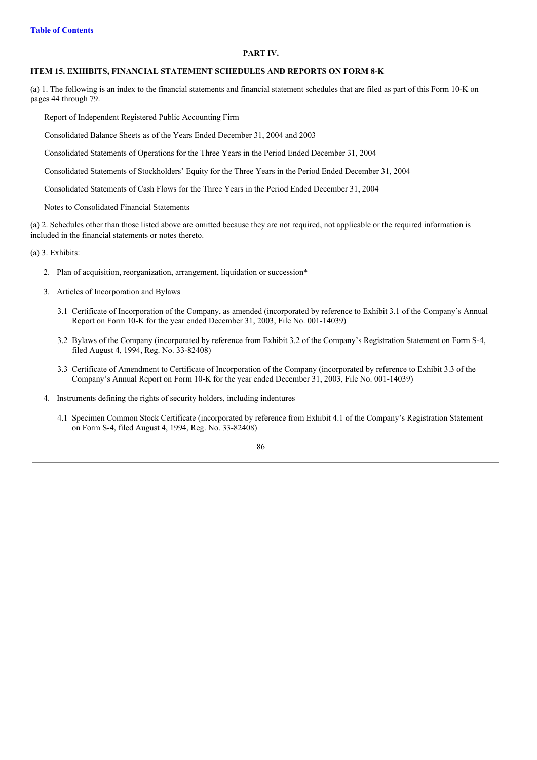### **PART IV.**

#### **ITEM 15. EXHIBITS, FINANCIAL STATEMENT SCHEDULES AND REPORTS ON FORM 8-K**

(a) 1. The following is an index to the financial statements and financial statement schedules that are filed as part of this Form 10-K on pages 44 through 79.

Report of Independent Registered Public Accounting Firm

Consolidated Balance Sheets as of the Years Ended December 31, 2004 and 2003

Consolidated Statements of Operations for the Three Years in the Period Ended December 31, 2004

Consolidated Statements of Stockholders' Equity for the Three Years in the Period Ended December 31, 2004

Consolidated Statements of Cash Flows for the Three Years in the Period Ended December 31, 2004

Notes to Consolidated Financial Statements

(a) 2. Schedules other than those listed above are omitted because they are not required, not applicable or the required information is included in the financial statements or notes thereto.

(a) 3. Exhibits:

- 2. Plan of acquisition, reorganization, arrangement, liquidation or succession\*
- 3. Articles of Incorporation and Bylaws
	- 3.1 Certificate of Incorporation of the Company, as amended (incorporated by reference to Exhibit 3.1 of the Company's Annual Report on Form 10-K for the year ended December 31, 2003, File No. 001-14039)
	- 3.2 Bylaws of the Company (incorporated by reference from Exhibit 3.2 of the Company's Registration Statement on Form S-4, filed August 4, 1994, Reg. No. 33-82408)
	- 3.3 Certificate of Amendment to Certificate of Incorporation of the Company (incorporated by reference to Exhibit 3.3 of the Company's Annual Report on Form 10-K for the year ended December 31, 2003, File No. 001-14039)
- 4. Instruments defining the rights of security holders, including indentures
	- 4.1 Specimen Common Stock Certificate (incorporated by reference from Exhibit 4.1 of the Company's Registration Statement on Form S-4, filed August 4, 1994, Reg. No. 33-82408)

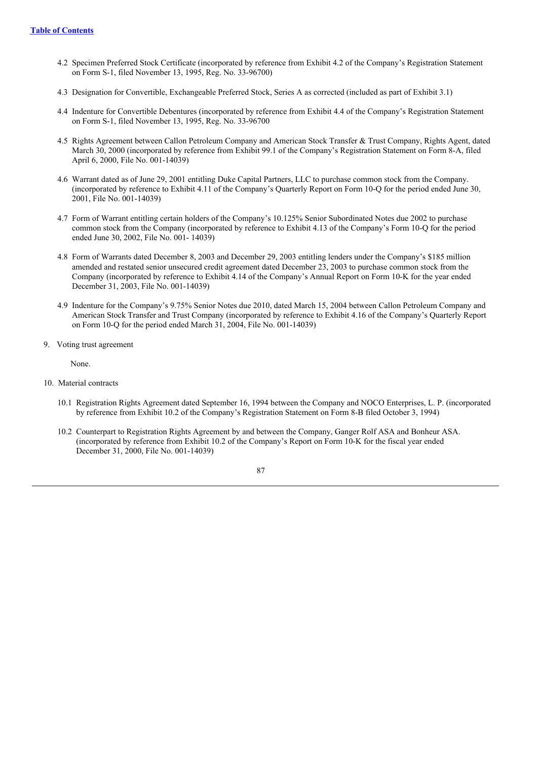- 4.2 Specimen Preferred Stock Certificate (incorporated by reference from Exhibit 4.2 of the Company's Registration Statement on Form S-1, filed November 13, 1995, Reg. No. 33-96700)
- 4.3 Designation for Convertible, Exchangeable Preferred Stock, Series A as corrected (included as part of Exhibit 3.1)
- 4.4 Indenture for Convertible Debentures (incorporated by reference from Exhibit 4.4 of the Company's Registration Statement on Form S-1, filed November 13, 1995, Reg. No. 33-96700
- 4.5 Rights Agreement between Callon Petroleum Company and American Stock Transfer & Trust Company, Rights Agent, dated March 30, 2000 (incorporated by reference from Exhibit 99.1 of the Company's Registration Statement on Form 8-A, filed April 6, 2000, File No. 001-14039)
- 4.6 Warrant dated as of June 29, 2001 entitling Duke Capital Partners, LLC to purchase common stock from the Company. (incorporated by reference to Exhibit 4.11 of the Company's Quarterly Report on Form 10-Q for the period ended June 30, 2001, File No. 001-14039)
- 4.7 Form of Warrant entitling certain holders of the Company's 10.125% Senior Subordinated Notes due 2002 to purchase common stock from the Company (incorporated by reference to Exhibit 4.13 of the Company's Form 10-Q for the period ended June 30, 2002, File No. 001- 14039)
- 4.8 Form of Warrants dated December 8, 2003 and December 29, 2003 entitling lenders under the Company's \$185 million amended and restated senior unsecured credit agreement dated December 23, 2003 to purchase common stock from the Company (incorporated by reference to Exhibit 4.14 of the Company's Annual Report on Form 10-K for the year ended December 31, 2003, File No. 001-14039)
- 4.9 Indenture for the Company's 9.75% Senior Notes due 2010, dated March 15, 2004 between Callon Petroleum Company and American Stock Transfer and Trust Company (incorporated by reference to Exhibit 4.16 of the Company's Quarterly Report on Form 10-Q for the period ended March 31, 2004, File No. 001-14039)
- 9. Voting trust agreement

None.

- 10. Material contracts
	- 10.1 Registration Rights Agreement dated September 16, 1994 between the Company and NOCO Enterprises, L. P. (incorporated by reference from Exhibit 10.2 of the Company's Registration Statement on Form 8-B filed October 3, 1994)
	- 10.2 Counterpart to Registration Rights Agreement by and between the Company, Ganger Rolf ASA and Bonheur ASA. (incorporated by reference from Exhibit 10.2 of the Company's Report on Form 10-K for the fiscal year ended December 31, 2000, File No. 001-14039)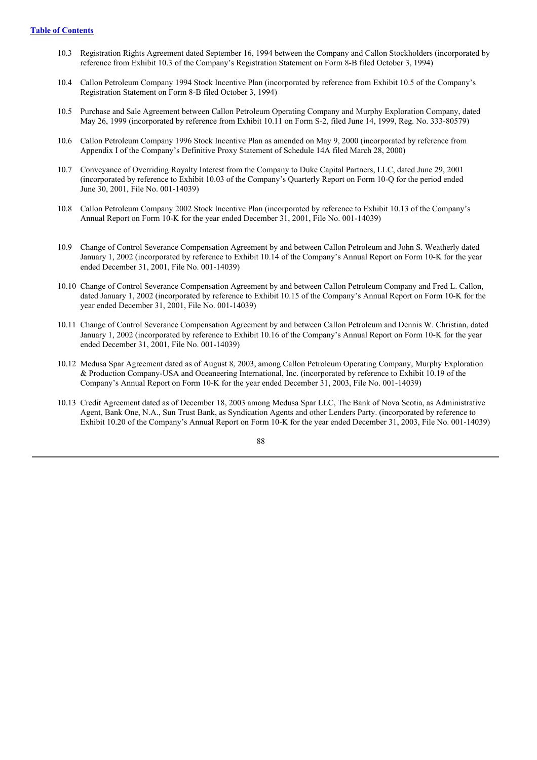- 10.3 Registration Rights Agreement dated September 16, 1994 between the Company and Callon Stockholders (incorporated by reference from Exhibit 10.3 of the Company's Registration Statement on Form 8-B filed October 3, 1994)
- 10.4 Callon Petroleum Company 1994 Stock Incentive Plan (incorporated by reference from Exhibit 10.5 of the Company's Registration Statement on Form 8-B filed October 3, 1994)
- 10.5 Purchase and Sale Agreement between Callon Petroleum Operating Company and Murphy Exploration Company, dated May 26, 1999 (incorporated by reference from Exhibit 10.11 on Form S-2, filed June 14, 1999, Reg. No. 333-80579)
- 10.6 Callon Petroleum Company 1996 Stock Incentive Plan as amended on May 9, 2000 (incorporated by reference from Appendix I of the Company's Definitive Proxy Statement of Schedule 14A filed March 28, 2000)
- 10.7 Conveyance of Overriding Royalty Interest from the Company to Duke Capital Partners, LLC, dated June 29, 2001 (incorporated by reference to Exhibit 10.03 of the Company's Quarterly Report on Form 10-Q for the period ended June 30, 2001, File No. 001-14039)
- 10.8 Callon Petroleum Company 2002 Stock Incentive Plan (incorporated by reference to Exhibit 10.13 of the Company's Annual Report on Form 10-K for the year ended December 31, 2001, File No. 001-14039)
- 10.9 Change of Control Severance Compensation Agreement by and between Callon Petroleum and John S. Weatherly dated January 1, 2002 (incorporated by reference to Exhibit 10.14 of the Company's Annual Report on Form 10-K for the year ended December 31, 2001, File No. 001-14039)
- 10.10 Change of Control Severance Compensation Agreement by and between Callon Petroleum Company and Fred L. Callon, dated January 1, 2002 (incorporated by reference to Exhibit 10.15 of the Company's Annual Report on Form 10-K for the year ended December 31, 2001, File No. 001-14039)
- 10.11 Change of Control Severance Compensation Agreement by and between Callon Petroleum and Dennis W. Christian, dated January 1, 2002 (incorporated by reference to Exhibit 10.16 of the Company's Annual Report on Form 10-K for the year ended December 31, 2001, File No. 001-14039)
- 10.12 Medusa Spar Agreement dated as of August 8, 2003, among Callon Petroleum Operating Company, Murphy Exploration & Production Company-USA and Oceaneering International, Inc. (incorporated by reference to Exhibit 10.19 of the Company's Annual Report on Form 10-K for the year ended December 31, 2003, File No. 001-14039)
- 10.13 Credit Agreement dated as of December 18, 2003 among Medusa Spar LLC, The Bank of Nova Scotia, as Administrative Agent, Bank One, N.A., Sun Trust Bank, as Syndication Agents and other Lenders Party. (incorporated by reference to Exhibit 10.20 of the Company's Annual Report on Form 10-K for the year ended December 31, 2003, File No. 001-14039)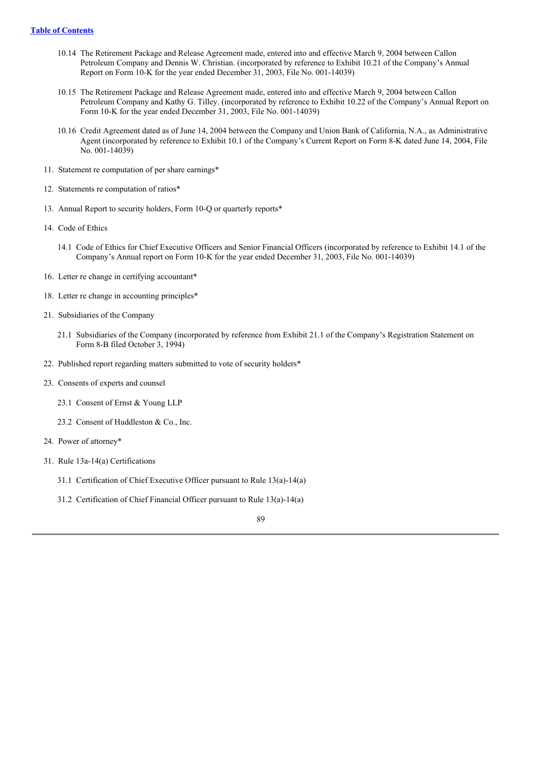- 10.14 The Retirement Package and Release Agreement made, entered into and effective March 9, 2004 between Callon Petroleum Company and Dennis W. Christian. (incorporated by reference to Exhibit 10.21 of the Company's Annual Report on Form 10-K for the year ended December 31, 2003, File No. 001-14039)
- 10.15 The Retirement Package and Release Agreement made, entered into and effective March 9, 2004 between Callon Petroleum Company and Kathy G. Tilley. (incorporated by reference to Exhibit 10.22 of the Company's Annual Report on Form 10-K for the year ended December 31, 2003, File No. 001-14039)
- 10.16 Credit Agreement dated as of June 14, 2004 between the Company and Union Bank of California, N.A., as Administrative Agent (incorporated by reference to Exhibit 10.1 of the Company's Current Report on Form 8-K dated June 14, 2004, File No. 001-14039)
- 11. Statement re computation of per share earnings\*
- 12. Statements re computation of ratios\*
- 13. Annual Report to security holders, Form 10-Q or quarterly reports\*
- 14. Code of Ethics
	- 14.1 Code of Ethics for Chief Executive Officers and Senior Financial Officers (incorporated by reference to Exhibit 14.1 of the Company's Annual report on Form 10-K for the year ended December 31, 2003, File No. 001-14039)
- 16. Letter re change in certifying accountant\*
- 18. Letter re change in accounting principles\*
- 21. Subsidiaries of the Company
	- 21.1 Subsidiaries of the Company (incorporated by reference from Exhibit 21.1 of the Company's Registration Statement on Form 8-B filed October 3, 1994)
- 22. Published report regarding matters submitted to vote of security holders\*
- 23. Consents of experts and counsel
	- 23.1 Consent of Ernst & Young LLP
	- 23.2 Consent of Huddleston & Co., Inc.
- 24. Power of attorney\*
- 31. Rule 13a-14(a) Certifications
	- 31.1 Certification of Chief Executive Officer pursuant to Rule 13(a)-14(a)
	- 31.2 Certification of Chief Financial Officer pursuant to Rule 13(a)-14(a)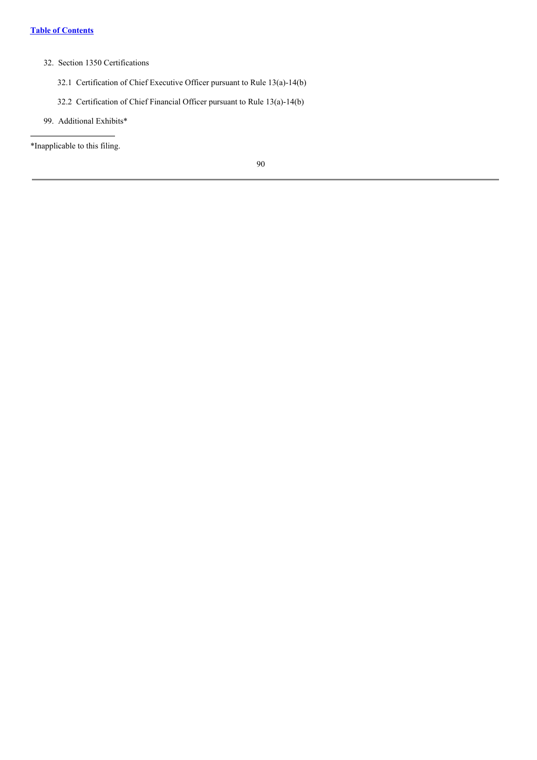- 32. Section 1350 Certifications
	- 32.1 Certification of Chief Executive Officer pursuant to Rule 13(a)-14(b)
	- 32.2 Certification of Chief Financial Officer pursuant to Rule 13(a)-14(b)
- 99. Additional Exhibits\*

\*Inapplicable to this filing.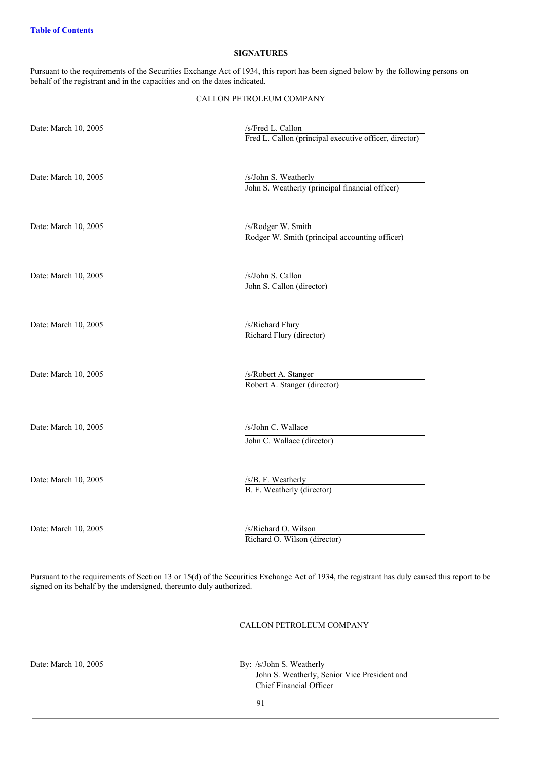# **SIGNATURES**

Pursuant to the requirements of the Securities Exchange Act of 1934, this report has been signed below by the following persons on behalf of the registrant and in the capacities and on the dates indicated.

### CALLON PETROLEUM COMPANY

| Date: March 10, 2005 | /s/Fred L. Callon<br>Fred L. Callon (principal executive officer, director) |
|----------------------|-----------------------------------------------------------------------------|
| Date: March 10, 2005 | /s/John S. Weatherly<br>John S. Weatherly (principal financial officer)     |
| Date: March 10, 2005 | /s/Rodger W. Smith<br>Rodger W. Smith (principal accounting officer)        |
| Date: March 10, 2005 | /s/John S. Callon<br>John S. Callon (director)                              |
| Date: March 10, 2005 | /s/Richard Flury<br>Richard Flury (director)                                |
| Date: March 10, 2005 | /s/Robert A. Stanger<br>Robert A. Stanger (director)                        |
| Date: March 10, 2005 | /s/John C. Wallace<br>John C. Wallace (director)                            |
| Date: March 10, 2005 | /s/B. F. Weatherly<br>B. F. Weatherly (director)                            |
| Date: March 10, 2005 | /s/Richard O. Wilson<br>Richard O. Wilson (director)                        |

Pursuant to the requirements of Section 13 or 15(d) of the Securities Exchange Act of 1934, the registrant has duly caused this report to be signed on its behalf by the undersigned, thereunto duly authorized.

## CALLON PETROLEUM COMPANY

Date: March 10, 2005 By: /s/John S. Weatherly

John S. Weatherly, Senior Vice President and Chief Financial Officer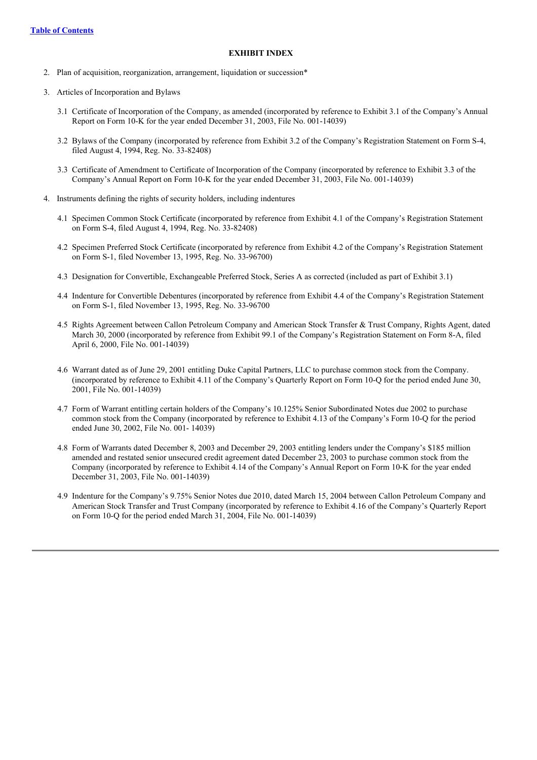# **EXHIBIT INDEX**

- 2. Plan of acquisition, reorganization, arrangement, liquidation or succession\*
- 3. Articles of Incorporation and Bylaws
	- 3.1 Certificate of Incorporation of the Company, as amended (incorporated by reference to Exhibit 3.1 of the Company's Annual Report on Form 10-K for the year ended December 31, 2003, File No. 001-14039)
	- 3.2 Bylaws of the Company (incorporated by reference from Exhibit 3.2 of the Company's Registration Statement on Form S-4, filed August 4, 1994, Reg. No. 33-82408)
	- 3.3 Certificate of Amendment to Certificate of Incorporation of the Company (incorporated by reference to Exhibit 3.3 of the Company's Annual Report on Form 10-K for the year ended December 31, 2003, File No. 001-14039)
- 4. Instruments defining the rights of security holders, including indentures
	- 4.1 Specimen Common Stock Certificate (incorporated by reference from Exhibit 4.1 of the Company's Registration Statement on Form S-4, filed August 4, 1994, Reg. No. 33-82408)
	- 4.2 Specimen Preferred Stock Certificate (incorporated by reference from Exhibit 4.2 of the Company's Registration Statement on Form S-1, filed November 13, 1995, Reg. No. 33-96700)
	- 4.3 Designation for Convertible, Exchangeable Preferred Stock, Series A as corrected (included as part of Exhibit 3.1)
	- 4.4 Indenture for Convertible Debentures (incorporated by reference from Exhibit 4.4 of the Company's Registration Statement on Form S-1, filed November 13, 1995, Reg. No. 33-96700
	- 4.5 Rights Agreement between Callon Petroleum Company and American Stock Transfer & Trust Company, Rights Agent, dated March 30, 2000 (incorporated by reference from Exhibit 99.1 of the Company's Registration Statement on Form 8-A, filed April 6, 2000, File No. 001-14039)
	- 4.6 Warrant dated as of June 29, 2001 entitling Duke Capital Partners, LLC to purchase common stock from the Company. (incorporated by reference to Exhibit 4.11 of the Company's Quarterly Report on Form 10-Q for the period ended June 30, 2001, File No. 001-14039)
	- 4.7 Form of Warrant entitling certain holders of the Company's 10.125% Senior Subordinated Notes due 2002 to purchase common stock from the Company (incorporated by reference to Exhibit 4.13 of the Company's Form 10-Q for the period ended June 30, 2002, File No. 001- 14039)
	- 4.8 Form of Warrants dated December 8, 2003 and December 29, 2003 entitling lenders under the Company's \$185 million amended and restated senior unsecured credit agreement dated December 23, 2003 to purchase common stock from the Company (incorporated by reference to Exhibit 4.14 of the Company's Annual Report on Form 10-K for the year ended December 31, 2003, File No. 001-14039)
	- 4.9 Indenture for the Company's 9.75% Senior Notes due 2010, dated March 15, 2004 between Callon Petroleum Company and American Stock Transfer and Trust Company (incorporated by reference to Exhibit 4.16 of the Company's Quarterly Report on Form 10-Q for the period ended March 31, 2004, File No. 001-14039)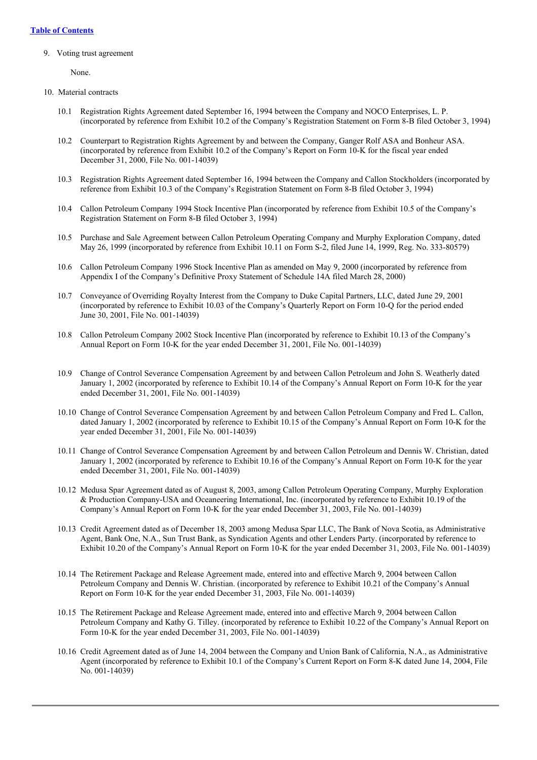9. Voting trust agreement

None.

- 10. Material contracts
	- 10.1 Registration Rights Agreement dated September 16, 1994 between the Company and NOCO Enterprises, L. P. (incorporated by reference from Exhibit 10.2 of the Company's Registration Statement on Form 8-B filed October 3, 1994)
	- 10.2 Counterpart to Registration Rights Agreement by and between the Company, Ganger Rolf ASA and Bonheur ASA. (incorporated by reference from Exhibit 10.2 of the Company's Report on Form 10-K for the fiscal year ended December 31, 2000, File No. 001-14039)
	- 10.3 Registration Rights Agreement dated September 16, 1994 between the Company and Callon Stockholders (incorporated by reference from Exhibit 10.3 of the Company's Registration Statement on Form 8-B filed October 3, 1994)
	- 10.4 Callon Petroleum Company 1994 Stock Incentive Plan (incorporated by reference from Exhibit 10.5 of the Company's Registration Statement on Form 8-B filed October 3, 1994)
	- 10.5 Purchase and Sale Agreement between Callon Petroleum Operating Company and Murphy Exploration Company, dated May 26, 1999 (incorporated by reference from Exhibit 10.11 on Form S-2, filed June 14, 1999, Reg. No. 333-80579)
	- 10.6 Callon Petroleum Company 1996 Stock Incentive Plan as amended on May 9, 2000 (incorporated by reference from Appendix I of the Company's Definitive Proxy Statement of Schedule 14A filed March 28, 2000)
	- 10.7 Conveyance of Overriding Royalty Interest from the Company to Duke Capital Partners, LLC, dated June 29, 2001 (incorporated by reference to Exhibit 10.03 of the Company's Quarterly Report on Form 10-Q for the period ended June 30, 2001, File No. 001-14039)
	- 10.8 Callon Petroleum Company 2002 Stock Incentive Plan (incorporated by reference to Exhibit 10.13 of the Company's Annual Report on Form 10-K for the year ended December 31, 2001, File No. 001-14039)
	- 10.9 Change of Control Severance Compensation Agreement by and between Callon Petroleum and John S. Weatherly dated January 1, 2002 (incorporated by reference to Exhibit 10.14 of the Company's Annual Report on Form 10-K for the year ended December 31, 2001, File No. 001-14039)
	- 10.10 Change of Control Severance Compensation Agreement by and between Callon Petroleum Company and Fred L. Callon, dated January 1, 2002 (incorporated by reference to Exhibit 10.15 of the Company's Annual Report on Form 10-K for the year ended December 31, 2001, File No. 001-14039)
	- 10.11 Change of Control Severance Compensation Agreement by and between Callon Petroleum and Dennis W. Christian, dated January 1, 2002 (incorporated by reference to Exhibit 10.16 of the Company's Annual Report on Form 10-K for the year ended December 31, 2001, File No. 001-14039)
	- 10.12 Medusa Spar Agreement dated as of August 8, 2003, among Callon Petroleum Operating Company, Murphy Exploration & Production Company-USA and Oceaneering International, Inc. (incorporated by reference to Exhibit 10.19 of the Company's Annual Report on Form 10-K for the year ended December 31, 2003, File No. 001-14039)
	- 10.13 Credit Agreement dated as of December 18, 2003 among Medusa Spar LLC, The Bank of Nova Scotia, as Administrative Agent, Bank One, N.A., Sun Trust Bank, as Syndication Agents and other Lenders Party. (incorporated by reference to Exhibit 10.20 of the Company's Annual Report on Form 10-K for the year ended December 31, 2003, File No. 001-14039)
	- 10.14 The Retirement Package and Release Agreement made, entered into and effective March 9, 2004 between Callon Petroleum Company and Dennis W. Christian. (incorporated by reference to Exhibit 10.21 of the Company's Annual Report on Form 10-K for the year ended December 31, 2003, File No. 001-14039)
	- 10.15 The Retirement Package and Release Agreement made, entered into and effective March 9, 2004 between Callon Petroleum Company and Kathy G. Tilley. (incorporated by reference to Exhibit 10.22 of the Company's Annual Report on Form 10-K for the year ended December 31, 2003, File No. 001-14039)
	- 10.16 Credit Agreement dated as of June 14, 2004 between the Company and Union Bank of California, N.A., as Administrative Agent (incorporated by reference to Exhibit 10.1 of the Company's Current Report on Form 8-K dated June 14, 2004, File No. 001-14039)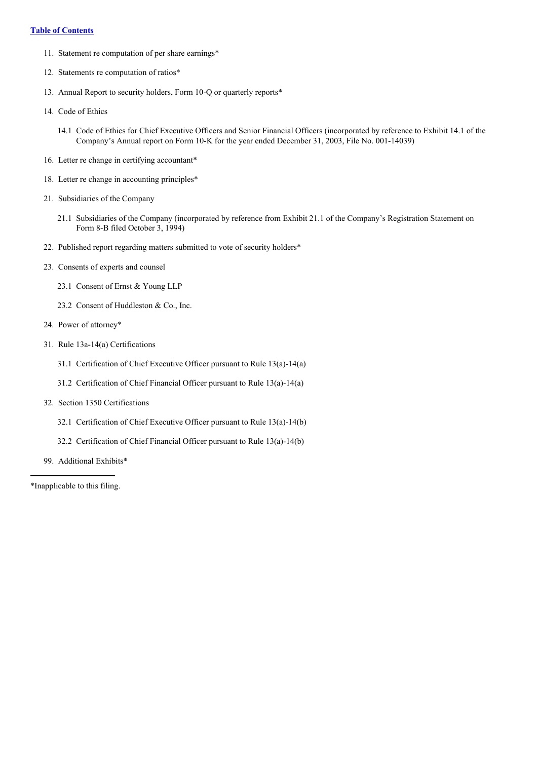#### **Table of [Contents](#page-0-0)**

- 11. Statement re computation of per share earnings\*
- 12. Statements re computation of ratios\*
- 13. Annual Report to security holders, Form 10-Q or quarterly reports\*
- 14. Code of Ethics
	- 14.1 Code of Ethics for Chief Executive Officers and Senior Financial Officers (incorporated by reference to Exhibit 14.1 of the Company's Annual report on Form 10-K for the year ended December 31, 2003, File No. 001-14039)
- 16. Letter re change in certifying accountant\*
- 18. Letter re change in accounting principles\*
- 21. Subsidiaries of the Company
	- 21.1 Subsidiaries of the Company (incorporated by reference from Exhibit 21.1 of the Company's Registration Statement on Form 8-B filed October 3, 1994)
- 22. Published report regarding matters submitted to vote of security holders\*
- 23. Consents of experts and counsel
	- 23.1 Consent of Ernst & Young LLP
	- 23.2 Consent of Huddleston & Co., Inc.
- 24. Power of attorney\*
- 31. Rule 13a-14(a) Certifications
	- 31.1 Certification of Chief Executive Officer pursuant to Rule 13(a)-14(a)
	- 31.2 Certification of Chief Financial Officer pursuant to Rule 13(a)-14(a)
- 32. Section 1350 Certifications
	- 32.1 Certification of Chief Executive Officer pursuant to Rule 13(a)-14(b)
	- 32.2 Certification of Chief Financial Officer pursuant to Rule 13(a)-14(b)
- 99. Additional Exhibits\*

\*Inapplicable to this filing.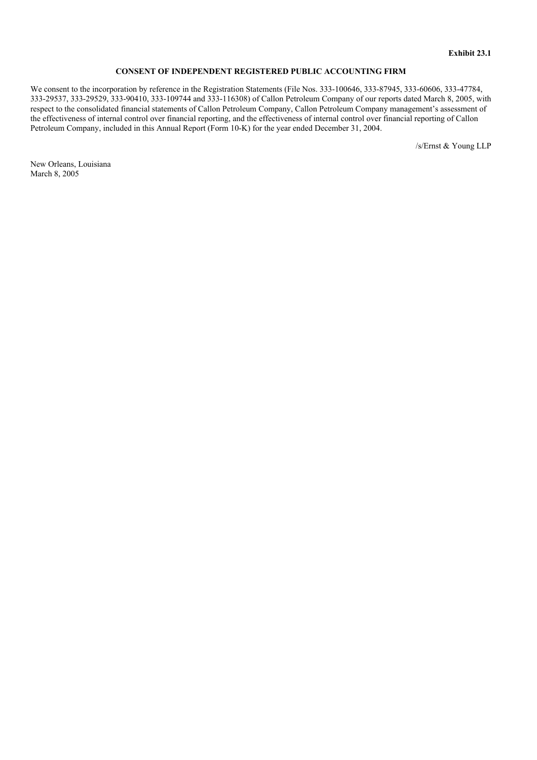### **CONSENT OF INDEPENDENT REGISTERED PUBLIC ACCOUNTING FIRM**

We consent to the incorporation by reference in the Registration Statements (File Nos. 333-100646, 333-87945, 333-60606, 333-47784, 333-29537, 333-29529, 333-90410, 333-109744 and 333-116308) of Callon Petroleum Company of our reports dated March 8, 2005, with respect to the consolidated financial statements of Callon Petroleum Company, Callon Petroleum Company management's assessment of the effectiveness of internal control over financial reporting, and the effectiveness of internal control over financial reporting of Callon Petroleum Company, included in this Annual Report (Form 10-K) for the year ended December 31, 2004.

/s/Ernst & Young LLP

New Orleans, Louisiana March 8, 2005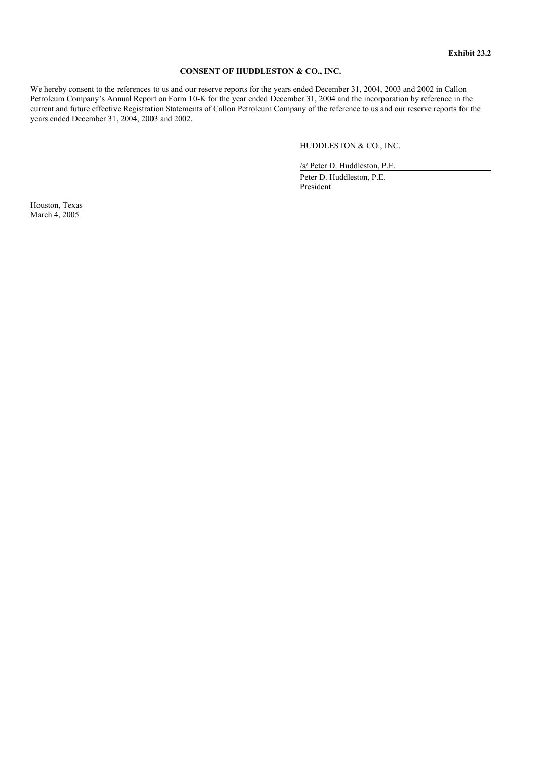### **CONSENT OF HUDDLESTON & CO., INC.**

We hereby consent to the references to us and our reserve reports for the years ended December 31, 2004, 2003 and 2002 in Callon Petroleum Company's Annual Report on Form 10-K for the year ended December 31, 2004 and the incorporation by reference in the current and future effective Registration Statements of Callon Petroleum Company of the reference to us and our reserve reports for the years ended December 31, 2004, 2003 and 2002.

HUDDLESTON & CO., INC.

/s/ Peter D. Huddleston, P.E.

Peter D. Huddleston, P.E. President

Houston, Texas March 4, 2005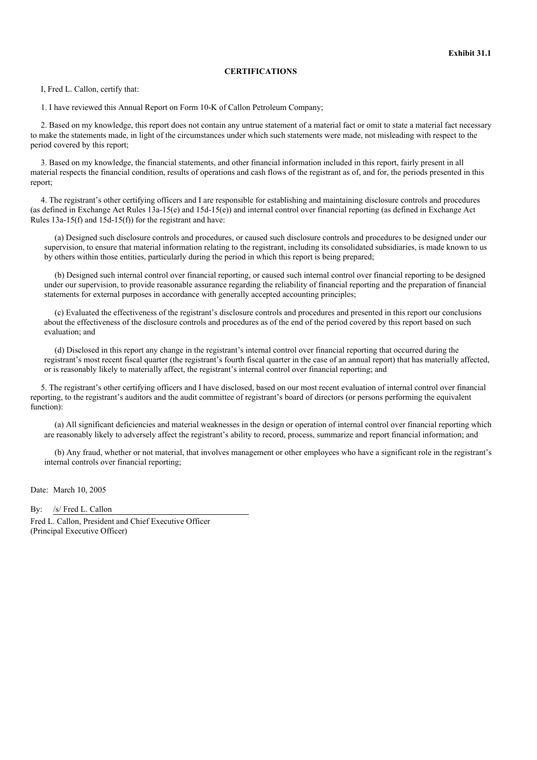#### **CERTIFICATIONS**

I, Fred L. Callon, certify that:

1. I have reviewed this Annual Report on Form 10-K of Callon Petroleum Company;

2. Based on my knowledge, this report does not contain any untrue statement of a material fact or omit to state a material fact necessary to make the statements made, in light of the circumstances under which such statements were made, not misleading with respect to the period covered by this report;

3. Based on my knowledge, the financial statements, and other financial information included in this report, fairly present in all material respects the financial condition, results of operations and cash flows of the registrant as of, and for, the periods presented in this report;

4. The registrant's other certifying officers and I are responsible for establishing and maintaining disclosure controls and procedures (as defined in Exchange Act Rules 13a-15(e) and 15d-15(e)) and internal control over financial reporting (as defined in Exchange Act Rules 13a-15(f) and 15d-15(f)) for the registrant and have:

(a) Designed such disclosure controls and procedures, or caused such disclosure controls and procedures to be designed under our supervision, to ensure that material information relating to the registrant, including its consolidated subsidiaries, is made known to us by others within those entities, particularly during the period in which this report is being prepared;

(b) Designed such internal control over financial reporting, or caused such internal control over financial reporting to be designed under our supervision, to provide reasonable assurance regarding the reliability of financial reporting and the preparation of financial statements for external purposes in accordance with generally accepted accounting principles;

(c) Evaluated the effectiveness of the registrant's disclosure controls and procedures and presented in this report our conclusions about the effectiveness of the disclosure controls and procedures as of the end of the period covered by this report based on such evaluation; and

(d) Disclosed in this report any change in the registrant's internal control over financial reporting that occurred during the registrant's most recent fiscal quarter (the registrant's fourth fiscal quarter in the case of an annual report) that has materially affected, or is reasonably likely to materially affect, the registrant's internal control over financial reporting; and

5. The registrant's other certifying officers and I have disclosed, based on our most recent evaluation of internal control over financial reporting, to the registrant's auditors and the audit committee of registrant's board of directors (or persons performing the equivalent function):

(a) All significant deficiencies and material weaknesses in the design or operation of internal control over financial reporting which are reasonably likely to adversely affect the registrant's ability to record, process, summarize and report financial information; and

(b) Any fraud, whether or not material, that involves management or other employees who have a significant role in the registrant's internal controls over financial reporting;

Date: March 10, 2005

By: /s/ Fred L. Callon

Fred L. Callon, President and Chief Executive Officer (Principal Executive Officer)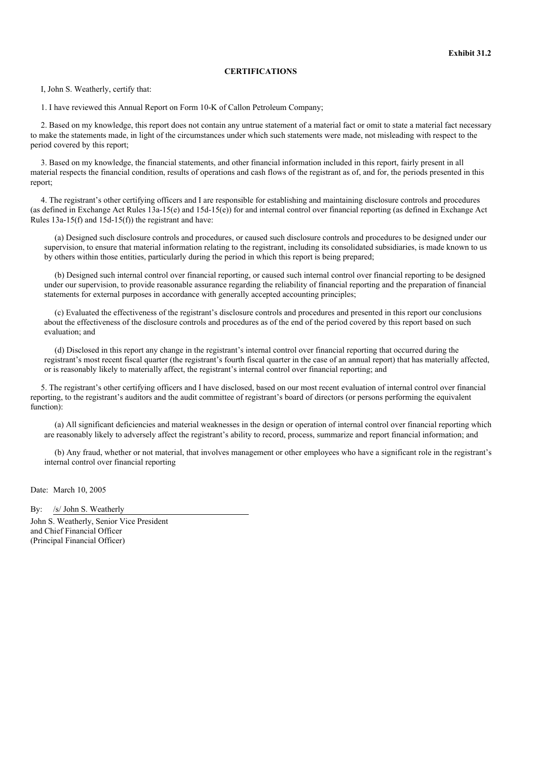#### **CERTIFICATIONS**

I, John S. Weatherly, certify that:

1. I have reviewed this Annual Report on Form 10-K of Callon Petroleum Company;

2. Based on my knowledge, this report does not contain any untrue statement of a material fact or omit to state a material fact necessary to make the statements made, in light of the circumstances under which such statements were made, not misleading with respect to the period covered by this report;

3. Based on my knowledge, the financial statements, and other financial information included in this report, fairly present in all material respects the financial condition, results of operations and cash flows of the registrant as of, and for, the periods presented in this report;

4. The registrant's other certifying officers and I are responsible for establishing and maintaining disclosure controls and procedures (as defined in Exchange Act Rules 13a-15(e) and 15d-15(e)) for and internal control over financial reporting (as defined in Exchange Act Rules 13a-15(f) and 15d-15(f)) the registrant and have:

(a) Designed such disclosure controls and procedures, or caused such disclosure controls and procedures to be designed under our supervision, to ensure that material information relating to the registrant, including its consolidated subsidiaries, is made known to us by others within those entities, particularly during the period in which this report is being prepared;

(b) Designed such internal control over financial reporting, or caused such internal control over financial reporting to be designed under our supervision, to provide reasonable assurance regarding the reliability of financial reporting and the preparation of financial statements for external purposes in accordance with generally accepted accounting principles;

(c) Evaluated the effectiveness of the registrant's disclosure controls and procedures and presented in this report our conclusions about the effectiveness of the disclosure controls and procedures as of the end of the period covered by this report based on such evaluation; and

(d) Disclosed in this report any change in the registrant's internal control over financial reporting that occurred during the registrant's most recent fiscal quarter (the registrant's fourth fiscal quarter in the case of an annual report) that has materially affected, or is reasonably likely to materially affect, the registrant's internal control over financial reporting; and

5. The registrant's other certifying officers and I have disclosed, based on our most recent evaluation of internal control over financial reporting, to the registrant's auditors and the audit committee of registrant's board of directors (or persons performing the equivalent function):

(a) All significant deficiencies and material weaknesses in the design or operation of internal control over financial reporting which are reasonably likely to adversely affect the registrant's ability to record, process, summarize and report financial information; and

(b) Any fraud, whether or not material, that involves management or other employees who have a significant role in the registrant's internal control over financial reporting

Date: March 10, 2005

By: /s/ John S. Weatherly

John S. Weatherly, Senior Vice President and Chief Financial Officer (Principal Financial Officer)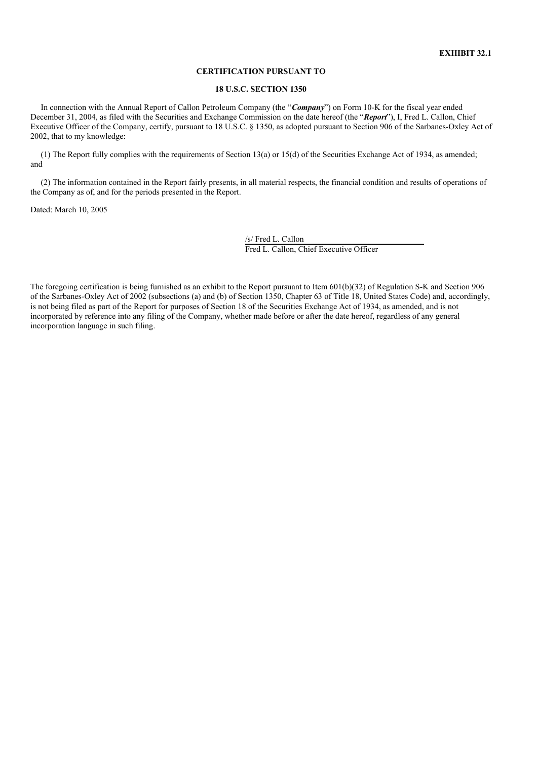#### **CERTIFICATION PURSUANT TO**

### **18 U.S.C. SECTION 1350**

In connection with the Annual Report of Callon Petroleum Company (the "*Company*") on Form 10-K for the fiscal year ended December 31, 2004, as filed with the Securities and Exchange Commission on the date hereof (the "*Report*"), I, Fred L. Callon, Chief Executive Officer of the Company, certify, pursuant to 18 U.S.C. § 1350, as adopted pursuant to Section 906 of the Sarbanes-Oxley Act of 2002, that to my knowledge:

(1) The Report fully complies with the requirements of Section 13(a) or 15(d) of the Securities Exchange Act of 1934, as amended; and

(2) The information contained in the Report fairly presents, in all material respects, the financial condition and results of operations of the Company as of, and for the periods presented in the Report.

Dated: March 10, 2005

/s/ Fred L. Callon Fred L. Callon, Chief Executive Officer

The foregoing certification is being furnished as an exhibit to the Report pursuant to Item 601(b)(32) of Regulation S-K and Section 906 of the Sarbanes-Oxley Act of 2002 (subsections (a) and (b) of Section 1350, Chapter 63 of Title 18, United States Code) and, accordingly, is not being filed as part of the Report for purposes of Section 18 of the Securities Exchange Act of 1934, as amended, and is not incorporated by reference into any filing of the Company, whether made before or after the date hereof, regardless of any general incorporation language in such filing.